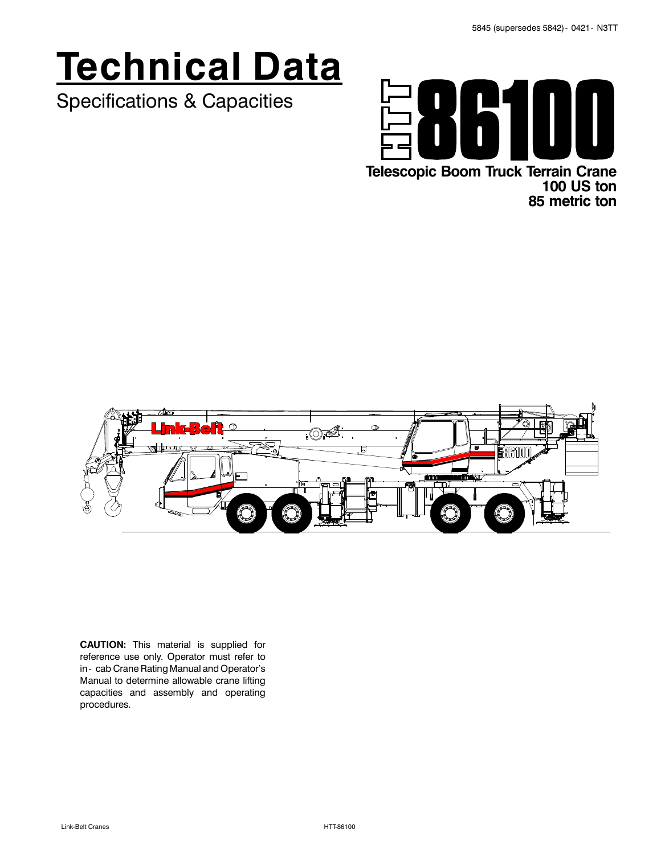# **Technical Data**

Specifications & Capacities



**Telescopic Boom Truck Terrain Crane 100 US ton 85 metric ton**



**CAUTION:** This material is supplied for reference use only. Operator must refer to in - cab Crane Rating Manual and Operator's Manual to determine allowable crane lifting capacities and assembly and operating procedures.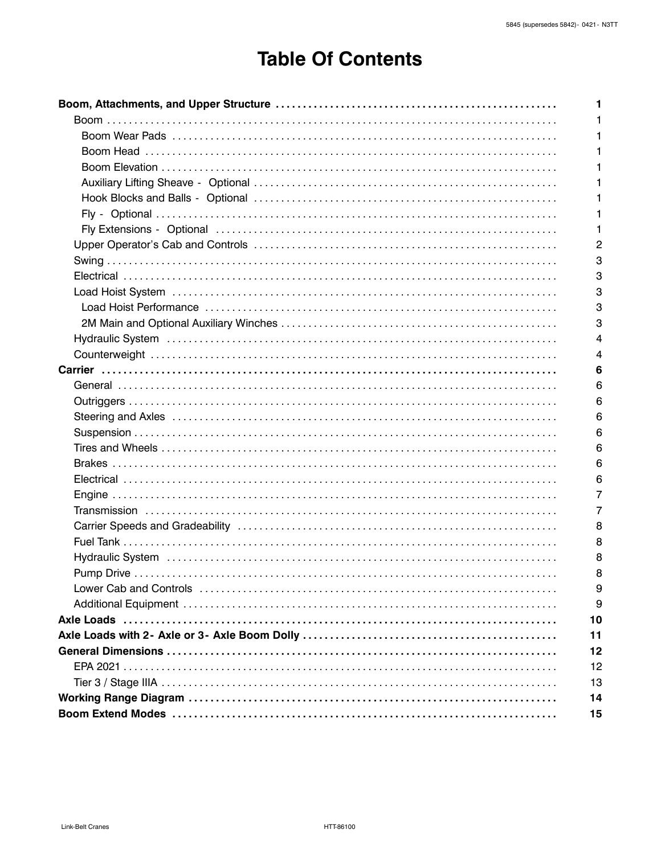# **Table Of Contents**

| 1  |
|----|
|    |
| 1  |
|    |
|    |
|    |
| 1  |
| 1  |
| 2  |
| 3  |
| 3  |
| 3  |
| 3  |
| 3  |
| 4  |
| 4  |
|    |
| 6  |
| 6  |
| 6  |
| 6  |
| 6  |
| 6  |
| 6  |
| 6  |
| 7  |
| 7  |
| 8  |
| 8  |
| 8  |
| 8  |
| 9  |
| 9  |
| 10 |
| 11 |
| 12 |
| 12 |
| 13 |
| 14 |
| 15 |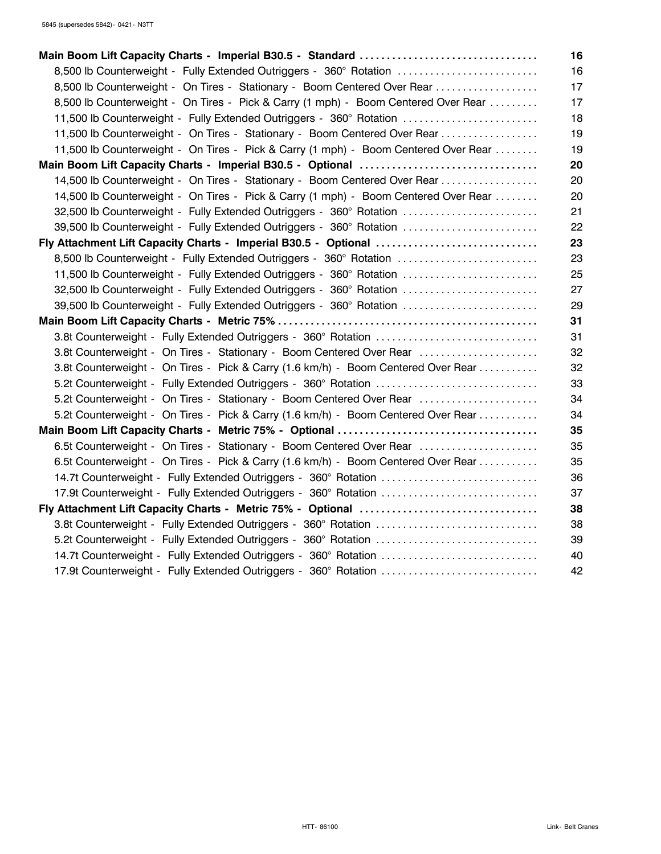| Main Boom Lift Capacity Charts - Imperial B30.5 - Standard                          | 16 |
|-------------------------------------------------------------------------------------|----|
| 8,500 lb Counterweight - Fully Extended Outriggers - 360° Rotation                  | 16 |
| 8,500 lb Counterweight - On Tires - Stationary - Boom Centered Over Rear            | 17 |
| 8,500 lb Counterweight - On Tires - Pick & Carry (1 mph) - Boom Centered Over Rear  | 17 |
| 11,500 lb Counterweight - Fully Extended Outriggers - 360° Rotation                 | 18 |
| 11,500 lb Counterweight - On Tires - Stationary - Boom Centered Over Rear           | 19 |
| 11,500 lb Counterweight - On Tires - Pick & Carry (1 mph) - Boom Centered Over Rear | 19 |
| Main Boom Lift Capacity Charts - Imperial B30.5 - Optional                          | 20 |
| 14,500 lb Counterweight - On Tires - Stationary - Boom Centered Over Rear           | 20 |
| 14,500 lb Counterweight - On Tires - Pick & Carry (1 mph) - Boom Centered Over Rear | 20 |
| 32,500 lb Counterweight - Fully Extended Outriggers - 360° Rotation                 | 21 |
| 39,500 lb Counterweight - Fully Extended Outriggers - 360° Rotation                 | 22 |
| Fly Attachment Lift Capacity Charts - Imperial B30.5 - Optional                     | 23 |
| 8,500 lb Counterweight - Fully Extended Outriggers - 360° Rotation                  | 23 |
| 11,500 lb Counterweight - Fully Extended Outriggers - 360° Rotation                 | 25 |
| 32,500 lb Counterweight - Fully Extended Outriggers - 360° Rotation                 | 27 |
| 39,500 lb Counterweight - Fully Extended Outriggers - 360° Rotation                 | 29 |
|                                                                                     | 31 |
|                                                                                     | 31 |
| 3.8t Counterweight - On Tires - Stationary - Boom Centered Over Rear                | 32 |
| 3.8t Counterweight - On Tires - Pick & Carry (1.6 km/h) - Boom Centered Over Rear   | 32 |
| 5.2t Counterweight - Fully Extended Outriggers - 360° Rotation                      | 33 |
| 5.2t Counterweight - On Tires - Stationary - Boom Centered Over Rear                | 34 |
| 5.2t Counterweight - On Tires - Pick & Carry (1.6 km/h) - Boom Centered Over Rear   | 34 |
|                                                                                     | 35 |
| 6.5t Counterweight - On Tires - Stationary - Boom Centered Over Rear                | 35 |
| 6.5t Counterweight - On Tires - Pick & Carry (1.6 km/h) - Boom Centered Over Rear   | 35 |
| 14.7t Counterweight - Fully Extended Outriggers - 360° Rotation                     | 36 |
| 17.9t Counterweight - Fully Extended Outriggers - 360° Rotation                     | 37 |
| Fly Attachment Lift Capacity Charts - Metric 75% - Optional                         | 38 |
|                                                                                     | 38 |
| 5.2t Counterweight - Fully Extended Outriggers - 360° Rotation                      | 39 |
| 14.7t Counterweight - Fully Extended Outriggers - 360° Rotation                     | 40 |
| 17.9t Counterweight - Fully Extended Outriggers - 360° Rotation                     | 42 |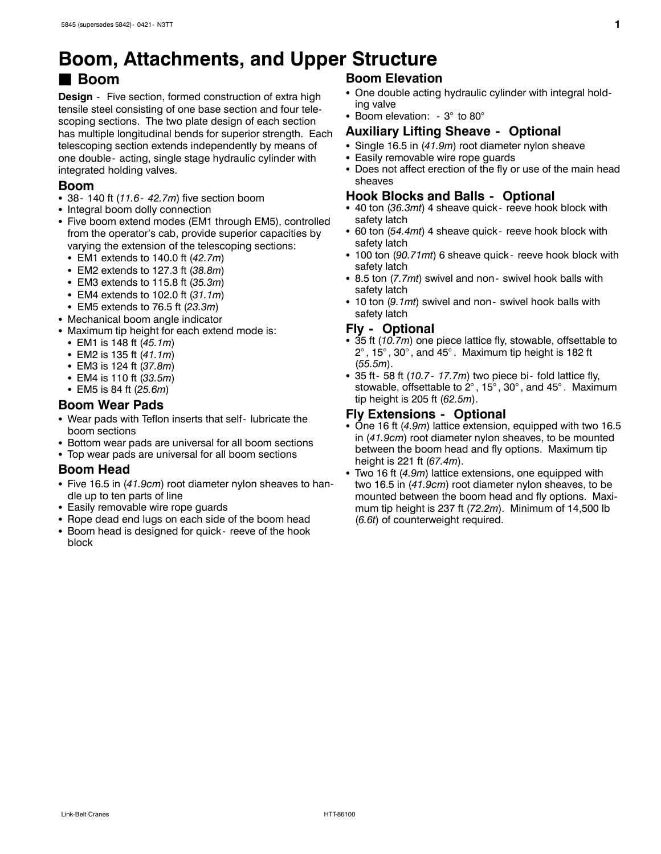# **Boom, Attachments, and Upper Structure**

### J **Boom**

**Design** - Five section, formed construction of extra high tensile steel consisting of one base section and four telescoping sections. The two plate design of each section has multiple longitudinal bends for superior strength. Each telescoping section extends independently by means of one double - acting, single stage hydraulic cylinder with integrated holding valves.

#### **Boom**

- 38- 140 ft (11.6- 42.7m) five section boom
- Integral boom dolly connection
- Five boom extend modes (EM1 through EM5), controlled from the operator's cab, provide superior capacities by varying the extension of the telescoping sections:
	- EM1 extends to 140.0 ft (42.7*m*)
	- EM2 extends to 127.3 ft (38.8m)
	- EM3 extends to 115.8 ft (35.3m)
	- EM4 extends to 102.0 ft (31.1m)
	- EM5 extends to 76.5 ft (23.3m)
- Mechanical boom angle indicator
- Maximum tip height for each extend mode is:
	- EM1 is 148 ft (45.1m)
	- EM2 is 135 ft (41.1m)
	- EM3 is 124 ft (37.8m)
	- EM4 is 110 ft (33.5m)
	- EM5 is 84 ft (25.6m)

#### **Boom Wear Pads**

- Wear pads with Teflon inserts that self- lubricate the boom sections
- Bottom wear pads are universal for all boom sections
- Top wear pads are universal for all boom sections

#### **Boom Head**

- Five 16.5 in (41.9cm) root diameter nylon sheaves to handle up to ten parts of line
- Easily removable wire rope guards
- Rope dead end lugs on each side of the boom head
- Boom head is designed for quick reeve of the hook block

#### **Boom Elevation**

- One double acting hydraulic cylinder with integral holding valve
- Boom elevation:  $-3^\circ$  to 80 $^\circ$

#### **Auxiliary Lifting Sheave - Optional**

- Single 16.5 in (41.9m) root diameter nylon sheave
- Easily removable wire rope guards
- Does not affect erection of the fly or use of the main head sheaves

#### **Hook Blocks and Balls - Optional**

- 40 ton (36.3mt) 4 sheave quick- reeve hook block with safety latch
- 60 ton (54.4mt) 4 sheave quick- reeve hook block with safety latch
- 100 ton (90.71mt) 6 sheave quick- reeve hook block with safety latch
- 8.5 ton (7.7mt) swivel and non- swivel hook balls with safety latch
- 10 ton (9.1mt) swivel and non- swivel hook balls with safety latch

#### **Fly - Optional**

- 35 ft (10.7m) one piece lattice fly, stowable, offsettable to  $2^\circ$ , 15 $^\circ$ , 30 $^\circ$ , and 45 $^\circ$ . Maximum tip height is 182 ft (*55.5m*).
- 35 ft 58 ft (10.7 17.7m) two piece bi fold lattice fly, stowable, offsettable to 2° , 15° , 30° , and 45° . Maximum tip height is 205 ft (*62.5m*).

#### **Fly Extensions - Optional**

- One 16 ft (4.9*m*) lattice extension, equipped with two 16.5 in (*41.9cm*) root diameter nylon sheaves, to be mounted between the boom head and fly options. Maximum tip height is 221 ft (*67.4m*).
- Two 16 ft (4.9m) lattice extensions, one equipped with two 16.5 in (*41.9cm*) root diameter nylon sheaves, to be mounted between the boom head and fly options. Maximum tip height is 237 ft (*72.2m*). Minimum of 14,500 lb (*6.6t*) of counterweight required.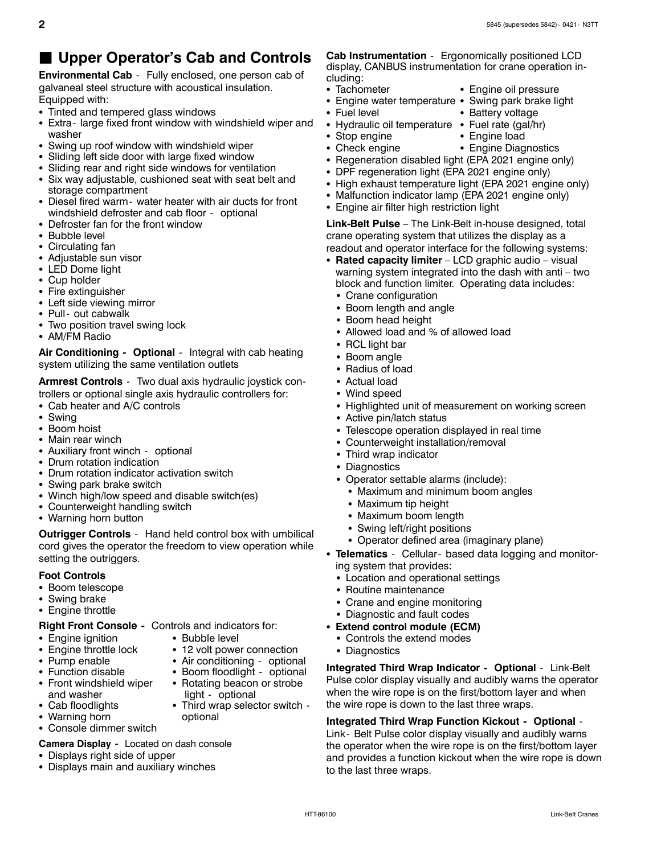### J **Upper Operator's Cab and Controls**

**Environmental Cab** - Fully enclosed, one person cab of galvaneal steel structure with acoustical insulation. Equipped with:

- Tinted and tempered glass windows
- Extra- large fixed front window with windshield wiper and washer
- Swing up roof window with windshield wiper
- Sliding left side door with large fixed window
- Sliding rear and right side windows for ventilation
- Six way adjustable, cushioned seat with seat belt and storage compartment
- Diesel fired warm- water heater with air ducts for front windshield defroster and cab floor - optional
- Defroster fan for the front window
- Bubble level
- Circulating fan
- Adjustable sun visor
- LED Dome light
- Cup holder
- Fire extinguisher
- Left side viewing mirror
- Pull- out cabwalk
- Two position travel swing lock
- AM/FM Radio

**Air Conditioning - Optional** - Integral with cab heating system utilizing the same ventilation outlets

**Armrest Controls** - Two dual axis hydraulic joystick controllers or optional single axis hydraulic controllers for:

- $\bullet$  Cab heater and A/C controls
- Swing
- Boom hoist
- Main rear winch
- Auxiliary front winch optional
- Drum rotation indication
- Drum rotation indicator activation switch
- Swing park brake switch
- Winch high/low speed and disable switch(es)
- Counterweight handling switch
- Warning horn button

**Outrigger Controls** - Hand held control box with umbilical cord gives the operator the freedom to view operation while setting the outriggers.

Rotating beacon or strobe

#### **Foot Controls**

- Boom telescope
- Swing brake
- Engine throttle

**Right Front Console -** Controls and indicators for:

- Engine ignition Bubble level
- Engine throttle lock 12 volt power connection
- Pump enable **Sanditioning optional**
- 
- Tunction disable Soom floodlight optional<br>• Front windshield wiper Rotating beacon or strobe and washer **ight** - optional
- Cab floodlights Third wrap selector switch -
- Warning horn optional
- Console dimmer switch

**Camera Display -** Located on dash console

- Displays right side of upper
- Displays main and auxiliary winches

**Cab Instrumentation** - Ergonomically positioned LCD display, CANBUS instrumentation for crane operation in-

- cluding: • Tachometer • Engine oil pressure
- 
- Engine water temperature Swing park brake light
- Fuel level **Called Battery voltage** 
	-
- Hydraulic oil temperature Fuel rate (gal/hr) • Stop engine **Stop engine Stop engine Ioad** 
	-
- Check engine **State Search Check engine Search Figure Diagnostics**
- Regeneration disabled light (EPA 2021 engine only)
- DPF regeneration light (EPA 2021 engine only)
- High exhaust temperature light (EPA 2021 engine only)
- Malfunction indicator lamp (EPA 2021 engine only)
- Engine air filter high restriction light

**Link-Belt Pulse** – The Link-Belt in-house designed, total crane operating system that utilizes the display as a readout and operator interface for the following systems:

- Rated capacity limiter LCD graphic audio visual warning system integrated into the dash with anti – two block and function limiter. Operating data includes:
	- Crane configuration
	- Boom length and angle
	- Boom head height
	- Allowed load and % of allowed load
	- $\bullet$  RCL light bar
	- Boom angle
	- Radius of load
	- Actual load
	- Wind speed
	- Highlighted unit of measurement on working screen
	- Active pin/latch status
	- Telescope operation displayed in real time
	- Counterweight installation/removal
	- Third wrap indicator
	- Diagnostics
	- Operator settable alarms (include):
		- Maximum and minimum boom angles
		- Maximum tip height
		- Maximum boom length
		- Swing left/right positions
		- Operator defined area (imaginary plane)
- Telematics Cellular based data logging and monitoring system that provides:
	- Location and operational settings
	- Routine maintenance
	- Crane and engine monitoring
	- Diagnostic and fault codes
- Extend control module (ECM)
	- Controls the extend modes
	- Diagnostics

**Integrated Third Wrap Indicator - Optional** - Link-Belt Pulse color display visually and audibly warns the operator when the wire rope is on the first/bottom layer and when the wire rope is down to the last three wraps.

**Integrated Third Wrap Function Kickout - Optional** - Link - Belt Pulse color display visually and audibly warns the operator when the wire rope is on the first/bottom layer and provides a function kickout when the wire rope is down to the last three wraps.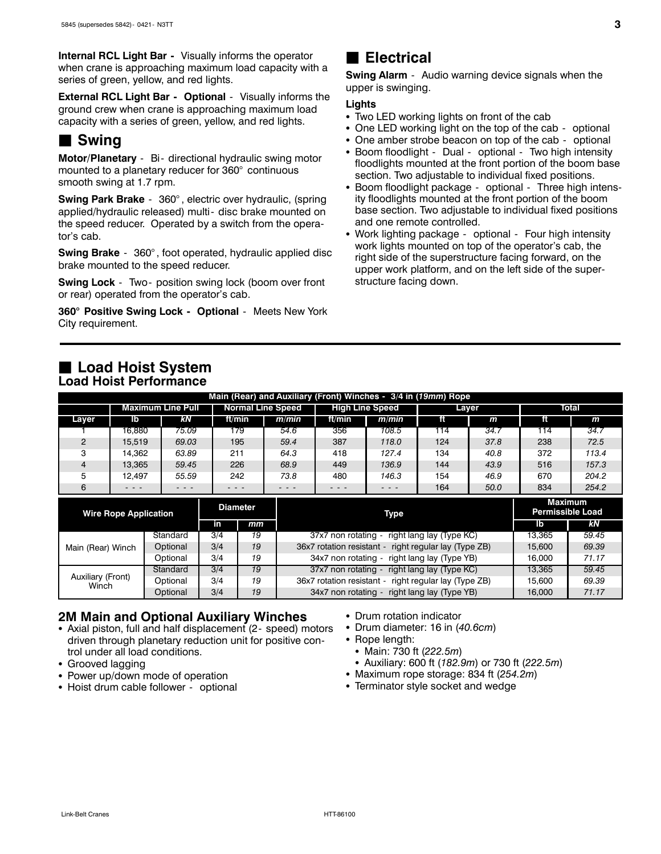**Internal RCL Light Bar -** Visually informs the operator when crane is approaching maximum load capacity with a series of green, yellow, and red lights.

**External RCL Light Bar - Optional** - Visually informs the ground crew when crane is approaching maximum load capacity with a series of green, yellow, and red lights.

### **■ Swing**

**Motor/Planetary** - Bi- directional hydraulic swing motor mounted to a planetary reducer for 360° continuous smooth swing at 1.7 rpm.

**Swing Park Brake** - 360° , electric over hydraulic, (spring applied/hydraulic released) multi- disc brake mounted on the speed reducer. Operated by a switch from the operator's cab.

**Swing Brake** - 360° , foot operated, hydraulic applied disc brake mounted to the speed reducer.

**Swing Lock** - Two- position swing lock (boom over front or rear) operated from the operator's cab.

**360° Positive Swing Lock - Optional** - Meets New York City requirement.

### $\blacksquare$  Electrical

**Swing Alarm** - Audio warning device signals when the upper is swinging.

#### **Lights**

- Two LED working lights on front of the cab
- One LED working light on the top of the cab optional
- One amber strobe beacon on top of the cab optional
- Boom floodlight Dual optional Two high intensity floodlights mounted at the front portion of the boom base section. Two adjustable to individual fixed positions.
- Boom floodlight package optional Three high intensity floodlights mounted at the front portion of the boom base section. Two adjustable to individual fixed positions and one remote controlled.
- Work lighting package optional Four high intensity work lights mounted on top of the operator's cab, the right side of the superstructure facing forward, on the upper work platform, and on the left side of the superstructure facing down.

| <b>Load Hoist System</b>      |  |
|-------------------------------|--|
| <b>Load Hoist Performance</b> |  |

| Main (Rear) and Auxiliary (Front) Winches - 3/4 in (19mm) Rope |                   |       |        |                          |                        |       |       |      |     |       |  |  |
|----------------------------------------------------------------|-------------------|-------|--------|--------------------------|------------------------|-------|-------|------|-----|-------|--|--|
|                                                                | Maximum Line Pull |       |        | <b>Normal Line Speed</b> | <b>High Line Speed</b> |       | Layer |      |     | Total |  |  |
| Laver                                                          | ۱b                | kΝ    | ft/min | m/min                    | ft/min                 | m/min |       | m    | ft  | m     |  |  |
|                                                                | 16.880            | 75.09 | 179    | 54.6                     | 356                    | 108.5 | 114   | 34.7 | 114 | 34.7  |  |  |
| C                                                              | 15.519            | 69.03 | 195    | 59.4                     | 387                    | 118.0 | 124   | 37.8 | 238 | 72.5  |  |  |
| з                                                              | 14.362            | 63.89 | 211    | 64.3                     | 418                    | 127.4 | 134   | 40.8 | 372 | 113.4 |  |  |
| Δ                                                              | 13.365            | 59.45 | 226    | 68.9                     | 449                    | 136.9 | 144   | 43.9 | 516 | 157.3 |  |  |
| 5                                                              | 12.497            | 55.59 | 242    | 73.8                     | 480                    | 146.3 | 154   | 46.9 | 670 | 204.2 |  |  |
| 6                                                              | $  -$             | - - - |        | - - -                    |                        | - - - | 164   | 50.0 | 834 | 254.2 |  |  |

| <b>Wire Rope Application</b> |          | <b>Diameter</b> |    | <b>Type</b>                                           | <b>Maximum</b><br><b>Permissible Load</b> |       |  |
|------------------------------|----------|-----------------|----|-------------------------------------------------------|-------------------------------------------|-------|--|
|                              | in       | mm              |    | lb                                                    | kN.                                       |       |  |
| Main (Rear) Winch            | Standard | 3/4             | 19 | 37x7 non rotating -<br>right lang lay (Type KC)       | 13.365                                    | 59.45 |  |
|                              | Optional | 3/4             | 19 | 36x7 rotation resistant - right regular lay (Type ZB) | 15,600                                    | 69.39 |  |
|                              | Optional | 3/4             | 19 | 34x7 non rotating - right lang lay (Type YB)          | 16.000                                    | 71.17 |  |
| Auxiliary (Front)<br>Winch   | Standard | 3/4             | 19 | 37x7 non rotating -<br>right lang lay (Type KC)       | 13.365                                    | 59.45 |  |
|                              | Optional | 3/4             | 19 | 36x7 rotation resistant - right regular lay (Type ZB) | 15.600                                    | 69.39 |  |
|                              | Optional | 3/4             | 19 | 34x7 non rotating - right lang lay (Type YB)          | 16,000                                    | 71.17 |  |

#### **2M Main and Optional Auxiliary Winches**

- Axial piston, full and half displacement (2- speed) motors driven through planetary reduction unit for positive control under all load conditions.
- Grooved lagging
- Power up/down mode of operation
- Hoist drum cable follower optional
- Drum rotation indicator
- Drum diameter: 16 in (40.6cm)
- $\bullet$  Rope length:
- Main: 730 ft (222.5m)
- S Auxiliary: 600 ft (*182.9m*) or 730 ft (*222.5m*)
- Maximum rope storage: 834 ft (254.2m)
- Terminator style socket and wedge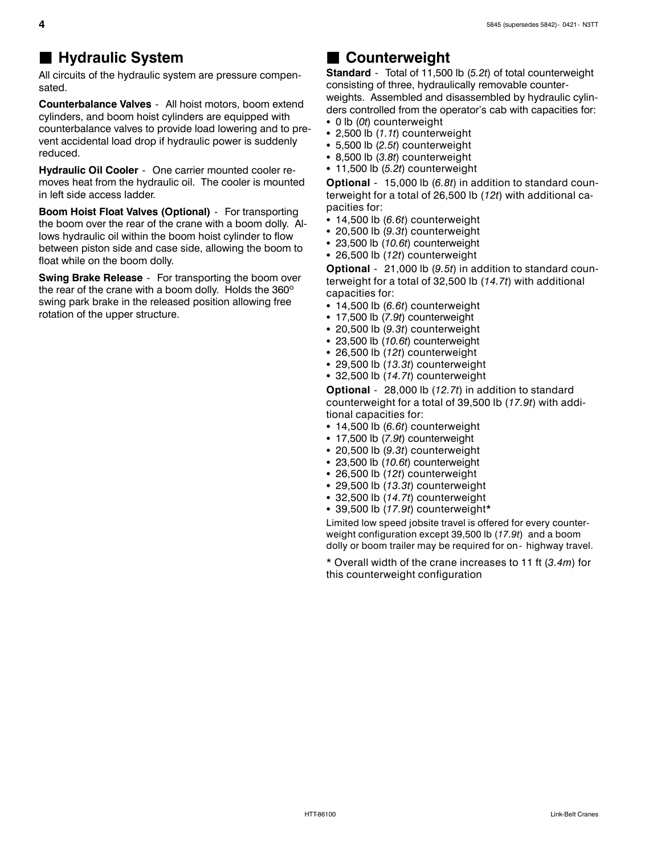### **Hydraulic System**

All circuits of the hydraulic system are pressure compensated.

**Counterbalance Valves** - All hoist motors, boom extend cylinders, and boom hoist cylinders are equipped with counterbalance valves to provide load lowering and to prevent accidental load drop if hydraulic power is suddenly reduced.

**Hydraulic Oil Cooler** - One carrier mounted cooler removes heat from the hydraulic oil. The cooler is mounted in left side access ladder.

**Boom Hoist Float Valves (Optional)** - For transporting the boom over the rear of the crane with a boom dolly. Allows hydraulic oil within the boom hoist cylinder to flow between piston side and case side, allowing the boom to float while on the boom dolly.

**Swing Brake Release** - For transporting the boom over the rear of the crane with a boom dolly. Holds the 360º swing park brake in the released position allowing free rotation of the upper structure.

### **Counterweight**

**Standard** - Total of 11,500 lb (*5.2t*) of total counterweight consisting of three, hydraulically removable counterweights. Assembled and disassembled by hydraulic cylinders controlled from the operator's cab with capacities for:

- 0 lb (0t) counterweight
- $\cdot$  2,500 lb  $(1.1t)$  counterweight
- S 5,500 lb (*2.5t*) counterweight
- 8,500 lb (3.8t) counterweight
- $\cdot$  11,500 lb (5.2t) counterweight

**Optional** - 15,000 lb (*6.8t*) in addition to standard counterweight for a total of 26,500 lb (*12t*) with additional capacities for:

- $\cdot$  14,500 lb ( $6.6t$ ) counterweight
- $\cdot$  20,500 lb (9.3t) counterweight
- 23,500 lb (10.6t) counterweight
- 26,500 lb (12t) counterweight

**Optional** - 21,000 lb (*9.5t*) in addition to standard counterweight for a total of 32,500 lb (*14.7t*) with additional capacities for:

- $\cdot$  14,500 lb ( $6.6t$ ) counterweight
- 17,500 lb (7.9t) counterweight
- $\cdot$  20,500 lb (9.3t) counterweight
- 23,500 lb (10.6t) counterweight
- 26,500 lb (12t) counterweight
- $\cdot$  29,500 lb (13,3t) counterweight
- $\cdot$  32,500 lb  $(14.7t)$  counterweight

**Optional** - 28,000 lb (*12.7t*) in addition to standard counterweight for a total of 39,500 lb (*17.9t*) with additional capacities for:

- $\cdot$  14,500 lb ( $6.6t$ ) counterweight
- 17,500 lb (7.9t) counterweight
- $\cdot$  20,500 lb (9.3t) counterweight
- 23,500 lb (10.6t) counterweight
- 26,500 lb (12t) counterweight
- 29,500 lb (13.3t) counterweight
- $\cdot$  32,500 lb  $(14.7t)$  counterweight
- 39,500 lb (17.9t) counterweight\*

Limited low speed jobsite travel is offered for every counterweight configuration except 39,500 lb (*17.9t*) and a boom dolly or boom trailer may be required for on - highway travel.

\* Overall width of the crane increases to 11 ft (*3.4m*) for this counterweight configuration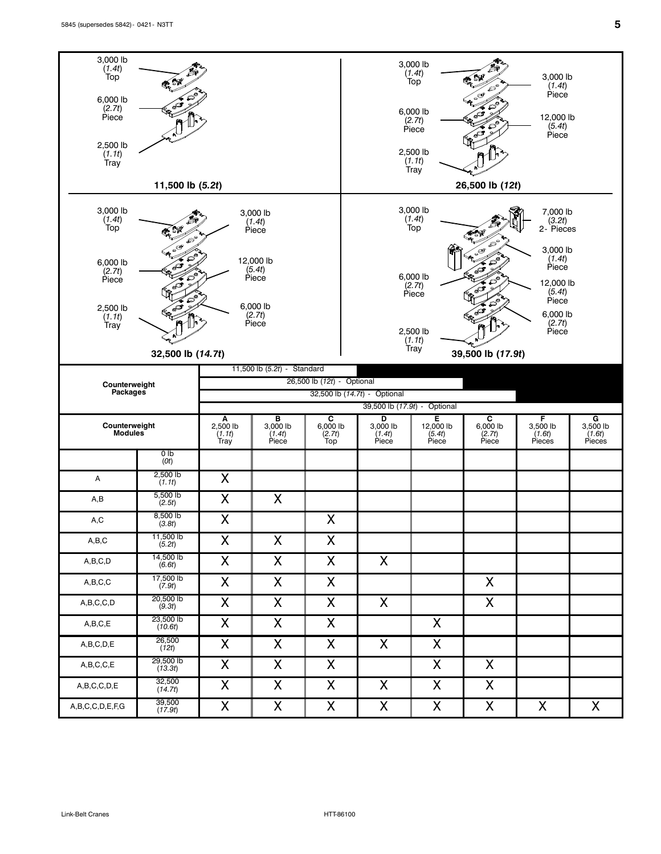

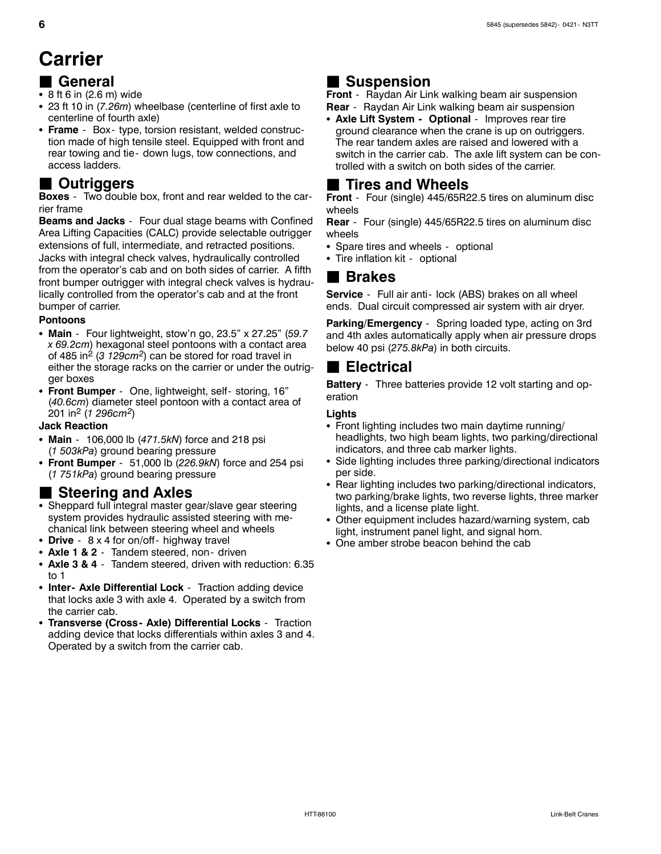# **Carrier**

### J **General**

- $\bullet$  8 ft 6 in (2.6 m) wide
- 23 ft 10 in (7.26m) wheelbase (centerline of first axle to centerline of fourth axle)
- Frame Box- type, torsion resistant, welded construction made of high tensile steel. Equipped with front and rear towing and tie - down lugs, tow connections, and access ladders.

### J **Outriggers**

**Boxes** - Two double box, front and rear welded to the carrier frame

**Beams and Jacks** - Four dual stage beams with Confined Area Lifting Capacities (CALC) provide selectable outrigger extensions of full, intermediate, and retracted positions. Jacks with integral check valves, hydraulically controlled from the operator's cab and on both sides of carrier. A fifth front bumper outrigger with integral check valves is hydraulically controlled from the operator's cab and at the front bumper of carrier.

#### **Pontoons**

- S **Main** Four lightweight, stow'n go, 23.5" x 27.25" (*59.7 x 69.2cm*) hexagonal steel pontoons with a contact area of 485 in<sup>2</sup> (3 129cm<sup>2</sup>) can be stored for road travel in either the storage racks on the carrier or under the outrigger boxes
- Front Bumper One, lightweight, self- storing, 16" (*40.6cm*) diameter steel pontoon with a contact area of 201 in<sup>2</sup> (*1 296cm2*)

#### **Jack Reaction**

- Main 106,000 lb (471.5kN) force and 218 psi (*1 503kPa*) ground bearing pressure
- Front Bumper 51,000 lb (226.9kN) force and 254 psi (*1 751kPa*) ground bearing pressure

- **Steering and Axles**<br>• Sheppard full integral master gear/slave gear steering system provides hydraulic assisted steering with mechanical link between steering wheel and wheels
- Drive 8 x 4 for on/off- highway travel
- Axle 1 & 2 Tandem steered, non- driven
- Axle 3 & 4 Tandem steered, driven with reduction: 6.35 to 1
- Inter- Axle Differential Lock Traction adding device that locks axle 3 with axle 4. Operated by a switch from the carrier cab.
- Transverse (Cross- Axle) Differential Locks Traction adding device that locks differentials within axles 3 and 4. Operated by a switch from the carrier cab.

### ■ Suspension

**Front** - Raydan Air Link walking beam air suspension

- **Rear** Raydan Air Link walking beam air suspension • Axle Lift System - Optional - Improves rear tire
- ground clearance when the crane is up on outriggers. The rear tandem axles are raised and lowered with a switch in the carrier cab. The axle lift system can be controlled with a switch on both sides of the carrier.

### J **Tires and Wheels**

**Front** - Four (single) 445/65R22.5 tires on aluminum disc wheels

**Rear** - Four (single) 445/65R22.5 tires on aluminum disc wheels

- Spare tires and wheels optional
- Tire inflation kit optional

#### **■ Brakes**

**Service** - Full air anti- lock (ABS) brakes on all wheel ends. Dual circuit compressed air system with air dryer.

**Parking/Emergency** - Spring loaded type, acting on 3rd and 4th axles automatically apply when air pressure drops below 40 psi (*275.8kPa*) in both circuits.

### **Electrical**

**Battery** - Three batteries provide 12 volt starting and operation

#### **Lights**

- Front lighting includes two main daytime running/ headlights, two high beam lights, two parking/directional indicators, and three cab marker lights.
- Side lighting includes three parking/directional indicators per side.
- Rear lighting includes two parking/directional indicators, two parking/brake lights, two reverse lights, three marker lights, and a license plate light.
- Other equipment includes hazard/warning system, cab light, instrument panel light, and signal horn.
- One amber strobe beacon behind the cab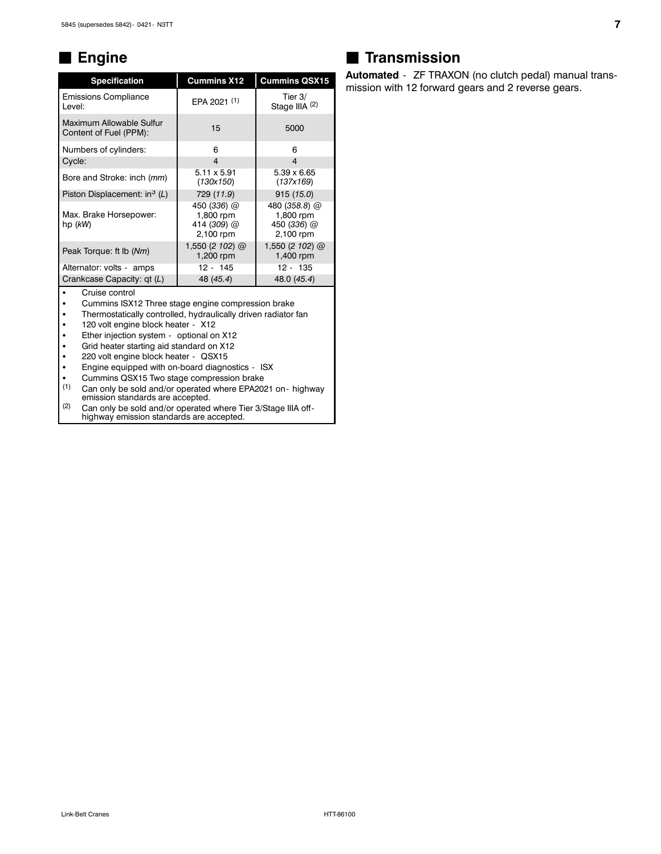#### J **Engine**

| <b>Specification</b>                               | <b>Cummins X12</b>                                   | <b>Cummins QSX15</b>                                   |
|----------------------------------------------------|------------------------------------------------------|--------------------------------------------------------|
| <b>Emissions Compliance</b><br>Level:              | EPA 2021 (1)                                         | Tier $3/$<br>Stage IIIA (2)                            |
| Maximum Allowable Sulfur<br>Content of Fuel (PPM): | 15                                                   | 5000                                                   |
| Numbers of cylinders:                              | 6                                                    | 6                                                      |
| Cycle:                                             | 4                                                    | 4                                                      |
| Bore and Stroke: inch (mm)                         | $5.11 \times 5.91$<br>(130x150)                      | $5.39 \times 6.65$<br>(137x169)                        |
| Piston Displacement: in <sup>3</sup> (L)           | 729 (11.9)                                           | 915(15.0)                                              |
| Max. Brake Horsepower:<br>hp (kW)                  | 450 (336) @<br>1,800 rpm<br>414 (309) @<br>2,100 rpm | 480 (358.8) @<br>1,800 rpm<br>450 (336) @<br>2,100 rpm |
| Peak Torque: ft lb (Nm)                            | 1,550 (2 102) $@$<br>1,200 rpm                       | 1,550 (2 102) @<br>1,400 rpm                           |
| Alternator: volts - amps                           | $12 - 145$                                           | 12 - 135                                               |
| Crankcase Capacity: qt (L)                         | 48 (45.4)                                            | 48.0 (45.4)                                            |

• Cruise control

• Cummins ISX12 Three stage engine compression brake<br>• Thermostatically controlled, bydraulically driven radiator

Thermostatically controlled, hydraulically driven radiator fan

• 120 volt engine block heater - X12

• Ether injection system - optional on X12

• Grid heater starting aid standard on X12

220 volt engine block heater - QSX15

Engine equipped with on-board diagnostics - ISX

• Cummins QSX15 Two stage compression brake<br>
(1) Can only be sold and/or operated where EPA20

Can only be sold and/or operated where EPA2021 on- highway emission standards are accepted.

(2) Can only be sold and/or operated where Tier 3/Stage IIIA off highway emission standards are accepted.

### **Transmission**

**Automated** - ZF TRAXON (no clutch pedal) manual transmission with 12 forward gears and 2 reverse gears.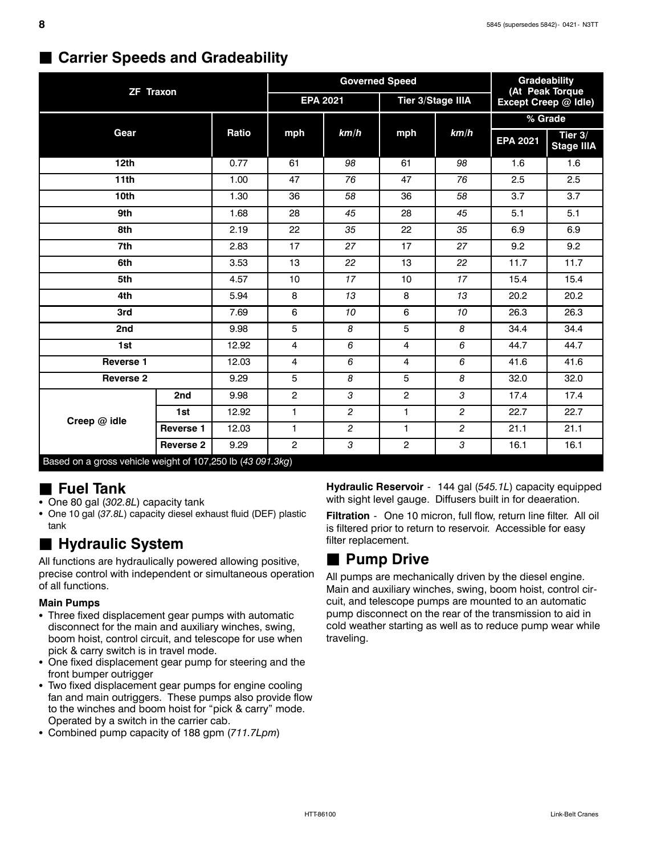|                                                            |                  |       |                 | <b>Governed Speed</b> | Gradeability<br>(At Peak Torque |                   |                      |                              |  |
|------------------------------------------------------------|------------------|-------|-----------------|-----------------------|---------------------------------|-------------------|----------------------|------------------------------|--|
| <b>ZF Traxon</b>                                           |                  |       | <b>EPA 2021</b> |                       |                                 | Tier 3/Stage IIIA | Except Creep @ Idle) |                              |  |
|                                                            |                  |       |                 |                       |                                 |                   | % Grade              |                              |  |
| Gear                                                       |                  | Ratio | mph             | km/h                  | mph                             | km/h              | <b>EPA 2021</b>      | Tier 3/<br><b>Stage IIIA</b> |  |
| 12th                                                       |                  | 0.77  | 61              | 98                    | 61                              | 98                | 1.6                  | 1.6                          |  |
| 11th                                                       |                  | 1.00  | 47              | 76                    | 47                              | 76                | 2.5                  | 2.5                          |  |
| 10th                                                       |                  | 1.30  | 36              | 58                    | 36                              | 58                | 3.7                  | 3.7                          |  |
| 9th                                                        |                  | 1.68  | 28              | 45                    | 28                              | 45                | 5.1                  | 5.1                          |  |
| 8th                                                        |                  | 2.19  | 22              | 35                    | 22                              | 35                | 6.9                  | 6.9                          |  |
| 7th                                                        |                  | 2.83  | 17              | 27                    | 17                              | 27                | 9.2                  | 9.2                          |  |
| 6th                                                        |                  | 3.53  | 13              | 22                    | 13                              | 22                | 11.7                 | 11.7                         |  |
| 5th                                                        |                  | 4.57  | 10              | 17                    | 10                              | 17                | 15.4                 | 15.4                         |  |
| 4th                                                        |                  | 5.94  | 8               | 13                    | 8                               | 13                | 20.2                 | 20.2                         |  |
| 3rd                                                        |                  | 7.69  | 6               | 10                    | 6                               | 10                | 26.3                 | 26.3                         |  |
| 2nd                                                        |                  | 9.98  | 5               | 8                     | 5                               | 8                 | 34.4                 | 34.4                         |  |
| 1st                                                        |                  | 12.92 | $\overline{4}$  | 6                     | $\overline{4}$                  | 6                 | 44.7                 | 44.7                         |  |
| <b>Reverse 1</b>                                           |                  | 12.03 | $\overline{4}$  | 6                     | 4                               | 6                 | 41.6                 | 41.6                         |  |
| <b>Reverse 2</b>                                           |                  | 9.29  | 5               | 8                     | 5                               | 8                 | 32.0                 | 32.0                         |  |
|                                                            | 2nd              | 9.98  | $\mathbf{2}$    | 3                     | $\overline{2}$                  | 3                 | 17.4                 | 17.4                         |  |
|                                                            | 1st              | 12.92 | 1               | $\overline{c}$        | 1                               | $\overline{c}$    | 22.7                 | 22.7                         |  |
| Creep @ idle                                               | Reverse 1        | 12.03 | $\mathbf{1}$    | $\overline{2}$        | 1                               | $\overline{c}$    | 21.1                 | 21.1                         |  |
|                                                            | <b>Reverse 2</b> | 9.29  | $\overline{2}$  | 3                     | 2                               | 3                 | 16.1                 | 16.1                         |  |
| Based on a gross vehicle weight of 107,250 lb (43 091.3kg) |                  |       |                 |                       |                                 |                   |                      |                              |  |

### **Starrier Speeds and Gradeability**

### **H** Fuel Tank

- One 80 gal (302.8L) capacity tank
- One 10 gal (37.8L) capacity diesel exhaust fluid (DEF) plastic tank

## J **Hydraulic System**

All functions are hydraulically powered allowing positive, precise control with independent or simultaneous operation of all functions.

#### **Main Pumps**

- Three fixed displacement gear pumps with automatic disconnect for the main and auxiliary winches, swing, boom hoist, control circuit, and telescope for use when pick & carry switch is in travel mode.
- One fixed displacement gear pump for steering and the front bumper outrigger
- Two fixed displacement gear pumps for engine cooling fan and main outriggers. These pumps also provide flow to the winches and boom hoist for "pick & carry" mode. Operated by a switch in the carrier cab.
- Combined pump capacity of 188 gpm (711.7Lpm)

**Hydraulic Reservoir** - 144 gal (*545.1L*) capacity equipped with sight level gauge. Diffusers built in for deaeration.

**Filtration** - One 10 micron, full flow, return line filter. All oil is filtered prior to return to reservoir. Accessible for easy filter replacement.

### **■ Pump Drive**

All pumps are mechanically driven by the diesel engine. Main and auxiliary winches, swing, boom hoist, control circuit, and telescope pumps are mounted to an automatic pump disconnect on the rear of the transmission to aid in cold weather starting as well as to reduce pump wear while traveling.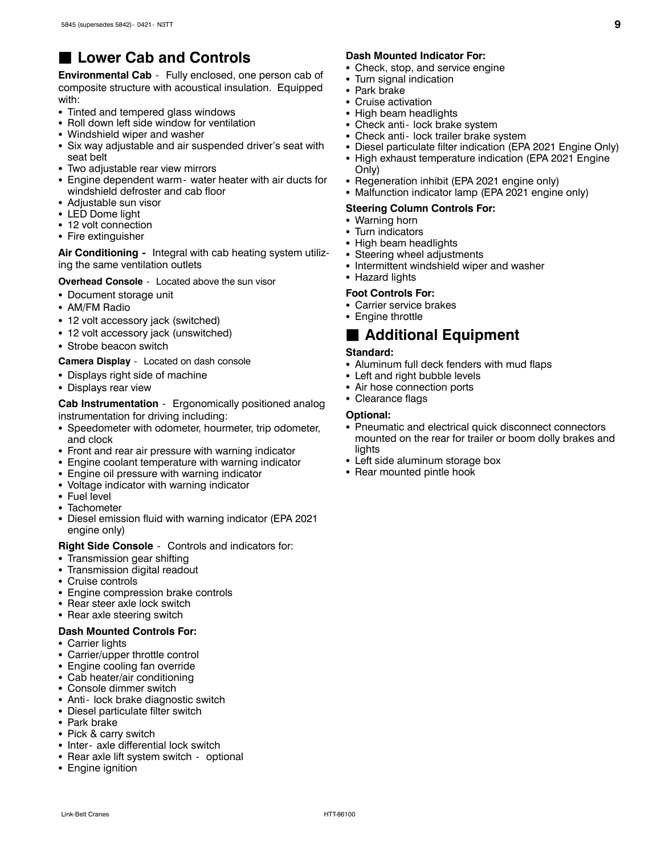### **Lower Cab and Controls**

**Environmental Cab** - Fully enclosed, one person cab of composite structure with acoustical insulation. Equipped with:

- Tinted and tempered glass windows
- Roll down left side window for ventilation
- Windshield wiper and washer
- Six way adjustable and air suspended driver's seat with seat belt
- Two adiustable rear view mirrors
- Engine dependent warm water heater with air ducts for windshield defroster and cab floor
- Adjustable sun visor
- LED Dome light
- 12 volt connection
- Fire extinguisher

**Air Conditioning -** Integral with cab heating system utilizing the same ventilation outlets

**Overhead Console** - Located above the sun visor

- Document storage unit
- AM/FM Radio
- 12 volt accessory jack (switched)
- 12 volt accessory jack (unswitched)
- Strobe beacon switch

**Camera Display** - Located on dash console

- Displays right side of machine
- Displays rear view

**Cab Instrumentation** - Ergonomically positioned analog instrumentation for driving including:

- Speedometer with odometer, hourmeter, trip odometer, and clock
- Front and rear air pressure with warning indicator
- Engine coolant temperature with warning indicator
- Engine oil pressure with warning indicator
- Voltage indicator with warning indicator
- $\cdot$  Fuel level
- $\bullet$  Tachometer
- Diesel emission fluid with warning indicator (EPA 2021 engine only)

**Right Side Console** - Controls and indicators for:

- Transmission gear shifting
- Transmission digital readout
- Cruise controls
- Engine compression brake controls
- Rear steer axle lock switch
- Rear axle steering switch

#### **Dash Mounted Controls For:**

- Carrier lights
- Carrier/upper throttle control
- Engine cooling fan override
- Cab heater/air conditioning
- Console dimmer switch
- Anti- lock brake diagnostic switch
- Diesel particulate filter switch
- Park brake
- Pick & carry switch
- Inter- axle differential lock switch
- Rear axle lift system switch optional
- Engine ignition

#### **Dash Mounted Indicator For:**

- Check, stop, and service engine
- Turn signal indication
	- Park brake
	- $\bullet\,$  Cruise activation
- High beam headlights
- Check anti- lock brake system
- Check anti- lock trailer brake system
- Diesel particulate filter indication (EPA 2021 Engine Only)
- High exhaust temperature indication (EPA 2021 Engine Only)
- Regeneration inhibit (EPA 2021 engine only)
- Malfunction indicator lamp (EPA 2021 engine only)

#### **Steering Column Controls For:**

- Warning horn
- Turn indicators
- High beam headlights
- Steering wheel adjustments
- Intermittent windshield wiper and washer
- Hazard lights

#### **Foot Controls For:**

- Carrier service brakes
- Engine throttle

#### **■ Additional Equipment**

#### **Standard:**

- Aluminum full deck fenders with mud flaps
- Left and right bubble levels
- Air hose connection ports
- Clearance flags

#### **Optional:**

- Pneumatic and electrical quick disconnect connectors mounted on the rear for trailer or boom dolly brakes and lights
- Left side aluminum storage box
- Rear mounted pintle hook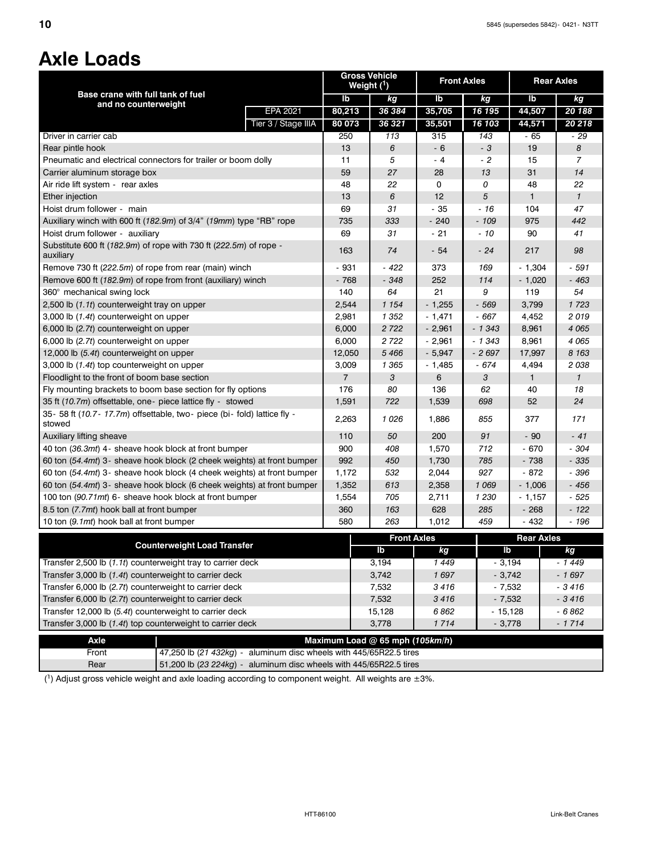# **Axle Loads**

|                                                                                    |                     | Weight $(1)$   | <b>Gross Vehicle</b>            | <b>Front Axles</b>  |          | <b>Rear Axles</b> |                |
|------------------------------------------------------------------------------------|---------------------|----------------|---------------------------------|---------------------|----------|-------------------|----------------|
| Base crane with full tank of fuel                                                  |                     | lb             | kg                              | lb                  | kg       | lb                | kg             |
| and no counterweight                                                               | <b>EPA 2021</b>     | 80,213         | 36 384                          | 35,705              | 16 195   | 44,507            | 20 188         |
|                                                                                    | Tier 3 / Stage IIIA | 80 073         | 36 321                          | 35,501              | 16 103   | 44,571            | 20 218         |
| Driver in carrier cab                                                              |                     | 250            | 113                             | 315                 | 143      | - 65              | - 29           |
| Rear pintle hook                                                                   |                     | 13             | 6                               | $-6$                | - 3      | 19                | 8              |
| Pneumatic and electrical connectors for trailer or boom dolly                      |                     | 11             | 5                               | - 4                 | $-2$     | 15                | $\overline{7}$ |
| Carrier aluminum storage box                                                       |                     | 59             | 27                              | 28                  | 13       | 31                | 14             |
| Air ride lift system - rear axles                                                  |                     | 48             | 22                              | 0                   | 0        | 48                | 22             |
| Ether injection                                                                    |                     | 13             | 6                               | 12                  | 5        | $\mathbf{1}$      | $\mathbf{1}$   |
| Hoist drum follower - main                                                         |                     | 69             | 31                              | $-35$               | $-16$    | 104               | 47             |
| Auxiliary winch with 600 ft (182.9m) of 3/4" (19mm) type "RB" rope                 |                     | 735            | 333                             | $-240$              | - 109    | 975               | 442            |
| Hoist drum follower - auxiliary                                                    |                     | 69             | 31                              | $-21$               | $-10$    | 90                | 41             |
| Substitute 600 ft (182.9m) of rope with 730 ft (222.5m) of rope -<br>auxiliary     |                     | 163            | 74                              | $-54$               | $-24$    | 217               | 98             |
| Remove 730 ft (222.5m) of rope from rear (main) winch                              |                     |                | - 422                           |                     |          |                   | - 591          |
|                                                                                    |                     | - 931          | $-348$                          | 373<br>252          | 169      | - 1,304           |                |
| Remove 600 ft (182.9m) of rope from front (auxiliary) winch                        |                     | $-768$         |                                 |                     | 114      | $-1,020$          | $-463$         |
| 360° mechanical swing lock                                                         |                     | 140            | 64                              | 21                  | 9        | 119               | 54             |
| 2,500 lb (1.1t) counterweight tray on upper                                        |                     | 2,544          | 1 1 5 4                         | $-1,255$            | - 569    | 3,799             | 1723           |
| 3,000 lb (1.4t) counterweight on upper                                             |                     | 2,981          | 1 352                           | $-1,471$            | - 667    | 4,452             | 2019           |
| 6,000 lb (2.7t) counterweight on upper                                             |                     | 6,000          | 2722                            | $-2,961$            | $-1343$  | 8,961             | 4 0 6 5        |
| 6,000 lb (2.7t) counterweight on upper                                             |                     | 6,000          | 2 7 2 2                         | $-2,961$            | $-1343$  | 8,961             | 4 0 6 5        |
| 12,000 lb (5.4t) counterweight on upper                                            |                     | 12,050         | 5466                            | $-5,947$            | $-2697$  | 17,997            | 8 1 6 3        |
| 3,000 lb (1.4t) top counterweight on upper                                         |                     | 3,009          | 1 3 6 5                         | $-1,485$            | $-674$   | 4,494             | 2038           |
| Floodlight to the front of boom base section                                       |                     | $\overline{7}$ | 3                               | 6                   | 3        | $\mathbf{1}$      | $\mathcal I$   |
| Fly mounting brackets to boom base section for fly options                         |                     | 176            | 80                              | 136                 | 62       | 40                | 18             |
| 35 ft (10.7m) offsettable, one - piece lattice fly - stowed                        |                     | 1,591          | 722                             | 1,539               | 698      | 52                | 24             |
| 35- 58 ft (10.7- 17.7m) offsettable, two- piece (bi- fold) lattice fly -<br>stowed |                     | 2,263          | 1026                            | 1,886               | 855      | 377               | 171            |
| Auxiliary lifting sheave                                                           |                     | 110            | 50                              | 200                 | 91       | $-90$             | $-41$          |
| 40 ton (36.3mt) 4- sheave hook block at front bumper                               |                     | 900            | 408                             | 1,570               | 712      | $-670$            | $-304$         |
| 60 ton (54.4mt) 3- sheave hook block (2 cheek weights) at front bumper             |                     | 992            | 450                             | 1,730               | 785      | $-738$            | - 335          |
| 60 ton (54.4mt) 3- sheave hook block (4 cheek weights) at front bumper             |                     | 1,172          | 532                             | 2,044               | 927      | $-872$            | - 396          |
| 60 ton (54.4mt) 3- sheave hook block (6 cheek weights) at front bumper             |                     | 1,352          | 613                             | 2,358               | 1 0 6 9  | $-1,006$          | $-456$         |
| 100 ton (90.71mt) 6- sheave hook block at front bumper                             |                     | 1,554          | 705                             | 2,711               | 1 2 3 0  | $-1,157$          | $-525$         |
| 8.5 ton (7.7mt) hook ball at front bumper                                          |                     | 360            | 163                             | 628                 | 285      | $-268$            | $-122$         |
| 10 ton (9.1mt) hook ball at front bumper                                           |                     | 580            | 263                             | 1,012               | 459      | $-432$            | $-196$         |
|                                                                                    |                     |                | <b>Front Axles</b>              |                     |          | <b>Rear Axles</b> |                |
| <b>Counterweight Load Transfer</b>                                                 |                     |                | Ib                              | kg                  | lb       |                   | kg             |
| Transfer 2,500 lb (1.1t) counterweight tray to carrier deck                        |                     |                | 3,194                           | 1449                | $-3,194$ |                   | $-1449$        |
| Transfer 3,000 lb (1.4t) counterweight to carrier deck                             |                     |                | 3,742                           | 1697                | $-3,742$ |                   | $-1697$        |
| Transfer 6,000 lb (2.7t) counterweight to carrier deck                             |                     | 7,532          | 3416                            | $-7,532$            |          | $-3416$           |                |
| Transfer 6,000 lb (2.7t) counterweight to carrier deck                             |                     | 7,532          | 3416                            | $-7,532$<br>$-3416$ |          |                   |                |
| Transfer 12,000 lb (5.4t) counterweight to carrier deck                            |                     | 15,128         | 6862                            | $-15,128$           |          | $-6862$           |                |
| Transfer 3,000 lb (1.4t) top counterweight to carrier deck                         |                     |                | 3,778                           | 1714                | $-3,778$ |                   | $-1714$        |
| Axle                                                                               |                     |                | Maximum Load @ 65 mph (105km/h) |                     |          |                   |                |
| 47,250 lb (21 432kg) - aluminum disc wheels with 445/65R22.5 tires<br>Front        |                     |                |                                 |                     |          |                   |                |
| 51,200 lb (23 224kg) - aluminum disc wheels with 445/65R22.5 tires<br>Rear         |                     |                |                                 |                     |          |                   |                |

 $(1)$  Adjust gross vehicle weight and axle loading according to component weight. All weights are  $\pm 3\%$ .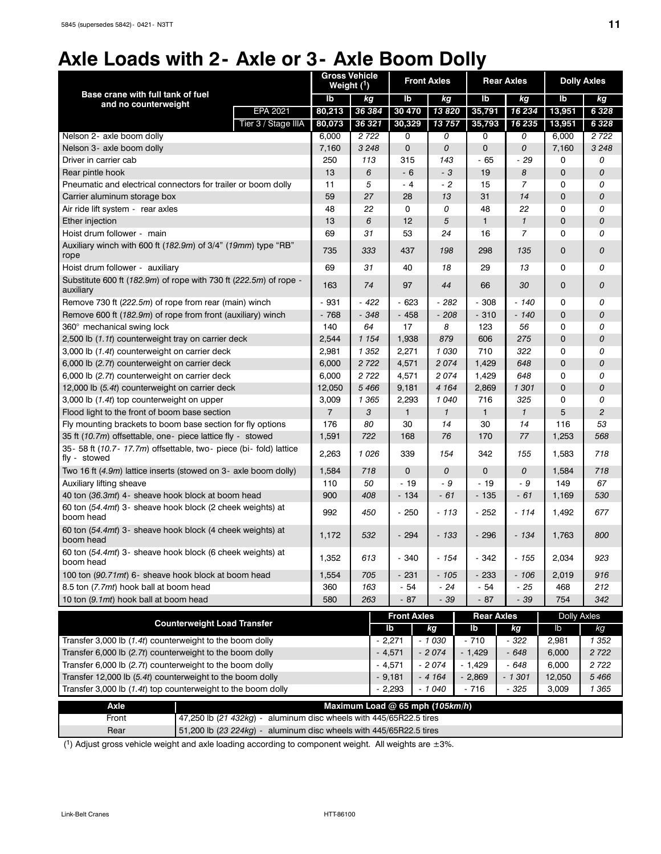# **Axle Loads with 2- Axle or 3- Axle Boom Dolly**

|                                                                                    | Weight $(1)$   | <b>Gross Vehicle</b> | <b>Front Axles</b>              |               |                   | <b>Rear Axles</b> | <b>Dolly Axles</b> |         |
|------------------------------------------------------------------------------------|----------------|----------------------|---------------------------------|---------------|-------------------|-------------------|--------------------|---------|
| Base crane with full tank of fuel                                                  | lb             | kg                   | lb                              | kg            | lb                | kg                | lb                 | kg      |
| and no counterweight<br><b>EPA 2021</b>                                            | 80,213         | 36 384               | 30 470                          | 13820         | 35,791            | 16 234            | 13,951             | 6 3 2 8 |
| Tier 3 / Stage IIIA                                                                | 80,073         | 36 321               | 30,329                          | 13757         | 35,793            | 16 235            | 13,951             | 6 3 2 8 |
| Nelson 2- axle boom dolly                                                          | 6,000          | 2 7 2 2              | 0                               | 0             | 0                 | 0                 | 6,000              | 2722    |
| Nelson 3- axle boom dolly                                                          | 7,160          | 3 2 4 8              | 0                               | 0             | $\mathsf 0$       | 0                 | 7,160              | 3 2 4 8 |
| Driver in carrier cab                                                              | 250            | 113                  | 315                             | 143           | - 65              | $-29$             | 0                  | 0       |
| Rear pintle hook                                                                   | 13             | 6                    | - 6                             | - 3           | 19                | 8                 | $\mathbf 0$        | 0       |
| Pneumatic and electrical connectors for trailer or boom dolly                      | 11             | 5                    | - 4                             | $-2$          | 15                | $\overline{7}$    | 0                  | 0       |
| Carrier aluminum storage box                                                       | 59             | 27                   | 28                              | 13            | 31                | 14                | 0                  | 0       |
| Air ride lift system - rear axles                                                  | 48             | 22                   | 0                               | 0             | 48                | 22                | 0                  | 0       |
| Ether injection                                                                    | 13             | 6                    | 12                              | 5             | 1                 | $\mathbf{1}$      | $\mathbf 0$        | 0       |
| Hoist drum follower - main                                                         | 69             | 31                   | 53                              | 24            | 16                | $\overline{7}$    | $\Omega$           | 0       |
| Auxiliary winch with 600 ft (182.9m) of 3/4" (19mm) type "RB"<br>rope              | 735            | 333                  | 437                             | 198           | 298               | 135               | $\mathbf 0$        | 0       |
| Hoist drum follower - auxiliary                                                    | 69             | 31                   | 40                              | 18            | 29                | 13                | 0                  | 0       |
| Substitute 600 ft (182.9m) of rope with 730 ft (222.5m) of rope -<br>auxiliary     | 163            | 74                   | 97                              | 44            | 66                | 30                | $\mathbf 0$        | 0       |
| Remove 730 ft (222.5m) of rope from rear (main) winch                              | $-931$         | - 422                | - 623                           | - 282         | $-308$            | $-140$            | 0                  | 0       |
| Remove 600 ft (182.9m) of rope from front (auxiliary) winch                        | $-768$         | - 348                | $-458$                          | - 208         | $-310$            | - 140             | $\mathbf 0$        | 0       |
| 360° mechanical swing lock                                                         | 140            | 64                   | 17                              | 8             | 123               | 56                | 0                  | 0       |
| 2,500 lb (1.1t) counterweight tray on carrier deck                                 | 2,544          | 1 1 5 4              | 1,938                           | 879           | 606               | 275               | $\mathbf 0$        | 0       |
| 3,000 lb (1.4t) counterweight on carrier deck                                      | 2,981          | 1 352                | 2,271                           | 1030          | 710               | 322               | 0                  | 0       |
| 6,000 lb (2.7t) counterweight on carrier deck                                      | 6,000          | 2 7 2 2              | 4,571                           | 2074<br>1,429 |                   | 648               | $\mathbf 0$        | 0       |
| 6,000 lb (2.7t) counterweight on carrier deck                                      | 6,000          | 2722                 | 4,571                           | 2074          | 1,429             | 648               | 0                  | 0       |
| 12,000 lb (5.4t) counterweight on carrier deck                                     | 12,050         | 5 4 6 6              | 9,181                           | 4 1 6 4       | 2,869             | 1 301             | $\mathbf 0$        | 0       |
| 3,000 lb (1.4t) top counterweight on upper                                         | 3,009          | 1 365                | 2,293                           | 1040          | 716               | 325               | 0                  | 0       |
| Flood light to the front of boom base section                                      | $\overline{7}$ | 3                    | $\mathbf{1}$                    | $\mathbf{1}$  | $\mathbf{1}$      | $\mathbf{1}$      | 5                  | 2       |
| Fly mounting brackets to boom base section for fly options                         | 176            | 80                   | 30                              | 14            | 30                | 14                | 116                | 53      |
| 35 ft (10.7m) offsettable, one- piece lattice fly - stowed                         | 1,591          | 722                  | 168                             | 76            | 170               | 77                | 1,253              | 568     |
| 35- 58 ft (10.7- 17.7m) offsettable, two- piece (bi- fold) lattice<br>fly - stowed | 2,263          | 1026                 | 339                             | 154           | 342               | 155               | 1,583              | 718     |
| Two 16 ft (4.9m) lattice inserts (stowed on 3- axle boom dolly)                    | 1,584          | 718                  | $\mathbf 0$                     | 0             | $\mathbf 0$       | 0                 | 1,584              | 718     |
| Auxiliary lifting sheave                                                           | 110            | 50                   | - 19                            | - 9           | $-19$             | - 9               | 149                | 67      |
| 40 ton (36.3mt) 4- sheave hook block at boom head                                  | 900            | 408                  | - 134                           | $-61$         | $-135$            | $-61$             | 1,169              | 530     |
| 60 ton (54.4mt) 3- sheave hook block (2 cheek weights) at<br>boom head             | 992            | 450                  | $-250$                          | - 113         | $-252$            | - 114             | 1,492              | 677     |
| 60 ton (54.4mt) 3- sheave hook block (4 cheek weights) at<br>boom head             | 1,172          | 532                  | $-294$                          | - 133         | $-296$            | $-134$            | 1,763              | 800     |
| 60 ton (54.4mt) 3- sheave hook block (6 cheek weights) at<br>boom head             | 1,352          | 613                  | $-340$                          | - 154         | - 342             | $-155$            | 2,034              | 923     |
| 100 ton (90.71mt) 6- sheave hook block at boom head                                | 1,554          | 705                  | - 231                           | - 105         | $-233$            | $-106$            | 2,019              | 916     |
| 8.5 ton (7.7mt) hook ball at boom head                                             | 360            | 163                  | - 54                            | $-24$         | $-54$             | $-25$             | 468                | 212     |
| 10 ton (9.1mt) hook ball at boom head                                              | 580            | 263                  | $-87$                           | - 39          | $-87$             | - 39              | 754                | 342     |
|                                                                                    |                |                      | <b>Front Axles</b>              |               | <b>Rear Axles</b> |                   | <b>Dolly Axles</b> |         |
| <b>Counterweight Load Transfer</b>                                                 |                |                      | lb                              | kg            | lb                | kg                | lb                 | kg      |
| Transfer 3,000 lb (1.4t) counterweight to the boom dolly                           |                |                      | $-2,271$                        | $-1030$       | $-710$            | - 322             | 2,981              | 1 3 5 2 |
| Transfer 6,000 lb (2.7t) counterweight to the boom dolly                           |                |                      | $-4,571$                        | $-2074$       | $-1,429$          | $-648$            | 6,000              | 2 7 2 2 |
| Transfer 6,000 lb (2.7t) counterweight to the boom dolly                           |                |                      | $-4,571$                        | $-2074$       | $-1,429$          | $-648$            | 6,000              | 2 7 2 2 |
| Transfer 12,000 lb (5.4t) counterweight to the boom dolly                          |                |                      | $-9,181$                        | $-4164$       | $-2,869$          | - 1 301           | 12,050             | 5 4 6 6 |
| Transfer 3,000 lb (1.4t) top counterweight to the boom dolly                       |                |                      | $-2,293$                        | $-1040$       | $-716$            | $-325$            | 3,009              | 1 3 6 5 |
| <b>Axle</b>                                                                        |                |                      | Maximum Load @ 65 mph (105km/h) |               |                   |                   |                    |         |
| 47,250 lb (21 432kg) - aluminum disc wheels with 445/65R22.5 tires<br>Front        |                |                      |                                 |               |                   |                   |                    |         |
| 51,200 lb (23 224kg) - aluminum disc wheels with 445/65R22.5 tires<br>Rear         |                |                      |                                 |               |                   |                   |                    |         |

(1) Adjust gross vehicle weight and axle loading according to component weight. All weights are  $\pm 3\%$ .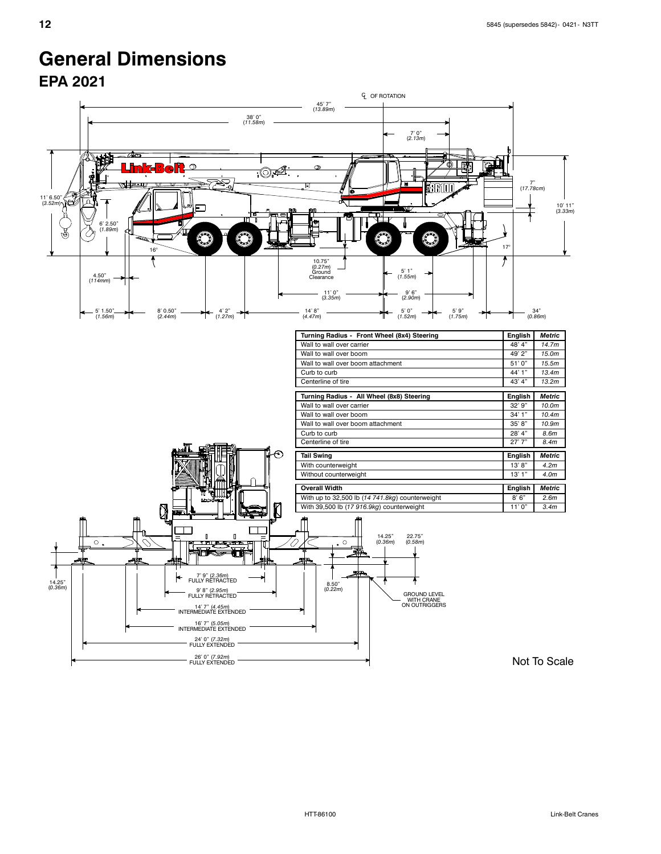# **General Dimensions**

**EPA 2021**

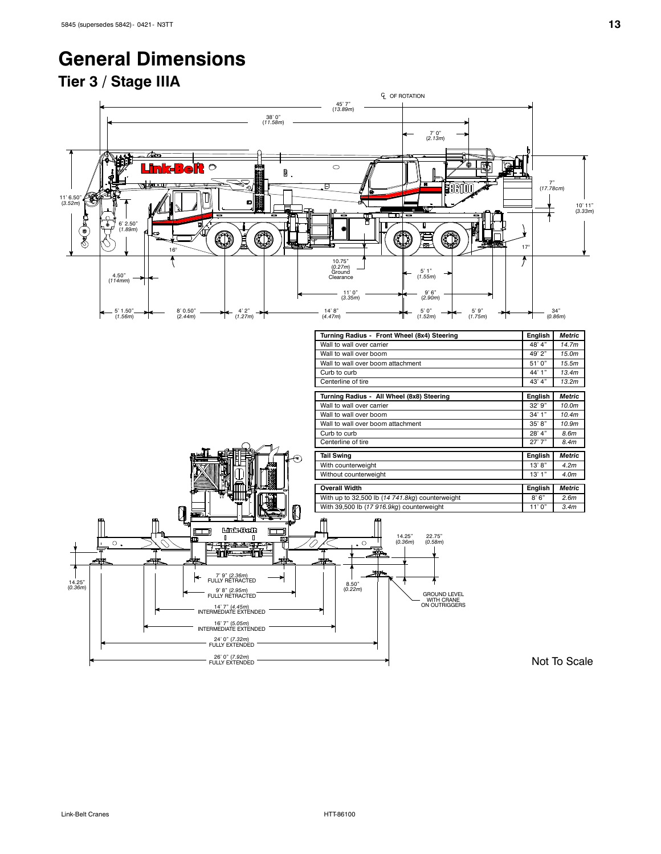# **General Dimensions**

### **Tier 3 / Stage IIIA**

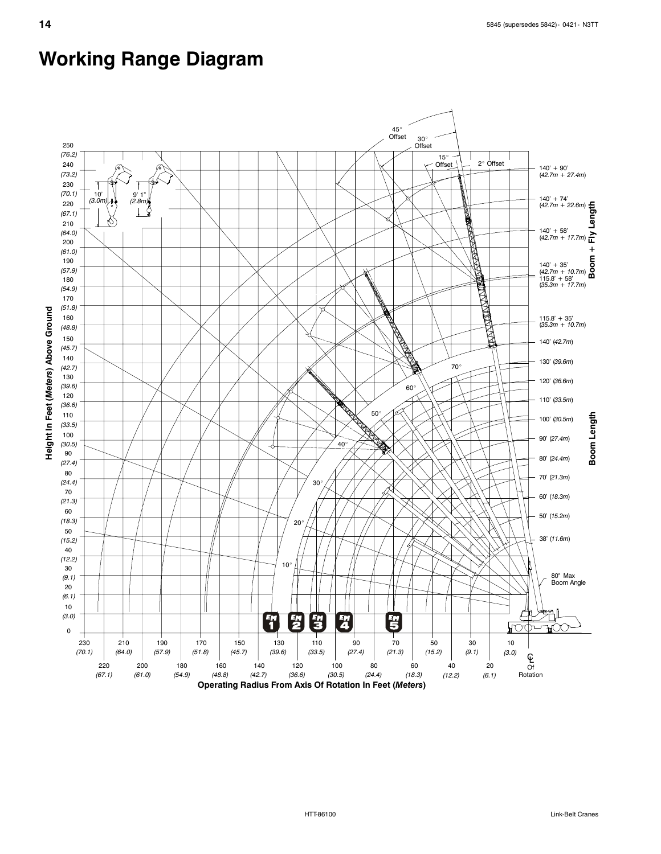# **Working Range Diagram**

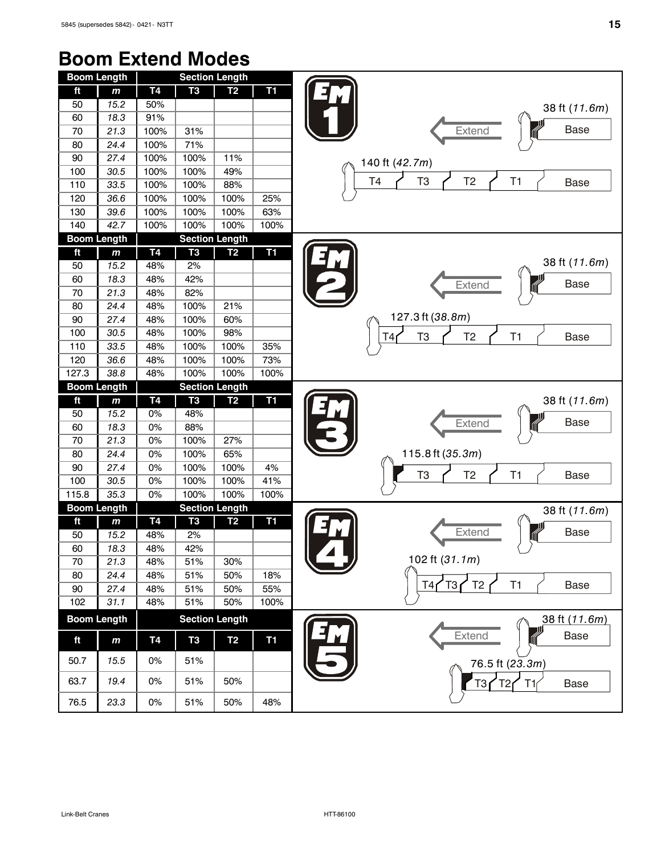# **Boom Extend Modes**

| <b>Boom Length</b> |                    |           |                       | <b>Section Length</b> |                 |                                                             |
|--------------------|--------------------|-----------|-----------------------|-----------------------|-----------------|-------------------------------------------------------------|
| ft                 | $\mathbf{m}$       | <b>T4</b> | T <sub>3</sub>        | T <sub>2</sub>        | T1              |                                                             |
| 50                 | 15.2               | 50%       |                       |                       |                 | 38 ft (11.6m)                                               |
| 60                 | 18.3               | 91%       |                       |                       |                 |                                                             |
| 70                 | 21.3               | 100%      | 31%                   |                       |                 | <b>Base</b><br>Extend                                       |
| 80                 | 24.4               | 100%      | 71%                   |                       |                 |                                                             |
| 90                 | 27.4               | 100%      | 100%                  | 11%                   |                 | 140 ft (42.7m)                                              |
| 100                | 30.5               | 100%      | 100%                  | 49%                   |                 |                                                             |
| 110                | 33.5               | 100%      | 100%                  | 88%                   |                 | T <sub>3</sub><br>T4<br>T <sub>2</sub><br>T1<br><b>Base</b> |
| 120                | 36.6               | 100%      | 100%                  | 100%                  | 25%             |                                                             |
| 130                | 39.6               | 100%      | 100%                  | 100%                  | 63%             |                                                             |
| 140                | 42.7               | 100%      | 100%                  | 100%                  | 100%            |                                                             |
| <b>Boom Length</b> |                    |           | <b>Section Length</b> |                       |                 |                                                             |
| ft                 | $\mathbf m$        | Τ4        | T <sub>3</sub>        | T <sub>2</sub>        | $\overline{11}$ |                                                             |
| 50                 | 15.2               | 48%       | 2%                    |                       |                 | 38 ft (11.6m)                                               |
| 60                 | 18.3               | 48%       | 42%                   |                       |                 | <b>Base</b>                                                 |
| 70                 | 21.3               | 48%       | 82%                   |                       |                 | Extend                                                      |
| 80                 | 24.4               | 48%       | 100%                  | 21%                   |                 |                                                             |
| 90                 | 27.4               | 48%       | 100%                  | 60%                   |                 | 127.3 ft (38.8m)                                            |
| 100                | 30.5               | 48%       | 100%                  | 98%                   |                 | T <sub>3</sub><br>T <sub>2</sub><br>T1<br><b>Base</b><br>T4 |
| 110                | 33.5               | 48%       | 100%                  | 100%                  | 35%             |                                                             |
| 120                | 36.6               | 48%       | 100%                  | 100%                  | 73%             |                                                             |
| 127.3              | 38.8               | 48%       | 100%                  | 100%                  | 100%            |                                                             |
| <b>Boom Length</b> |                    |           |                       | <b>Section Length</b> |                 |                                                             |
| ft                 | $\mathbf{m}$       | T4        | T <sub>3</sub>        | T <sub>2</sub>        | T1              | 38 ft (11.6m)                                               |
| 50                 | 15.2               | 0%        | 48%                   |                       |                 |                                                             |
| 60                 | 18.3               | 0%        | 88%                   |                       |                 | <b>Base</b><br>Extend                                       |
| 70                 | 21.3               | 0%        | 100%                  | 27%                   |                 |                                                             |
| 80                 | 24.4               | 0%        | 100%                  | 65%                   |                 | 115.8 ft (35.3m)                                            |
| 90                 | 27.4               | 0%        | 100%                  | 100%                  | 4%              | T <sub>3</sub><br>T <sub>2</sub><br>T1<br><b>Base</b>       |
| 100                | 30.5               | 0%        | 100%                  | 100%                  | 41%             |                                                             |
| 115.8              | 35.3               | 0%        | 100%                  | 100%                  | 100%            |                                                             |
|                    | <b>Boom Length</b> |           |                       | <b>Section Length</b> |                 | 38 ft (11.6m)                                               |
| ft                 | $\mathbf{m}$       | <b>T4</b> | T <sub>3</sub>        | T <sub>2</sub>        | <b>T1</b>       |                                                             |
| 50                 | 15.2               | 48%       | 2%                    |                       |                 | Extend<br><b>Base</b>                                       |
| 60                 | 18.3               | 48%       | 42%                   |                       |                 |                                                             |
| 70                 | 21.3               | 48%       | 51%                   | 30%                   |                 | 102 ft (31.1m)                                              |
| 80                 | 24.4               | 48%       | 51%                   | 50%                   | 18%             | T <sub>2</sub><br>T <sub>3</sub><br>T1<br><b>Base</b>       |
| 90                 | 27.4               | 48%       | 51%                   | 50%                   | 55%             | T4 <sub>1</sub>                                             |
| 102                | 31.1               | 48%       | 51%                   | 50%                   | 100%            |                                                             |
|                    | <b>Boom Length</b> |           |                       | <b>Section Length</b> |                 | 38 ft (11.6m)                                               |
| ft                 | $\mathbf{m}$       | <b>T4</b> | T <sub>3</sub>        | T <sub>2</sub>        | <b>T1</b>       | Extend<br><b>Base</b>                                       |
| 50.7               | 15.5               | 0%        | 51%                   |                       |                 | 76.5 ft (23.3m)                                             |
| 63.7               | 19.4               | 0%        | 51%                   | 50%                   |                 | T3 <sub>I</sub><br><b>Base</b><br>T2<br>T1                  |
| 76.5               | 23.3               | $0\%$     | 51%                   | 50%                   | 48%             |                                                             |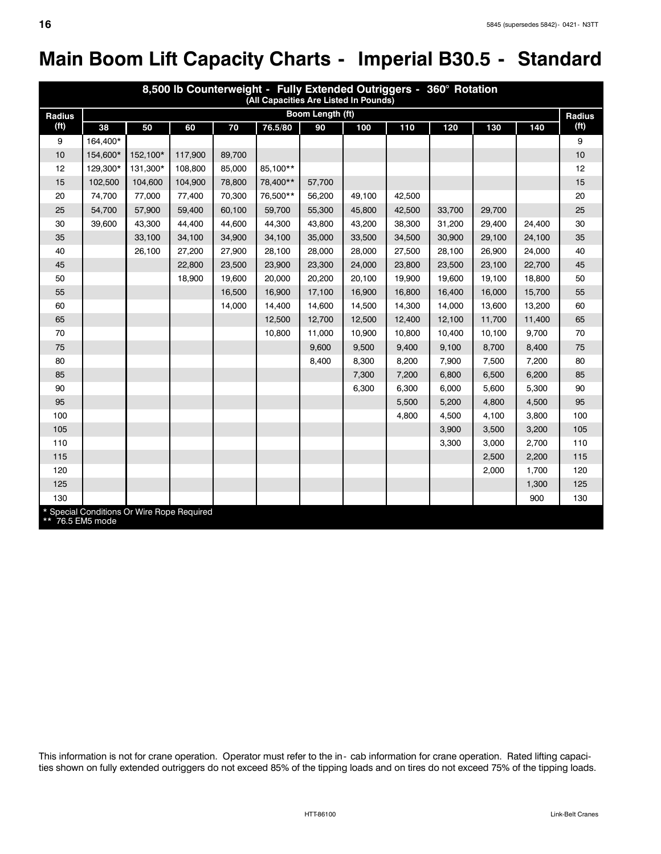# **Main Boom Lift Capacity Charts - Imperial B30.5 - Standard**

| 8,500 lb Counterweight - Fully Extended Outriggers - 360° Rotation<br>(All Capacities Are Listed In Pounds) |          |                                            |         |        |          |                  |        |        |        |        |        |                   |
|-------------------------------------------------------------------------------------------------------------|----------|--------------------------------------------|---------|--------|----------|------------------|--------|--------|--------|--------|--------|-------------------|
| Radius                                                                                                      |          |                                            |         |        |          | Boom Length (ft) |        |        |        |        |        | Radius            |
| (f <sup>t</sup> )                                                                                           | 38       | 50                                         | 60      | 70     | 76.5/80  | 90               | 100    | 110    | 120    | 130    | 140    | (f <sup>t</sup> ) |
| 9                                                                                                           | 164,400* |                                            |         |        |          |                  |        |        |        |        |        | 9                 |
| 10                                                                                                          | 154,600* | 152,100*                                   | 117,900 | 89,700 |          |                  |        |        |        |        |        | 10                |
| 12                                                                                                          | 129.300* | 131,300*                                   | 108,800 | 85,000 | 85,100** |                  |        |        |        |        |        | 12                |
| 15                                                                                                          | 102,500  | 104,600                                    | 104,900 | 78,800 | 78,400** | 57,700           |        |        |        |        |        | 15                |
| 20                                                                                                          | 74,700   | 77,000                                     | 77,400  | 70,300 | 76,500** | 56,200           | 49,100 | 42,500 |        |        |        | 20                |
| 25                                                                                                          | 54,700   | 57,900                                     | 59,400  | 60,100 | 59,700   | 55,300           | 45,800 | 42,500 | 33,700 | 29,700 |        | 25                |
| 30                                                                                                          | 39,600   | 43,300                                     | 44,400  | 44,600 | 44,300   | 43,800           | 43,200 | 38,300 | 31,200 | 29,400 | 24,400 | 30                |
| 35                                                                                                          |          | 33,100                                     | 34,100  | 34,900 | 34,100   | 35,000           | 33,500 | 34,500 | 30,900 | 29,100 | 24,100 | 35                |
| 40                                                                                                          |          | 26,100                                     | 27,200  | 27,900 | 28,100   | 28,000           | 28,000 | 27,500 | 28,100 | 26,900 | 24,000 | 40                |
| 45                                                                                                          |          |                                            | 22,800  | 23,500 | 23,900   | 23,300           | 24,000 | 23,800 | 23,500 | 23,100 | 22,700 | 45                |
| 50                                                                                                          |          |                                            | 18,900  | 19,600 | 20,000   | 20,200           | 20,100 | 19.900 | 19,600 | 19,100 | 18,800 | 50                |
| 55                                                                                                          |          |                                            |         | 16,500 | 16,900   | 17,100           | 16,900 | 16,800 | 16,400 | 16,000 | 15,700 | 55                |
| 60                                                                                                          |          |                                            |         | 14,000 | 14,400   | 14,600           | 14,500 | 14,300 | 14,000 | 13,600 | 13,200 | 60                |
| 65                                                                                                          |          |                                            |         |        | 12,500   | 12,700           | 12,500 | 12,400 | 12,100 | 11,700 | 11,400 | 65                |
| 70                                                                                                          |          |                                            |         |        | 10,800   | 11,000           | 10,900 | 10,800 | 10,400 | 10,100 | 9,700  | 70                |
| 75                                                                                                          |          |                                            |         |        |          | 9,600            | 9,500  | 9,400  | 9,100  | 8,700  | 8,400  | 75                |
| 80                                                                                                          |          |                                            |         |        |          | 8,400            | 8,300  | 8,200  | 7,900  | 7,500  | 7,200  | 80                |
| 85                                                                                                          |          |                                            |         |        |          |                  | 7,300  | 7,200  | 6,800  | 6,500  | 6,200  | 85                |
| 90                                                                                                          |          |                                            |         |        |          |                  | 6,300  | 6,300  | 6,000  | 5,600  | 5,300  | 90                |
| 95                                                                                                          |          |                                            |         |        |          |                  |        | 5,500  | 5,200  | 4,800  | 4,500  | 95                |
| 100                                                                                                         |          |                                            |         |        |          |                  |        | 4,800  | 4,500  | 4,100  | 3,800  | 100               |
| 105                                                                                                         |          |                                            |         |        |          |                  |        |        | 3,900  | 3,500  | 3,200  | 105               |
| 110                                                                                                         |          |                                            |         |        |          |                  |        |        | 3,300  | 3.000  | 2,700  | 110               |
| 115                                                                                                         |          |                                            |         |        |          |                  |        |        |        | 2,500  | 2,200  | 115               |
| 120                                                                                                         |          |                                            |         |        |          |                  |        |        |        | 2,000  | 1,700  | 120               |
| 125                                                                                                         |          |                                            |         |        |          |                  |        |        |        |        | 1,300  | 125               |
| 130                                                                                                         |          |                                            |         |        |          |                  |        |        |        |        | 900    | 130               |
| ** 76.5 EM5 mode                                                                                            |          | * Special Conditions Or Wire Rope Required |         |        |          |                  |        |        |        |        |        |                   |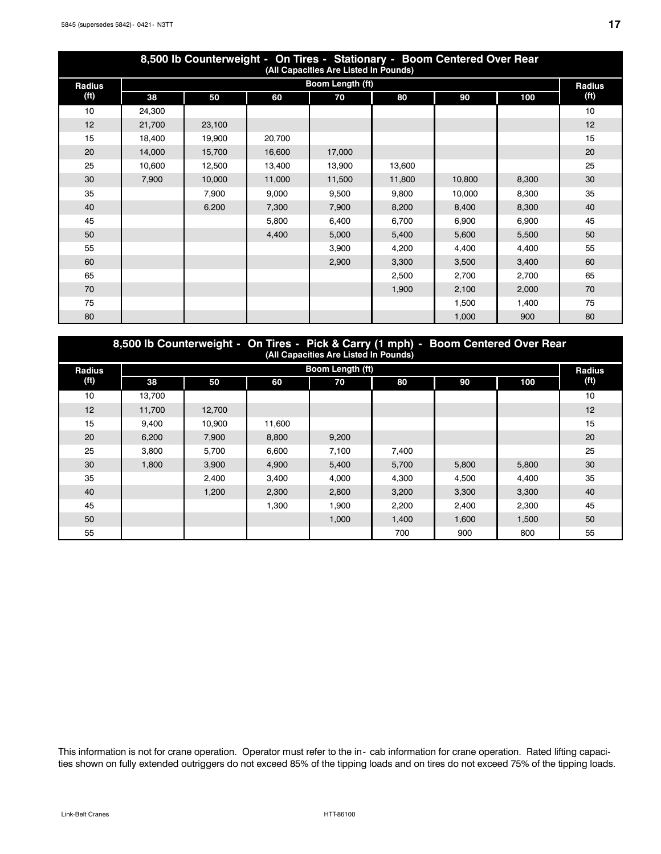| 8,500 lb Counterweight - On Tires - Stationary - Boom Centered Over Rear<br>(All Capacities Are Listed In Pounds) |                  |        |        |        |        |        |       |                   |  |  |  |
|-------------------------------------------------------------------------------------------------------------------|------------------|--------|--------|--------|--------|--------|-------|-------------------|--|--|--|
| <b>Radius</b>                                                                                                     | Boom Length (ft) |        |        |        |        |        |       |                   |  |  |  |
| (f <sup>t</sup> )                                                                                                 | 38               | 50     | 60     | 70     | 80     | 90     | 100   | (f <sup>t</sup> ) |  |  |  |
| 10                                                                                                                | 24,300           |        |        |        |        |        |       | 10                |  |  |  |
| 12                                                                                                                | 21,700           | 23,100 |        |        |        |        |       | 12                |  |  |  |
| 15                                                                                                                | 18,400           | 19,900 | 20,700 |        |        |        |       | 15                |  |  |  |
| 20                                                                                                                | 14,000           | 15,700 | 16,600 | 17,000 |        |        |       | 20                |  |  |  |
| 25                                                                                                                | 10,600           | 12,500 | 13,400 | 13,900 | 13,600 |        |       | 25                |  |  |  |
| 30                                                                                                                | 7,900            | 10,000 | 11,000 | 11,500 | 11,800 | 10,800 | 8,300 | 30                |  |  |  |
| 35                                                                                                                |                  | 7,900  | 9,000  | 9,500  | 9,800  | 10,000 | 8,300 | 35                |  |  |  |
| 40                                                                                                                |                  | 6,200  | 7,300  | 7,900  | 8,200  | 8,400  | 8,300 | 40                |  |  |  |
| 45                                                                                                                |                  |        | 5,800  | 6,400  | 6,700  | 6,900  | 6,900 | 45                |  |  |  |
| 50                                                                                                                |                  |        | 4,400  | 5,000  | 5,400  | 5,600  | 5,500 | 50                |  |  |  |
| 55                                                                                                                |                  |        |        | 3,900  | 4,200  | 4,400  | 4,400 | 55                |  |  |  |
| 60                                                                                                                |                  |        |        | 2,900  | 3,300  | 3,500  | 3,400 | 60                |  |  |  |
| 65                                                                                                                |                  |        |        |        | 2,500  | 2,700  | 2,700 | 65                |  |  |  |
| 70                                                                                                                |                  |        |        |        | 1,900  | 2,100  | 2,000 | 70                |  |  |  |
| 75                                                                                                                |                  |        |        |        |        | 1,500  | 1,400 | 75                |  |  |  |
| 80                                                                                                                |                  |        |        |        |        | 1,000  | 900   | 80                |  |  |  |

|                   | 8,500 lb Counterweight - On Tires - Pick & Carry (1 mph) - Boom Centered Over Rear<br>(All Capacities Are Listed In Pounds) |                  |        |       |       |       |       |                   |  |  |  |  |
|-------------------|-----------------------------------------------------------------------------------------------------------------------------|------------------|--------|-------|-------|-------|-------|-------------------|--|--|--|--|
| Radius            |                                                                                                                             | Boom Length (ft) |        |       |       |       |       |                   |  |  |  |  |
| (f <sup>t</sup> ) | 38                                                                                                                          | 50               | 60     | 70    | 80    | 90    | 100   | (f <sup>t</sup> ) |  |  |  |  |
| 10                | 13,700                                                                                                                      |                  |        |       |       |       |       | 10                |  |  |  |  |
| 12                | 11,700                                                                                                                      | 12,700           |        |       |       |       |       | 12                |  |  |  |  |
| 15                | 9.400                                                                                                                       | 10.900           | 11,600 |       |       |       |       | 15                |  |  |  |  |
| 20                | 6.200                                                                                                                       | 7.900            | 8.800  | 9,200 |       |       |       | 20                |  |  |  |  |
| 25                | 3.800                                                                                                                       | 5.700            | 6.600  | 7,100 | 7,400 |       |       | 25                |  |  |  |  |
| 30                | 1.800                                                                                                                       | 3.900            | 4.900  | 5.400 | 5.700 | 5,800 | 5,800 | 30                |  |  |  |  |
| 35                |                                                                                                                             | 2.400            | 3.400  | 4.000 | 4.300 | 4.500 | 4.400 | 35                |  |  |  |  |
| 40                |                                                                                                                             | 1.200            | 2.300  | 2.800 | 3,200 | 3.300 | 3.300 | 40                |  |  |  |  |
| 45                |                                                                                                                             |                  | 1.300  | 1.900 | 2,200 | 2.400 | 2.300 | 45                |  |  |  |  |
| 50                |                                                                                                                             |                  |        | 1.000 | 1.400 | 1.600 | 1.500 | 50                |  |  |  |  |
| 55                |                                                                                                                             |                  |        |       | 700   | 900   | 800   | 55                |  |  |  |  |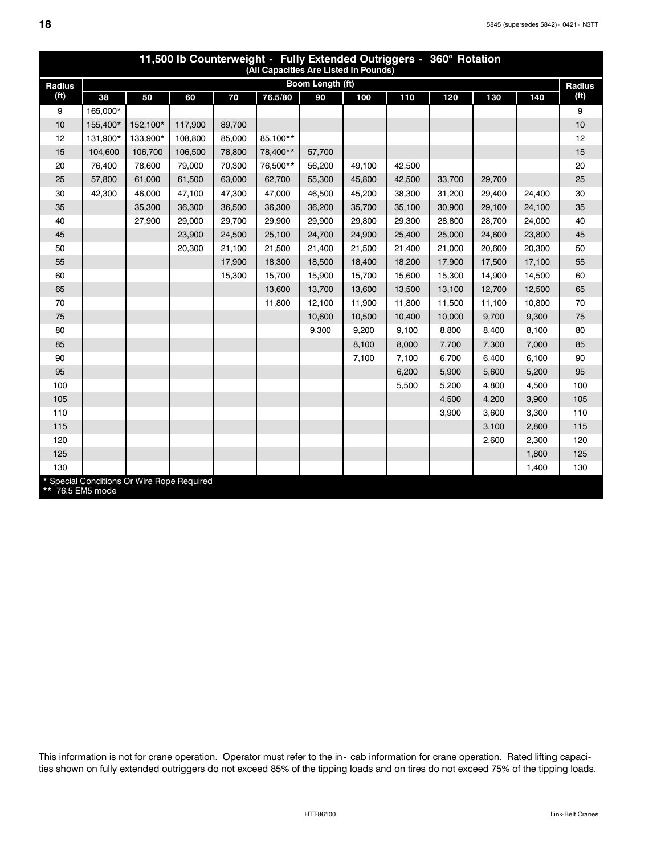| 11,500 lb Counterweight - Fully Extended Outriggers - 360° Rotation<br>(All Capacities Are Listed In Pounds) |                                            |          |         |        |          |                  |        |        |        |        |        |                   |
|--------------------------------------------------------------------------------------------------------------|--------------------------------------------|----------|---------|--------|----------|------------------|--------|--------|--------|--------|--------|-------------------|
| <b>Radius</b>                                                                                                |                                            |          |         |        |          | Boom Length (ft) |        |        |        |        |        | Radius            |
| (f <sup>t</sup> )                                                                                            | 38                                         | 50       | 60      | 70     | 76.5/80  | 90               | 100    | 110    | 120    | 130    | 140    | (f <sup>t</sup> ) |
| 9                                                                                                            | 165.000*                                   |          |         |        |          |                  |        |        |        |        |        | 9                 |
| 10                                                                                                           | 155,400*                                   | 152,100* | 117,900 | 89,700 |          |                  |        |        |        |        |        | 10                |
| 12                                                                                                           | 131,900*                                   | 133,900* | 108,800 | 85,000 | 85.100** |                  |        |        |        |        |        | 12                |
| 15                                                                                                           | 104,600                                    | 106,700  | 106,500 | 78,800 | 78,400** | 57,700           |        |        |        |        |        | 15                |
| 20                                                                                                           | 76,400                                     | 78,600   | 79,000  | 70,300 | 76.500** | 56,200           | 49,100 | 42,500 |        |        |        | 20                |
| 25                                                                                                           | 57,800                                     | 61,000   | 61,500  | 63,000 | 62,700   | 55,300           | 45,800 | 42,500 | 33,700 | 29,700 |        | 25                |
| 30                                                                                                           | 42,300                                     | 46,000   | 47,100  | 47,300 | 47,000   | 46,500           | 45,200 | 38,300 | 31,200 | 29,400 | 24,400 | 30                |
| 35                                                                                                           |                                            | 35,300   | 36,300  | 36,500 | 36,300   | 36,200           | 35,700 | 35,100 | 30,900 | 29,100 | 24,100 | 35                |
| 40                                                                                                           |                                            | 27,900   | 29,000  | 29,700 | 29,900   | 29,900           | 29,800 | 29,300 | 28,800 | 28,700 | 24,000 | 40                |
| 45                                                                                                           |                                            |          | 23,900  | 24,500 | 25,100   | 24,700           | 24,900 | 25,400 | 25,000 | 24,600 | 23,800 | 45                |
| 50                                                                                                           |                                            |          | 20,300  | 21,100 | 21,500   | 21,400           | 21,500 | 21,400 | 21,000 | 20,600 | 20,300 | 50                |
| 55                                                                                                           |                                            |          |         | 17,900 | 18,300   | 18,500           | 18,400 | 18,200 | 17,900 | 17,500 | 17,100 | 55                |
| 60                                                                                                           |                                            |          |         | 15,300 | 15,700   | 15,900           | 15,700 | 15,600 | 15,300 | 14,900 | 14,500 | 60                |
| 65                                                                                                           |                                            |          |         |        | 13,600   | 13,700           | 13,600 | 13,500 | 13,100 | 12,700 | 12,500 | 65                |
| 70                                                                                                           |                                            |          |         |        | 11,800   | 12,100           | 11,900 | 11,800 | 11,500 | 11,100 | 10,800 | 70                |
| 75                                                                                                           |                                            |          |         |        |          | 10,600           | 10,500 | 10,400 | 10,000 | 9,700  | 9,300  | 75                |
| 80                                                                                                           |                                            |          |         |        |          | 9,300            | 9,200  | 9,100  | 8,800  | 8,400  | 8,100  | 80                |
| 85                                                                                                           |                                            |          |         |        |          |                  | 8,100  | 8,000  | 7,700  | 7,300  | 7,000  | 85                |
| 90                                                                                                           |                                            |          |         |        |          |                  | 7,100  | 7,100  | 6,700  | 6,400  | 6,100  | 90                |
| 95                                                                                                           |                                            |          |         |        |          |                  |        | 6,200  | 5,900  | 5,600  | 5,200  | 95                |
| 100                                                                                                          |                                            |          |         |        |          |                  |        | 5,500  | 5,200  | 4,800  | 4,500  | 100               |
| 105                                                                                                          |                                            |          |         |        |          |                  |        |        | 4,500  | 4,200  | 3,900  | 105               |
| 110                                                                                                          |                                            |          |         |        |          |                  |        |        | 3,900  | 3,600  | 3,300  | 110               |
| 115                                                                                                          |                                            |          |         |        |          |                  |        |        |        | 3,100  | 2,800  | 115               |
| 120                                                                                                          |                                            |          |         |        |          |                  |        |        |        | 2,600  | 2.300  | 120               |
| 125                                                                                                          |                                            |          |         |        |          |                  |        |        |        |        | 1,800  | 125               |
| 130                                                                                                          |                                            |          |         |        |          |                  |        |        |        |        | 1,400  | 130               |
| ** 76.5 EM5 mode                                                                                             | * Special Conditions Or Wire Rope Required |          |         |        |          |                  |        |        |        |        |        |                   |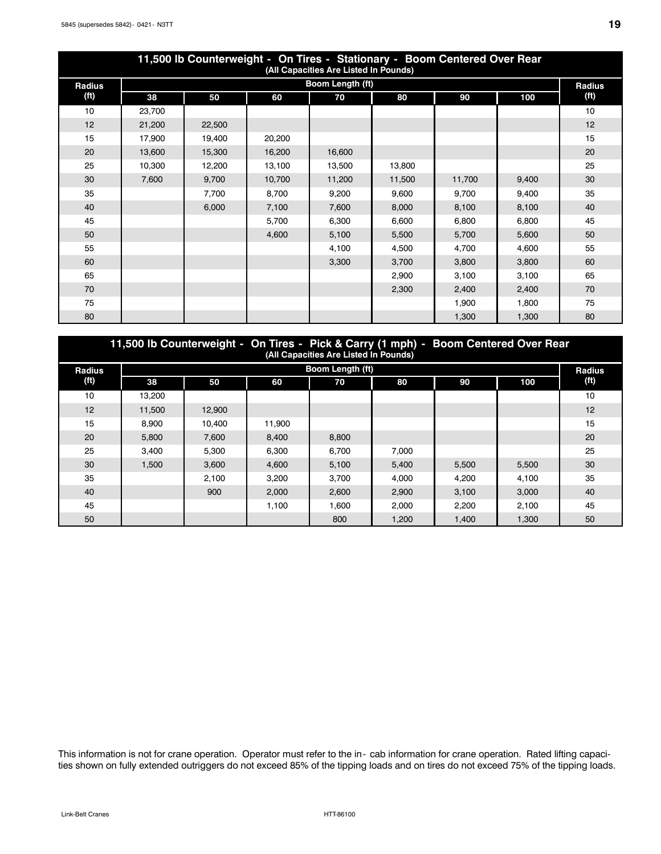| 11,500 lb Counterweight - On Tires - Stationary - Boom Centered Over Rear<br>(All Capacities Are Listed In Pounds) |        |        |        |                  |        |        |       |                   |  |  |  |
|--------------------------------------------------------------------------------------------------------------------|--------|--------|--------|------------------|--------|--------|-------|-------------------|--|--|--|
| <b>Radius</b>                                                                                                      |        |        |        | Boom Length (ft) |        |        |       | <b>Radius</b>     |  |  |  |
| (f <sup>t</sup> )                                                                                                  | 38     | 50     | 60     | 70               | 80     | 90     | 100   | (f <sup>t</sup> ) |  |  |  |
| 10                                                                                                                 | 23,700 |        |        |                  |        |        |       | 10                |  |  |  |
| 12                                                                                                                 | 21,200 | 22,500 |        |                  |        |        |       | 12                |  |  |  |
| 15                                                                                                                 | 17,900 | 19,400 | 20,200 |                  |        |        |       | 15                |  |  |  |
| 20                                                                                                                 | 13,600 | 15,300 | 16,200 | 16,600           |        |        |       | 20                |  |  |  |
| 25                                                                                                                 | 10,300 | 12,200 | 13,100 | 13,500           | 13,800 |        |       | 25                |  |  |  |
| 30                                                                                                                 | 7,600  | 9,700  | 10,700 | 11,200           | 11,500 | 11,700 | 9,400 | 30                |  |  |  |
| 35                                                                                                                 |        | 7,700  | 8,700  | 9,200            | 9,600  | 9,700  | 9,400 | 35                |  |  |  |
| 40                                                                                                                 |        | 6,000  | 7,100  | 7,600            | 8,000  | 8,100  | 8,100 | 40                |  |  |  |
| 45                                                                                                                 |        |        | 5,700  | 6,300            | 6,600  | 6,800  | 6,800 | 45                |  |  |  |
| 50                                                                                                                 |        |        | 4,600  | 5,100            | 5,500  | 5,700  | 5,600 | 50                |  |  |  |
| 55                                                                                                                 |        |        |        | 4,100            | 4,500  | 4,700  | 4,600 | 55                |  |  |  |
| 60                                                                                                                 |        |        |        | 3,300            | 3,700  | 3,800  | 3,800 | 60                |  |  |  |
| 65                                                                                                                 |        |        |        |                  | 2,900  | 3,100  | 3,100 | 65                |  |  |  |
| 70                                                                                                                 |        |        |        |                  | 2,300  | 2,400  | 2,400 | 70                |  |  |  |
| 75                                                                                                                 |        |        |        |                  |        | 1,900  | 1,800 | 75                |  |  |  |
| 80                                                                                                                 |        |        |        |                  |        | 1,300  | 1,300 | 80                |  |  |  |

|               | 11,500 lb Counterweight - On Tires - Pick & Carry (1 mph) - Boom Centered Over Rear<br>(All Capacities Are Listed In Pounds) |        |        |                  |       |       |       |                   |  |  |  |
|---------------|------------------------------------------------------------------------------------------------------------------------------|--------|--------|------------------|-------|-------|-------|-------------------|--|--|--|
| <b>Radius</b> |                                                                                                                              |        |        | Boom Length (ft) |       |       |       | <b>Radius</b>     |  |  |  |
| (ft)          | 38                                                                                                                           | 50     | 60     | 70               | 80    | 90    | 100   | (f <sup>t</sup> ) |  |  |  |
| 10            | 13.200                                                                                                                       |        |        |                  |       |       |       | 10                |  |  |  |
| 12            | 11.500                                                                                                                       | 12.900 |        |                  |       |       |       | 12                |  |  |  |
| 15            | 8.900                                                                                                                        | 10.400 | 11.900 |                  |       |       |       | 15                |  |  |  |
| 20            | 5.800                                                                                                                        | 7.600  | 8.400  | 8.800            |       |       |       | 20                |  |  |  |
| 25            | 3.400                                                                                                                        | 5.300  | 6.300  | 6.700            | 7.000 |       |       | 25                |  |  |  |
| 30            | 1,500                                                                                                                        | 3.600  | 4.600  | 5,100            | 5,400 | 5.500 | 5,500 | 30                |  |  |  |
| 35            |                                                                                                                              | 2.100  | 3.200  | 3.700            | 4.000 | 4.200 | 4,100 | 35                |  |  |  |
| 40            |                                                                                                                              | 900    | 2.000  | 2.600            | 2.900 | 3.100 | 3.000 | 40                |  |  |  |
| 45            |                                                                                                                              |        | 1.100  | 1.600            | 2.000 | 2.200 | 2.100 | 45                |  |  |  |
| 50            |                                                                                                                              |        |        | 800              | 1.200 | 1.400 | 1.300 | 50                |  |  |  |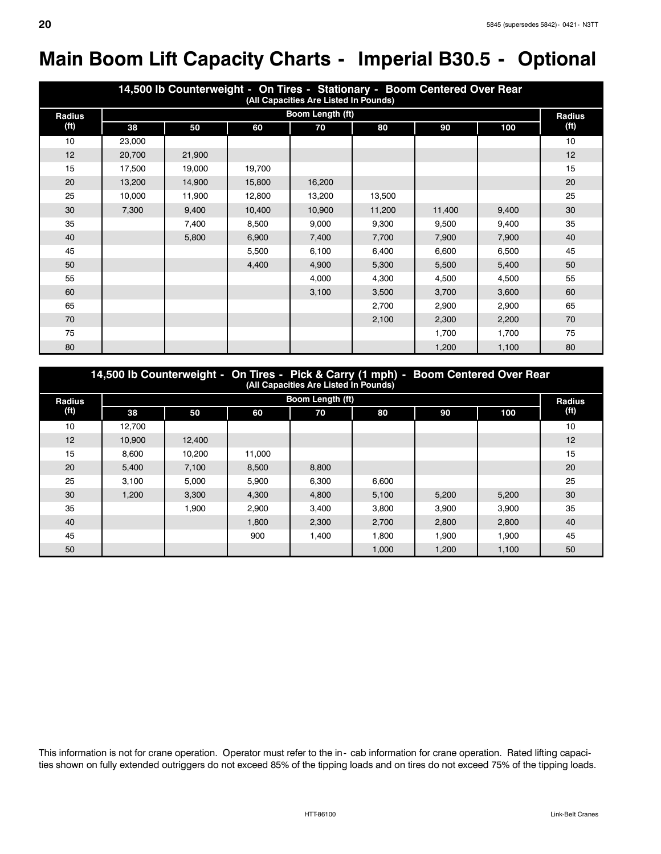# **Main Boom Lift Capacity Charts - Imperial B30.5 - Optional**

|                   | 14,500 lb Counterweight - On Tires - Stationary - Boom Centered Over Rear<br>(All Capacities Are Listed In Pounds) |        |        |                  |        |        |       |                   |  |  |  |  |
|-------------------|--------------------------------------------------------------------------------------------------------------------|--------|--------|------------------|--------|--------|-------|-------------------|--|--|--|--|
| Radius            |                                                                                                                    |        |        | Boom Length (ft) |        |        |       | <b>Radius</b>     |  |  |  |  |
| (f <sup>t</sup> ) | 38                                                                                                                 | 50     | 60     | 70               | 80     | 90     | 100   | (f <sup>t</sup> ) |  |  |  |  |
| 10                | 23,000                                                                                                             |        |        |                  |        |        |       | 10                |  |  |  |  |
| 12                | 20,700                                                                                                             | 21,900 |        |                  |        |        |       | 12                |  |  |  |  |
| 15                | 17,500                                                                                                             | 19,000 | 19,700 |                  |        |        |       | 15                |  |  |  |  |
| 20                | 13,200                                                                                                             | 14,900 | 15,800 | 16,200           |        |        |       | 20                |  |  |  |  |
| 25                | 10,000                                                                                                             | 11,900 | 12,800 | 13,200           | 13,500 |        |       | 25                |  |  |  |  |
| 30                | 7,300                                                                                                              | 9,400  | 10,400 | 10,900           | 11,200 | 11,400 | 9,400 | 30                |  |  |  |  |
| 35                |                                                                                                                    | 7,400  | 8,500  | 9,000            | 9,300  | 9,500  | 9,400 | 35                |  |  |  |  |
| 40                |                                                                                                                    | 5,800  | 6,900  | 7,400            | 7,700  | 7,900  | 7,900 | 40                |  |  |  |  |
| 45                |                                                                                                                    |        | 5,500  | 6,100            | 6,400  | 6,600  | 6,500 | 45                |  |  |  |  |
| 50                |                                                                                                                    |        | 4,400  | 4,900            | 5,300  | 5,500  | 5,400 | 50                |  |  |  |  |
| 55                |                                                                                                                    |        |        | 4,000            | 4,300  | 4,500  | 4,500 | 55                |  |  |  |  |
| 60                |                                                                                                                    |        |        | 3,100            | 3,500  | 3,700  | 3,600 | 60                |  |  |  |  |
| 65                |                                                                                                                    |        |        |                  | 2,700  | 2,900  | 2,900 | 65                |  |  |  |  |
| 70                |                                                                                                                    |        |        |                  | 2,100  | 2,300  | 2,200 | 70                |  |  |  |  |
| 75                |                                                                                                                    |        |        |                  |        | 1,700  | 1,700 | 75                |  |  |  |  |
| 80                |                                                                                                                    |        |        |                  |        | 1,200  | 1,100 | 80                |  |  |  |  |

| 14,500 lb Counterweight - On Tires - Pick & Carry (1 mph) - Boom Centered Over Rear<br>(All Capacities Are Listed In Pounds) |        |        |        |                         |       |       |       |        |  |  |  |
|------------------------------------------------------------------------------------------------------------------------------|--------|--------|--------|-------------------------|-------|-------|-------|--------|--|--|--|
| <b>Radius</b>                                                                                                                |        |        |        | <b>Boom Length (ft)</b> |       |       |       | Radius |  |  |  |
| (ft)                                                                                                                         | 38     | 50     | 60     | 70                      | 80    | 90    | 100   | (ft)   |  |  |  |
| 10                                                                                                                           | 12.700 |        |        |                         |       |       |       | 10     |  |  |  |
| 12                                                                                                                           | 10.900 | 12.400 |        |                         |       |       |       | 12     |  |  |  |
| 15                                                                                                                           | 8.600  | 10,200 | 11,000 |                         |       |       |       | 15     |  |  |  |
| 20                                                                                                                           | 5,400  | 7,100  | 8,500  | 8,800                   |       |       |       | 20     |  |  |  |
| 25                                                                                                                           | 3.100  | 5.000  | 5.900  | 6.300                   | 6.600 |       |       | 25     |  |  |  |
| 30                                                                                                                           | 1.200  | 3.300  | 4.300  | 4.800                   | 5.100 | 5.200 | 5,200 | 30     |  |  |  |
| 35                                                                                                                           |        | 1.900  | 2.900  | 3.400                   | 3.800 | 3.900 | 3.900 | 35     |  |  |  |
| 40                                                                                                                           |        |        | 1.800  | 2,300                   | 2,700 | 2,800 | 2,800 | 40     |  |  |  |
| 45                                                                                                                           |        |        | 900    | 1.400                   | 1.800 | 1.900 | 1.900 | 45     |  |  |  |
| 50                                                                                                                           |        |        |        |                         | 1.000 | 1,200 | 1.100 | 50     |  |  |  |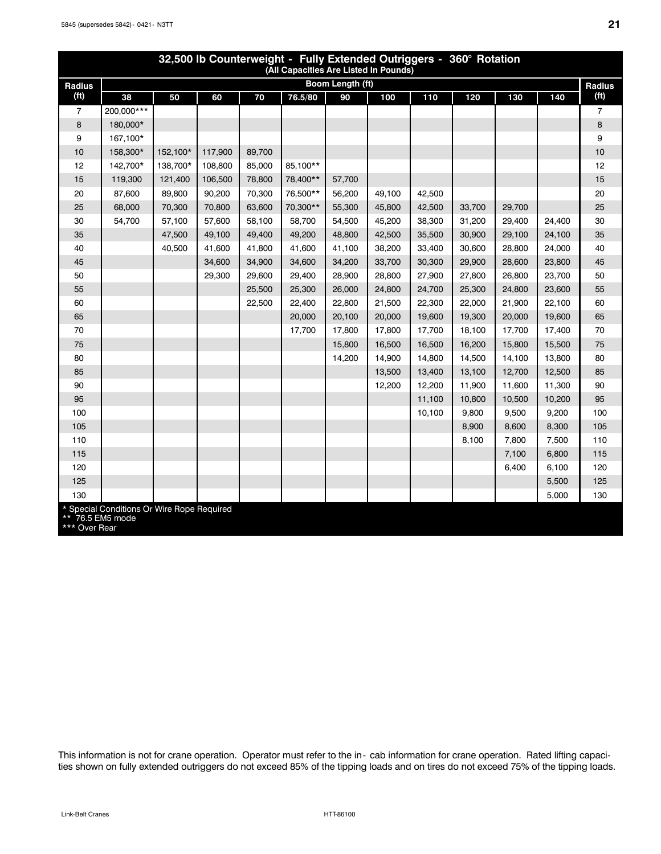|                   | 32,500 lb Counterweight - Fully Extended Outriggers - 360° Rotation<br>(All Capacities Are Listed In Pounds) |          |         |        |          |                  |        |        |        |        |        |                   |
|-------------------|--------------------------------------------------------------------------------------------------------------|----------|---------|--------|----------|------------------|--------|--------|--------|--------|--------|-------------------|
| Radius            |                                                                                                              |          |         |        |          | Boom Length (ft) |        |        |        |        |        | Radius            |
| (f <sup>t</sup> ) | 38                                                                                                           | 50       | 60      | 70     | 76.5/80  | 90               | 100    | 110    | 120    | 130    | 140    | (f <sup>t</sup> ) |
| $\overline{7}$    | 200,000***                                                                                                   |          |         |        |          |                  |        |        |        |        |        | $\overline{7}$    |
| 8                 | 180,000*                                                                                                     |          |         |        |          |                  |        |        |        |        |        | 8                 |
| 9                 | 167,100*                                                                                                     |          |         |        |          |                  |        |        |        |        |        | 9                 |
| 10                | 158,300*                                                                                                     | 152,100* | 117,900 | 89,700 |          |                  |        |        |        |        |        | 10                |
| 12                | 142.700*                                                                                                     | 138.700* | 108,800 | 85,000 | 85.100** |                  |        |        |        |        |        | 12                |
| 15                | 119,300                                                                                                      | 121,400  | 106,500 | 78,800 | 78,400** | 57,700           |        |        |        |        |        | 15                |
| 20                | 87,600                                                                                                       | 89,800   | 90,200  | 70,300 | 76,500** | 56,200           | 49,100 | 42,500 |        |        |        | 20                |
| 25                | 68,000                                                                                                       | 70,300   | 70,800  | 63,600 | 70,300** | 55,300           | 45,800 | 42,500 | 33,700 | 29,700 |        | 25                |
| 30                | 54,700                                                                                                       | 57,100   | 57,600  | 58.100 | 58,700   | 54,500           | 45,200 | 38,300 | 31,200 | 29,400 | 24,400 | 30                |
| 35                |                                                                                                              | 47,500   | 49,100  | 49,400 | 49,200   | 48,800           | 42,500 | 35,500 | 30,900 | 29,100 | 24,100 | 35                |
| 40                |                                                                                                              | 40,500   | 41,600  | 41,800 | 41,600   | 41,100           | 38,200 | 33,400 | 30,600 | 28,800 | 24,000 | 40                |
| 45                |                                                                                                              |          | 34,600  | 34,900 | 34,600   | 34,200           | 33,700 | 30,300 | 29,900 | 28,600 | 23,800 | 45                |
| 50                |                                                                                                              |          | 29,300  | 29,600 | 29,400   | 28,900           | 28,800 | 27,900 | 27,800 | 26,800 | 23,700 | 50                |
| 55                |                                                                                                              |          |         | 25,500 | 25,300   | 26,000           | 24,800 | 24,700 | 25,300 | 24,800 | 23,600 | 55                |
| 60                |                                                                                                              |          |         | 22,500 | 22,400   | 22,800           | 21,500 | 22,300 | 22,000 | 21,900 | 22,100 | 60                |
| 65                |                                                                                                              |          |         |        | 20,000   | 20,100           | 20,000 | 19,600 | 19,300 | 20,000 | 19,600 | 65                |
| 70                |                                                                                                              |          |         |        | 17,700   | 17,800           | 17,800 | 17,700 | 18,100 | 17,700 | 17,400 | 70                |
| 75                |                                                                                                              |          |         |        |          | 15,800           | 16,500 | 16,500 | 16,200 | 15,800 | 15,500 | 75                |
| 80                |                                                                                                              |          |         |        |          | 14,200           | 14,900 | 14,800 | 14,500 | 14,100 | 13,800 | 80                |
| 85                |                                                                                                              |          |         |        |          |                  | 13,500 | 13,400 | 13,100 | 12,700 | 12,500 | 85                |
| 90                |                                                                                                              |          |         |        |          |                  | 12,200 | 12,200 | 11,900 | 11,600 | 11,300 | 90                |
| 95                |                                                                                                              |          |         |        |          |                  |        | 11,100 | 10,800 | 10,500 | 10,200 | 95                |
| 100               |                                                                                                              |          |         |        |          |                  |        | 10,100 | 9,800  | 9,500  | 9,200  | 100               |
| 105               |                                                                                                              |          |         |        |          |                  |        |        | 8,900  | 8,600  | 8,300  | 105               |
| 110               |                                                                                                              |          |         |        |          |                  |        |        | 8,100  | 7,800  | 7,500  | 110               |
| 115               |                                                                                                              |          |         |        |          |                  |        |        |        | 7,100  | 6,800  | 115               |
| 120               |                                                                                                              |          |         |        |          |                  |        |        |        | 6,400  | 6.100  | 120               |
| 125               |                                                                                                              |          |         |        |          |                  |        |        |        |        | 5,500  | 125               |
| 130               |                                                                                                              |          |         |        |          |                  |        |        |        |        | 5,000  | 130               |
| ** 76.5 EM5 mode  | Special Conditions Or Wire Rope Required                                                                     |          |         |        |          |                  |        |        |        |        |        |                   |

\*\* Over Rear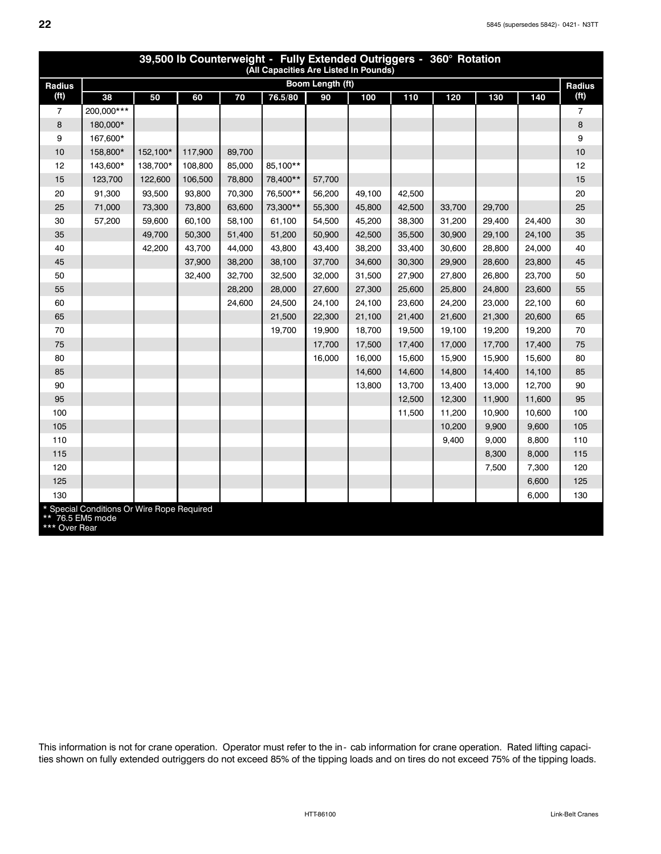| 39,500 lb Counterweight - Fully Extended Outriggers - 360° Rotation<br>(All Capacities Are Listed In Pounds) |                                            |          |         |        |          |                  |        |        |        |        |        |                   |
|--------------------------------------------------------------------------------------------------------------|--------------------------------------------|----------|---------|--------|----------|------------------|--------|--------|--------|--------|--------|-------------------|
| Radius                                                                                                       |                                            |          |         |        |          | Boom Length (ft) |        |        |        |        |        | Radius            |
| (f <sup>t</sup> )                                                                                            | 38                                         | 50       | 60      | 70     | 76.5/80  | 90               | 100    | 110    | 120    | 130    | 140    | (f <sup>t</sup> ) |
| 7                                                                                                            | 200,000***                                 |          |         |        |          |                  |        |        |        |        |        | 7                 |
| 8                                                                                                            | 180,000*                                   |          |         |        |          |                  |        |        |        |        |        | 8                 |
| 9                                                                                                            | 167.600*                                   |          |         |        |          |                  |        |        |        |        |        | 9                 |
| 10                                                                                                           | 158,800*                                   | 152,100* | 117,900 | 89,700 |          |                  |        |        |        |        |        | 10                |
| 12                                                                                                           | 143,600*                                   | 138,700* | 108,800 | 85,000 | 85,100** |                  |        |        |        |        |        | 12                |
| 15                                                                                                           | 123,700                                    | 122,600  | 106,500 | 78,800 | 78,400** | 57,700           |        |        |        |        |        | 15                |
| 20                                                                                                           | 91,300                                     | 93,500   | 93,800  | 70,300 | 76,500** | 56,200           | 49,100 | 42,500 |        |        |        | 20                |
| 25                                                                                                           | 71,000                                     | 73,300   | 73,800  | 63,600 | 73,300** | 55,300           | 45,800 | 42,500 | 33,700 | 29,700 |        | 25                |
| 30                                                                                                           | 57,200                                     | 59,600   | 60,100  | 58,100 | 61,100   | 54,500           | 45,200 | 38,300 | 31,200 | 29,400 | 24,400 | 30                |
| 35                                                                                                           |                                            | 49,700   | 50,300  | 51,400 | 51,200   | 50,900           | 42,500 | 35,500 | 30,900 | 29,100 | 24,100 | 35                |
| 40                                                                                                           |                                            | 42,200   | 43,700  | 44,000 | 43,800   | 43,400           | 38,200 | 33,400 | 30,600 | 28,800 | 24,000 | 40                |
| 45                                                                                                           |                                            |          | 37,900  | 38,200 | 38,100   | 37,700           | 34,600 | 30,300 | 29,900 | 28,600 | 23,800 | 45                |
| 50                                                                                                           |                                            |          | 32,400  | 32,700 | 32,500   | 32,000           | 31,500 | 27,900 | 27,800 | 26,800 | 23,700 | 50                |
| 55                                                                                                           |                                            |          |         | 28,200 | 28,000   | 27,600           | 27,300 | 25,600 | 25,800 | 24,800 | 23,600 | 55                |
| 60                                                                                                           |                                            |          |         | 24,600 | 24,500   | 24,100           | 24,100 | 23,600 | 24,200 | 23,000 | 22,100 | 60                |
| 65                                                                                                           |                                            |          |         |        | 21,500   | 22,300           | 21,100 | 21,400 | 21,600 | 21,300 | 20,600 | 65                |
| 70                                                                                                           |                                            |          |         |        | 19,700   | 19,900           | 18,700 | 19,500 | 19,100 | 19,200 | 19,200 | 70                |
| 75                                                                                                           |                                            |          |         |        |          | 17,700           | 17,500 | 17,400 | 17,000 | 17,700 | 17,400 | 75                |
| 80                                                                                                           |                                            |          |         |        |          | 16,000           | 16,000 | 15,600 | 15,900 | 15,900 | 15,600 | 80                |
| 85                                                                                                           |                                            |          |         |        |          |                  | 14,600 | 14,600 | 14,800 | 14,400 | 14,100 | 85                |
| 90                                                                                                           |                                            |          |         |        |          |                  | 13,800 | 13,700 | 13,400 | 13,000 | 12,700 | 90                |
| 95                                                                                                           |                                            |          |         |        |          |                  |        | 12,500 | 12,300 | 11,900 | 11,600 | 95                |
| 100                                                                                                          |                                            |          |         |        |          |                  |        | 11,500 | 11,200 | 10,900 | 10,600 | 100               |
| 105                                                                                                          |                                            |          |         |        |          |                  |        |        | 10,200 | 9,900  | 9,600  | 105               |
| 110                                                                                                          |                                            |          |         |        |          |                  |        |        | 9,400  | 9,000  | 8,800  | 110               |
| 115                                                                                                          |                                            |          |         |        |          |                  |        |        |        | 8,300  | 8,000  | 115               |
| 120                                                                                                          |                                            |          |         |        |          |                  |        |        |        | 7,500  | 7,300  | 120               |
| 125                                                                                                          |                                            |          |         |        |          |                  |        |        |        |        | 6,600  | 125               |
| 130                                                                                                          |                                            |          |         |        |          |                  |        |        |        |        | 6,000  | 130               |
| ** 76.5 EM5 mode                                                                                             | * Special Conditions Or Wire Rope Required |          |         |        |          |                  |        |        |        |        |        |                   |

\*\*\* Over Rear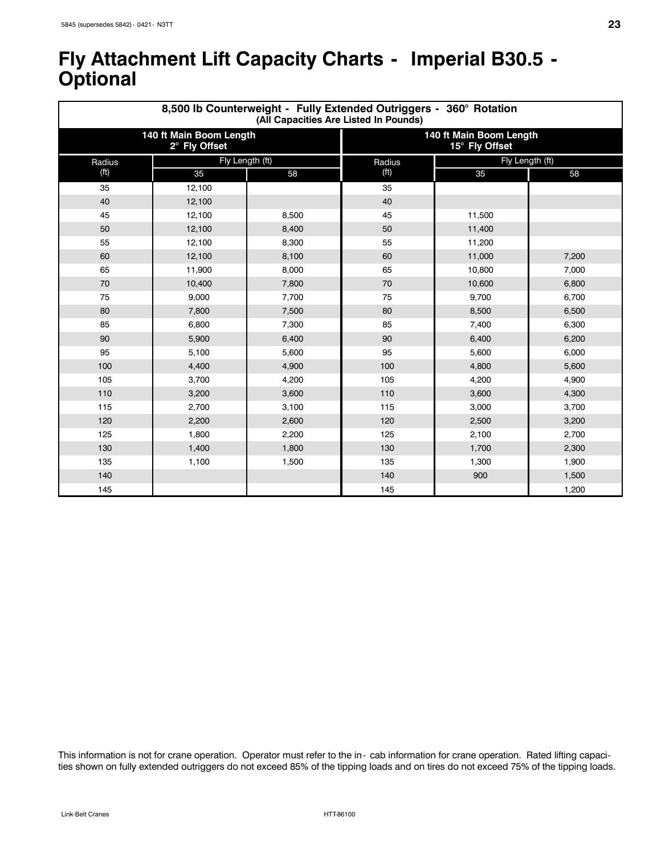### **Fly Attachment Lift Capacity Charts - Imperial B30.5 - Optional**

|                   |                                          | 8,500 lb Counterweight - Fully Extended Outriggers - 360° Rotation<br>(All Capacities Are Listed In Pounds) |                                           |                 |       |  |  |
|-------------------|------------------------------------------|-------------------------------------------------------------------------------------------------------------|-------------------------------------------|-----------------|-------|--|--|
|                   | 140 ft Main Boom Length<br>2° Fly Offset |                                                                                                             | 140 ft Main Boom Length<br>15° Fly Offset |                 |       |  |  |
| Radius            | Fly Length (ft)                          |                                                                                                             | Radius                                    | Fly Length (ft) |       |  |  |
| (f <sup>t</sup> ) | 35                                       | 58                                                                                                          | (f <sup>t</sup> )                         | 35              | 58    |  |  |
| 35                | 12,100                                   |                                                                                                             | 35                                        |                 |       |  |  |
| 40                | 12,100                                   |                                                                                                             | 40                                        |                 |       |  |  |
| 45                | 12,100                                   | 8,500                                                                                                       | 45                                        | 11,500          |       |  |  |
| 50                | 12,100                                   | 8,400                                                                                                       | 50                                        | 11,400          |       |  |  |
| 55                | 12,100                                   | 8,300                                                                                                       | 55                                        | 11,200          |       |  |  |
| 60                | 12,100                                   | 8,100                                                                                                       | 60                                        | 11,000          | 7,200 |  |  |
| 65                | 11,900                                   | 8,000                                                                                                       | 65                                        | 10,800          | 7,000 |  |  |
| 70                | 10,400                                   | 7,800                                                                                                       | 70                                        | 10,600          | 6,800 |  |  |
| 75                | 9,000                                    | 7,700                                                                                                       | 75                                        | 9,700           | 6,700 |  |  |
| 80                | 7,800                                    | 7,500                                                                                                       | 80                                        | 8,500           | 6,500 |  |  |
| 85                | 6,800                                    | 7,300                                                                                                       | 85                                        | 7,400           | 6,300 |  |  |
| 90                | 5,900                                    | 6,400                                                                                                       | 90                                        | 6,400           | 6,200 |  |  |
| 95                | 5,100                                    | 5,600                                                                                                       | 95                                        | 5,600           | 6,000 |  |  |
| 100               | 4,400                                    | 4,900                                                                                                       | 100                                       | 4,800           | 5,600 |  |  |
| 105               | 3,700                                    | 4,200                                                                                                       | 105                                       | 4,200           | 4,900 |  |  |
| 110               | 3,200                                    | 3,600                                                                                                       | 110                                       | 3,600           | 4,300 |  |  |
| 115               | 2,700                                    | 3,100                                                                                                       | 115                                       | 3,000           | 3,700 |  |  |
| 120               | 2,200                                    | 2,600                                                                                                       | 120                                       | 2,500           | 3,200 |  |  |
| 125               | 1,800                                    | 2,200                                                                                                       | 125                                       | 2,100           | 2,700 |  |  |
| 130               | 1,400                                    | 1,800                                                                                                       | 130                                       | 1,700           | 2,300 |  |  |
| 135               | 1,100                                    | 1,500                                                                                                       | 135                                       | 1,300           | 1,900 |  |  |
| 140               |                                          |                                                                                                             | 140                                       | 900             | 1,500 |  |  |
| 145               |                                          |                                                                                                             | 145                                       |                 | 1,200 |  |  |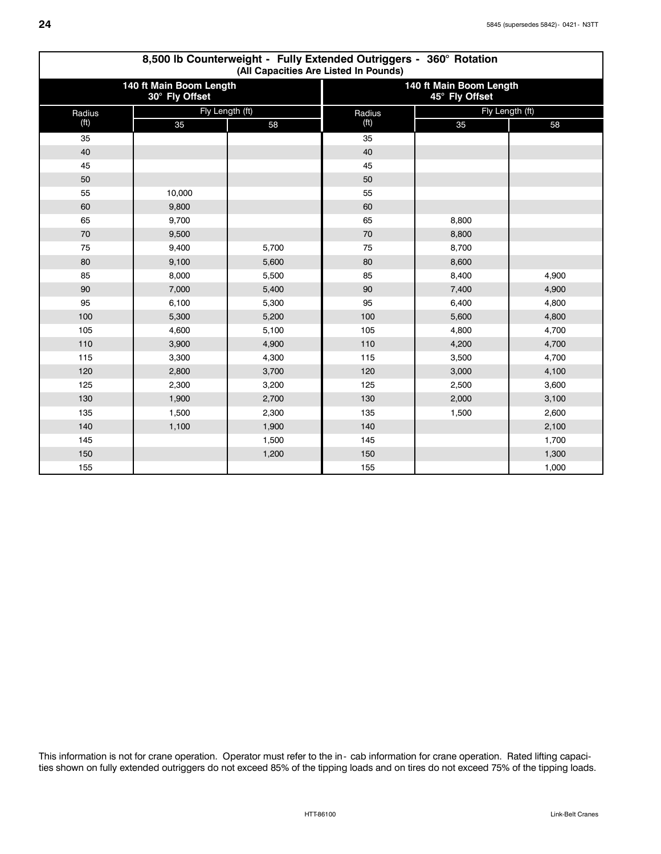|                   | 8,500 lb Counterweight - Fully Extended Outriggers - 360° Rotation<br>(All Capacities Are Listed In Pounds) |       |                   |                                           |       |  |  |  |  |  |  |  |
|-------------------|-------------------------------------------------------------------------------------------------------------|-------|-------------------|-------------------------------------------|-------|--|--|--|--|--|--|--|
|                   | 140 ft Main Boom Length<br>30° Fly Offset                                                                   |       |                   | 140 ft Main Boom Length<br>45° Fly Offset |       |  |  |  |  |  |  |  |
| Radius            | Fly Length (ft)                                                                                             |       | Radius            | Fly Length (ft)                           |       |  |  |  |  |  |  |  |
| (f <sup>t</sup> ) | 35                                                                                                          | 58    | (f <sup>t</sup> ) | 35                                        | 58    |  |  |  |  |  |  |  |
| 35                |                                                                                                             |       | 35                |                                           |       |  |  |  |  |  |  |  |
| 40                |                                                                                                             |       | 40                |                                           |       |  |  |  |  |  |  |  |
| 45                |                                                                                                             |       | 45                |                                           |       |  |  |  |  |  |  |  |
| 50                |                                                                                                             |       | 50                |                                           |       |  |  |  |  |  |  |  |
| 55                | 10,000                                                                                                      |       | 55                |                                           |       |  |  |  |  |  |  |  |
| 60                | 9,800                                                                                                       |       | 60                |                                           |       |  |  |  |  |  |  |  |
| 65                | 9,700                                                                                                       |       | 65                | 8,800                                     |       |  |  |  |  |  |  |  |
| 70                | 9,500                                                                                                       |       | 70                | 8,800                                     |       |  |  |  |  |  |  |  |
| 75                | 9,400                                                                                                       | 5,700 | 75                | 8,700                                     |       |  |  |  |  |  |  |  |
| 80                | 9,100                                                                                                       | 5,600 | 80                | 8,600                                     |       |  |  |  |  |  |  |  |
| 85                | 8,000                                                                                                       | 5,500 | 85                | 8,400                                     | 4,900 |  |  |  |  |  |  |  |
| 90                | 7,000                                                                                                       | 5,400 | 90                | 7,400                                     | 4,900 |  |  |  |  |  |  |  |
| 95                | 6,100                                                                                                       | 5,300 | 95                | 6,400                                     | 4,800 |  |  |  |  |  |  |  |
| 100               | 5,300                                                                                                       | 5,200 | 100               | 5,600                                     | 4,800 |  |  |  |  |  |  |  |
| 105               | 4,600                                                                                                       | 5,100 | 105               | 4,800                                     | 4,700 |  |  |  |  |  |  |  |
| 110               | 3,900                                                                                                       | 4,900 | 110               | 4,200                                     | 4,700 |  |  |  |  |  |  |  |
| 115               | 3,300                                                                                                       | 4,300 | 115               | 3,500                                     | 4,700 |  |  |  |  |  |  |  |
| 120               | 2,800                                                                                                       | 3,700 | 120               | 3,000                                     | 4,100 |  |  |  |  |  |  |  |
| 125               | 2,300                                                                                                       | 3,200 | 125               | 2,500                                     | 3,600 |  |  |  |  |  |  |  |
| 130               | 1,900                                                                                                       | 2,700 | 130               | 2,000                                     | 3,100 |  |  |  |  |  |  |  |
| 135               | 1,500                                                                                                       | 2,300 | 135               | 1,500                                     | 2,600 |  |  |  |  |  |  |  |
| 140               | 1,100                                                                                                       | 1,900 | 140               |                                           | 2,100 |  |  |  |  |  |  |  |
| 145               |                                                                                                             | 1,500 | 145               |                                           | 1,700 |  |  |  |  |  |  |  |
| 150               |                                                                                                             | 1,200 | 150               |                                           | 1,300 |  |  |  |  |  |  |  |
| 155               |                                                                                                             |       | 155               |                                           | 1,000 |  |  |  |  |  |  |  |

# **8,500 lb Counterweight - Fully Extended Outriggers - 360° Rotation**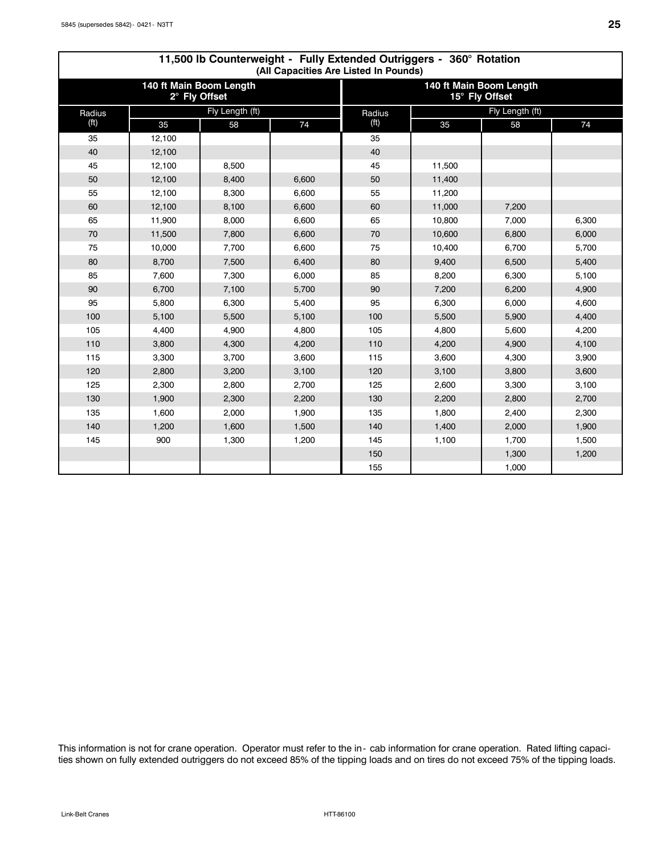|                   |        |                                          | 11,500 lb Counterweight - Fully Extended Outriggers - 360° Rotation<br>(All Capacities Are Listed In Pounds) |                                           |        |                 |       |  |  |
|-------------------|--------|------------------------------------------|--------------------------------------------------------------------------------------------------------------|-------------------------------------------|--------|-----------------|-------|--|--|
|                   |        | 140 ft Main Boom Length<br>2° Fly Offset |                                                                                                              | 140 ft Main Boom Length<br>15° Fly Offset |        |                 |       |  |  |
| Radius            |        | Fly Length (ft)                          |                                                                                                              | Radius                                    |        | Fly Length (ft) |       |  |  |
| (f <sup>t</sup> ) | 35     | 58                                       | 74                                                                                                           | (f <sup>t</sup> )                         | 35     | 58              | 74    |  |  |
| 35                | 12,100 |                                          |                                                                                                              | 35                                        |        |                 |       |  |  |
| 40                | 12,100 |                                          |                                                                                                              | 40                                        |        |                 |       |  |  |
| 45                | 12,100 | 8,500                                    |                                                                                                              | 45                                        | 11,500 |                 |       |  |  |
| 50                | 12,100 | 8,400                                    | 6,600                                                                                                        | 50                                        | 11,400 |                 |       |  |  |
| 55                | 12,100 | 8,300                                    | 6,600                                                                                                        | 55                                        | 11,200 |                 |       |  |  |
| 60                | 12,100 | 8,100                                    | 6,600                                                                                                        | 60                                        | 11,000 | 7,200           |       |  |  |
| 65                | 11,900 | 8,000                                    | 6,600                                                                                                        | 65                                        | 10,800 | 7,000           | 6,300 |  |  |
| 70                | 11,500 | 7,800                                    | 6,600                                                                                                        | 70                                        | 10,600 | 6,800           | 6,000 |  |  |
| 75                | 10,000 | 7,700                                    | 6,600                                                                                                        | 75                                        | 10,400 | 6,700           | 5,700 |  |  |
| 80                | 8,700  | 7,500                                    | 6,400                                                                                                        | 80                                        | 9,400  | 6,500           | 5,400 |  |  |
| 85                | 7,600  | 7,300                                    | 6,000                                                                                                        | 85                                        | 8,200  | 6,300           | 5,100 |  |  |
| 90                | 6,700  | 7,100                                    | 5,700                                                                                                        | 90                                        | 7,200  | 6,200           | 4,900 |  |  |
| 95                | 5,800  | 6,300                                    | 5,400                                                                                                        | 95                                        | 6,300  | 6,000           | 4,600 |  |  |
| 100               | 5,100  | 5,500                                    | 5,100                                                                                                        | 100                                       | 5,500  | 5,900           | 4,400 |  |  |
| 105               | 4,400  | 4,900                                    | 4,800                                                                                                        | 105                                       | 4,800  | 5,600           | 4,200 |  |  |
| 110               | 3,800  | 4,300                                    | 4,200                                                                                                        | 110                                       | 4,200  | 4,900           | 4,100 |  |  |
| 115               | 3,300  | 3,700                                    | 3,600                                                                                                        | 115                                       | 3,600  | 4,300           | 3,900 |  |  |
| 120               | 2,800  | 3,200                                    | 3,100                                                                                                        | 120                                       | 3,100  | 3,800           | 3,600 |  |  |
| 125               | 2,300  | 2,800                                    | 2,700                                                                                                        | 125                                       | 2,600  | 3,300           | 3,100 |  |  |
| 130               | 1,900  | 2,300                                    | 2,200                                                                                                        | 130                                       | 2,200  | 2,800           | 2,700 |  |  |
| 135               | 1,600  | 2,000                                    | 1,900                                                                                                        | 135                                       | 1,800  | 2,400           | 2,300 |  |  |
| 140               | 1,200  | 1,600                                    | 1,500                                                                                                        | 140                                       | 1,400  | 2,000           | 1,900 |  |  |
| 145               | 900    | 1,300                                    | 1,200                                                                                                        | 145                                       | 1,100  | 1,700           | 1,500 |  |  |
|                   |        |                                          |                                                                                                              | 150                                       |        | 1,300           | 1,200 |  |  |
|                   |        |                                          |                                                                                                              | 155                                       |        | 1,000           |       |  |  |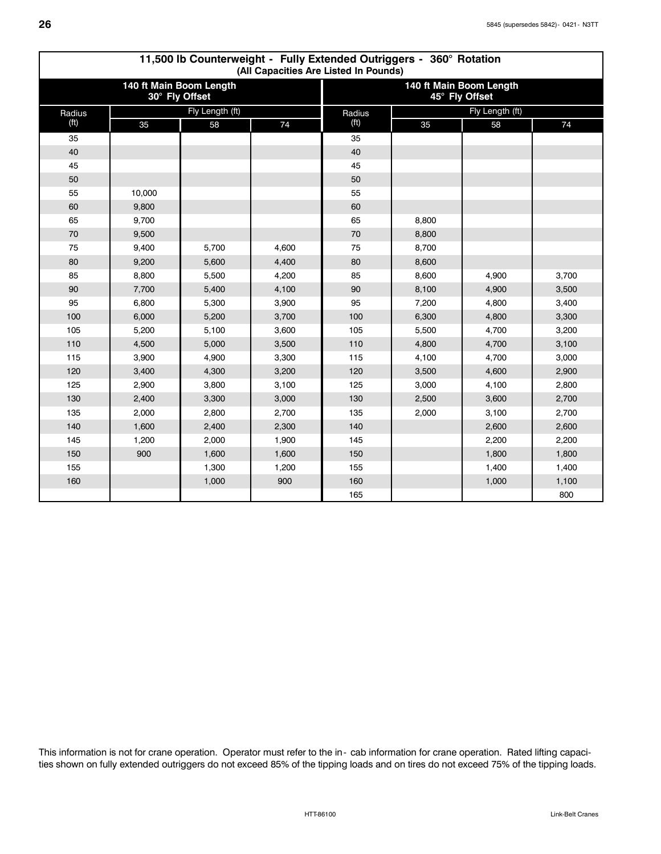|                   | 11,500 lb Counterweight - Fully Extended Outriggers - 360° Rotation<br>(All Capacities Are Listed In Pounds) |                                           |       |                                           |                 |       |       |  |  |  |  |  |
|-------------------|--------------------------------------------------------------------------------------------------------------|-------------------------------------------|-------|-------------------------------------------|-----------------|-------|-------|--|--|--|--|--|
|                   |                                                                                                              | 140 ft Main Boom Length<br>30° Fly Offset |       | 140 ft Main Boom Length<br>45° Fly Offset |                 |       |       |  |  |  |  |  |
| Radius            |                                                                                                              | Fly Length (ft)                           |       | Radius                                    | Fly Length (ft) |       |       |  |  |  |  |  |
| (f <sup>t</sup> ) | 35                                                                                                           | 58                                        | 74    | (f <sup>t</sup> )                         | 35              | 58    | 74    |  |  |  |  |  |
| 35                |                                                                                                              |                                           |       | 35                                        |                 |       |       |  |  |  |  |  |
| 40                |                                                                                                              |                                           |       | 40                                        |                 |       |       |  |  |  |  |  |
| 45                |                                                                                                              |                                           |       | 45                                        |                 |       |       |  |  |  |  |  |
| 50                |                                                                                                              |                                           |       | 50                                        |                 |       |       |  |  |  |  |  |
| 55                | 10,000                                                                                                       |                                           |       | 55                                        |                 |       |       |  |  |  |  |  |
| 60                | 9,800                                                                                                        |                                           |       | 60                                        |                 |       |       |  |  |  |  |  |
| 65                | 9,700                                                                                                        |                                           |       | 65                                        | 8,800           |       |       |  |  |  |  |  |
| 70                | 9,500                                                                                                        |                                           |       | 70                                        | 8,800           |       |       |  |  |  |  |  |
| 75                | 9,400                                                                                                        | 5,700                                     | 4,600 | 75                                        | 8,700           |       |       |  |  |  |  |  |
| 80                | 9,200                                                                                                        | 5,600                                     | 4,400 | 80                                        | 8,600           |       |       |  |  |  |  |  |
| 85                | 8,800                                                                                                        | 5,500                                     | 4,200 | 85                                        | 8,600           | 4,900 | 3,700 |  |  |  |  |  |
| 90                | 7,700                                                                                                        | 5,400                                     | 4,100 | 90                                        | 8,100           | 4,900 | 3,500 |  |  |  |  |  |
| 95                | 6,800                                                                                                        | 5,300                                     | 3,900 | 95                                        | 7,200           | 4,800 | 3,400 |  |  |  |  |  |
| 100               | 6,000                                                                                                        | 5,200                                     | 3,700 | 100                                       | 6,300           | 4,800 | 3,300 |  |  |  |  |  |
| 105               | 5,200                                                                                                        | 5,100                                     | 3,600 | 105                                       | 5,500           | 4,700 | 3,200 |  |  |  |  |  |
| 110               | 4,500                                                                                                        | 5,000                                     | 3,500 | 110                                       | 4,800           | 4,700 | 3,100 |  |  |  |  |  |
| 115               | 3,900                                                                                                        | 4,900                                     | 3,300 | 115                                       | 4,100           | 4,700 | 3,000 |  |  |  |  |  |
| 120               | 3,400                                                                                                        | 4,300                                     | 3,200 | 120                                       | 3,500           | 4,600 | 2,900 |  |  |  |  |  |
| 125               | 2,900                                                                                                        | 3,800                                     | 3,100 | 125                                       | 3,000           | 4,100 | 2,800 |  |  |  |  |  |
| 130               | 2,400                                                                                                        | 3,300                                     | 3,000 | 130                                       | 2,500           | 3,600 | 2,700 |  |  |  |  |  |
| 135               | 2,000                                                                                                        | 2,800                                     | 2,700 | 135                                       | 2,000           | 3,100 | 2,700 |  |  |  |  |  |
| 140               | 1,600                                                                                                        | 2,400                                     | 2,300 | 140                                       |                 | 2,600 | 2,600 |  |  |  |  |  |
| 145               | 1,200                                                                                                        | 2,000                                     | 1,900 | 145                                       |                 | 2,200 | 2,200 |  |  |  |  |  |
| 150               | 900                                                                                                          | 1,600                                     | 1,600 | 150                                       |                 | 1,800 | 1,800 |  |  |  |  |  |
| 155               |                                                                                                              | 1,300                                     | 1,200 | 155                                       |                 | 1,400 | 1,400 |  |  |  |  |  |
| 160               |                                                                                                              | 1,000                                     | 900   | 160                                       |                 | 1,000 | 1,100 |  |  |  |  |  |
|                   |                                                                                                              |                                           |       | 165                                       |                 |       | 800   |  |  |  |  |  |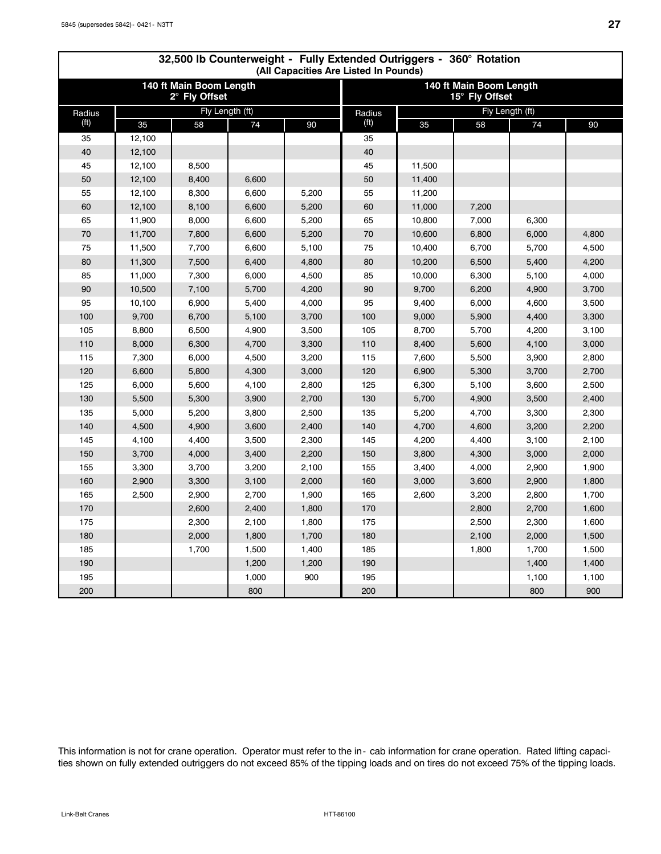| 32,500 lb Counterweight - Fully Extended Outriggers - 360° Rotation<br>(All Capacities Are Listed In Pounds) |        |                                          |       |       |                   |        |                                           |       |       |  |  |  |  |
|--------------------------------------------------------------------------------------------------------------|--------|------------------------------------------|-------|-------|-------------------|--------|-------------------------------------------|-------|-------|--|--|--|--|
|                                                                                                              |        | 140 ft Main Boom Length<br>2° Fly Offset |       |       |                   |        | 140 ft Main Boom Length<br>15° Fly Offset |       |       |  |  |  |  |
| Radius                                                                                                       |        | Fly Length (ft)                          |       |       | Radius            |        | Fly Length (ft)                           |       |       |  |  |  |  |
| (f <sup>t</sup> )                                                                                            | 35     | 58                                       | 74    | 90    | (f <sup>t</sup> ) | 35     | 58                                        | 74    | 90    |  |  |  |  |
| 35                                                                                                           | 12,100 |                                          |       |       | 35                |        |                                           |       |       |  |  |  |  |
| 40                                                                                                           | 12,100 |                                          |       |       | 40                |        |                                           |       |       |  |  |  |  |
| 45                                                                                                           | 12,100 | 8,500                                    |       |       | 45                | 11,500 |                                           |       |       |  |  |  |  |
| 50                                                                                                           | 12,100 | 8,400                                    | 6,600 |       | 50                | 11,400 |                                           |       |       |  |  |  |  |
| 55                                                                                                           | 12,100 | 8,300                                    | 6,600 | 5,200 | 55                | 11,200 |                                           |       |       |  |  |  |  |
| 60                                                                                                           | 12,100 | 8,100                                    | 6,600 | 5,200 | 60                | 11,000 | 7,200                                     |       |       |  |  |  |  |
| 65                                                                                                           | 11,900 | 8,000                                    | 6,600 | 5,200 | 65                | 10,800 | 7,000                                     | 6,300 |       |  |  |  |  |
| 70                                                                                                           | 11,700 | 7,800                                    | 6,600 | 5,200 | 70                | 10,600 | 6,800                                     | 6,000 | 4,800 |  |  |  |  |
| 75                                                                                                           | 11,500 | 7,700                                    | 6,600 | 5,100 | 75                | 10,400 | 6,700                                     | 5,700 | 4,500 |  |  |  |  |
| 80                                                                                                           | 11,300 | 7,500                                    | 6,400 | 4,800 | 80                | 10,200 | 6,500                                     | 5,400 | 4,200 |  |  |  |  |
| 85                                                                                                           | 11,000 | 7,300                                    | 6,000 | 4,500 | 85                | 10,000 | 6,300                                     | 5,100 | 4,000 |  |  |  |  |
| 90                                                                                                           | 10,500 | 7,100                                    | 5,700 | 4,200 | 90                | 9,700  | 6,200                                     | 4,900 | 3,700 |  |  |  |  |
| 95                                                                                                           | 10,100 | 6,900                                    | 5,400 | 4,000 | 95                | 9,400  | 6,000                                     | 4,600 | 3,500 |  |  |  |  |
| 100                                                                                                          | 9,700  | 6,700                                    | 5,100 | 3,700 | 100               | 9,000  | 5,900                                     | 4,400 | 3,300 |  |  |  |  |
| 105                                                                                                          | 8,800  | 6,500                                    | 4,900 | 3,500 | 105               | 8,700  | 5,700                                     | 4,200 | 3,100 |  |  |  |  |
| 110                                                                                                          | 8,000  | 6,300                                    | 4,700 | 3,300 | 110               | 8,400  | 5,600                                     | 4,100 | 3,000 |  |  |  |  |
| 115                                                                                                          | 7,300  | 6,000                                    | 4,500 | 3,200 | 115               | 7,600  | 5,500                                     | 3,900 | 2,800 |  |  |  |  |
| 120                                                                                                          | 6,600  | 5,800                                    | 4,300 | 3,000 | 120               | 6,900  | 5,300                                     | 3,700 | 2,700 |  |  |  |  |
| 125                                                                                                          | 6,000  | 5,600                                    | 4,100 | 2,800 | 125               | 6,300  | 5,100                                     | 3,600 | 2,500 |  |  |  |  |
| 130                                                                                                          | 5,500  | 5,300                                    | 3,900 | 2,700 | 130               | 5,700  | 4,900                                     | 3,500 | 2,400 |  |  |  |  |
| 135                                                                                                          | 5,000  | 5,200                                    | 3,800 | 2,500 | 135               | 5,200  | 4,700                                     | 3,300 | 2,300 |  |  |  |  |
| 140                                                                                                          | 4,500  | 4,900                                    | 3,600 | 2,400 | 140               | 4,700  | 4,600                                     | 3,200 | 2,200 |  |  |  |  |
| 145                                                                                                          | 4,100  | 4,400                                    | 3,500 | 2,300 | 145               | 4,200  | 4,400                                     | 3,100 | 2,100 |  |  |  |  |
| 150                                                                                                          | 3,700  | 4,000                                    | 3,400 | 2,200 | 150               | 3,800  | 4,300                                     | 3,000 | 2,000 |  |  |  |  |
| 155                                                                                                          | 3,300  | 3,700                                    | 3,200 | 2,100 | 155               | 3,400  | 4,000                                     | 2,900 | 1,900 |  |  |  |  |
| 160                                                                                                          | 2,900  | 3,300                                    | 3,100 | 2,000 | 160               | 3,000  | 3,600                                     | 2,900 | 1,800 |  |  |  |  |
| 165                                                                                                          | 2,500  | 2,900                                    | 2,700 | 1,900 | 165               | 2,600  | 3,200                                     | 2,800 | 1,700 |  |  |  |  |
| 170                                                                                                          |        | 2,600                                    | 2,400 | 1,800 | 170               |        | 2,800                                     | 2,700 | 1,600 |  |  |  |  |
| 175                                                                                                          |        | 2,300                                    | 2,100 | 1,800 | 175               |        | 2,500                                     | 2,300 | 1,600 |  |  |  |  |
| 180                                                                                                          |        | 2,000                                    | 1,800 | 1,700 | 180               |        | 2,100                                     | 2,000 | 1,500 |  |  |  |  |
| 185                                                                                                          |        | 1,700                                    | 1,500 | 1,400 | 185               |        | 1,800                                     | 1,700 | 1,500 |  |  |  |  |
| 190                                                                                                          |        |                                          | 1,200 | 1,200 | 190               |        |                                           | 1,400 | 1,400 |  |  |  |  |
| 195                                                                                                          |        |                                          | 1,000 | 900   | 195               |        |                                           | 1,100 | 1,100 |  |  |  |  |
| 200                                                                                                          |        |                                          | 800   |       | 200               |        |                                           | 800   | 900   |  |  |  |  |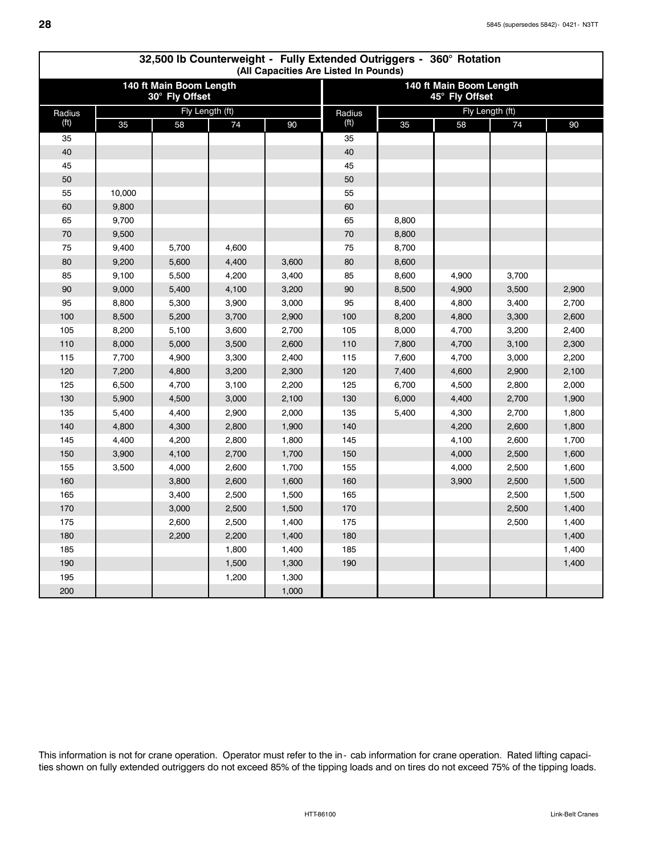|                   | 32,500 lb Counterweight - Fully Extended Outriggers - 360° Rotation<br>(All Capacities Are Listed In Pounds) |                                           |       |       |                   |       |                                           |                 |       |  |  |  |  |  |
|-------------------|--------------------------------------------------------------------------------------------------------------|-------------------------------------------|-------|-------|-------------------|-------|-------------------------------------------|-----------------|-------|--|--|--|--|--|
|                   |                                                                                                              | 140 ft Main Boom Length<br>30° Fly Offset |       |       |                   |       | 140 ft Main Boom Length<br>45° Fly Offset |                 |       |  |  |  |  |  |
| Radius            |                                                                                                              | Fly Length (ft)                           |       |       | Radius            |       |                                           | Fly Length (ft) |       |  |  |  |  |  |
| (f <sup>t</sup> ) | 35                                                                                                           | 58                                        | 74    | 90    | (f <sup>t</sup> ) | 35    | 58                                        | 74              | 90    |  |  |  |  |  |
| 35                |                                                                                                              |                                           |       |       | 35                |       |                                           |                 |       |  |  |  |  |  |
| 40                |                                                                                                              |                                           |       |       | 40                |       |                                           |                 |       |  |  |  |  |  |
| 45                |                                                                                                              |                                           |       |       | 45                |       |                                           |                 |       |  |  |  |  |  |
| 50                |                                                                                                              |                                           |       |       | 50                |       |                                           |                 |       |  |  |  |  |  |
| 55                | 10,000                                                                                                       |                                           |       |       | 55                |       |                                           |                 |       |  |  |  |  |  |
| 60                | 9,800                                                                                                        |                                           |       |       | 60                |       |                                           |                 |       |  |  |  |  |  |
| 65                | 9,700                                                                                                        |                                           |       |       | 65                | 8,800 |                                           |                 |       |  |  |  |  |  |
| 70                | 9,500                                                                                                        |                                           |       |       | 70                | 8,800 |                                           |                 |       |  |  |  |  |  |
| 75                | 9,400                                                                                                        | 5,700                                     | 4,600 |       | 75                | 8,700 |                                           |                 |       |  |  |  |  |  |
| 80                | 9,200                                                                                                        | 5,600                                     | 4,400 | 3,600 | 80                | 8,600 |                                           |                 |       |  |  |  |  |  |
| 85                | 9,100                                                                                                        | 5,500                                     | 4,200 | 3,400 | 85                | 8,600 | 4,900                                     | 3,700           |       |  |  |  |  |  |
| 90                | 9,000                                                                                                        | 5,400                                     | 4,100 | 3,200 | 90                | 8,500 | 4,900                                     | 3,500           | 2,900 |  |  |  |  |  |
| 95                | 8,800                                                                                                        | 5,300                                     | 3,900 | 3,000 | 95                | 8,400 | 4,800                                     | 3,400           | 2,700 |  |  |  |  |  |
| 100               | 8,500                                                                                                        | 5,200                                     | 3,700 | 2,900 | 100               | 8,200 | 4,800                                     | 3,300           | 2,600 |  |  |  |  |  |
| 105               | 8,200                                                                                                        | 5,100                                     | 3,600 | 2,700 | 105               | 8,000 | 4,700                                     | 3,200           | 2,400 |  |  |  |  |  |
| 110               | 8,000                                                                                                        | 5,000                                     | 3,500 | 2,600 | 110               | 7,800 | 4,700                                     | 3,100           | 2,300 |  |  |  |  |  |
| 115               | 7,700                                                                                                        | 4,900                                     | 3,300 | 2,400 | 115               | 7,600 | 4,700                                     | 3,000           | 2,200 |  |  |  |  |  |
| 120               | 7,200                                                                                                        | 4,800                                     | 3,200 | 2,300 | 120               | 7,400 | 4,600                                     | 2,900           | 2,100 |  |  |  |  |  |
| 125               | 6,500                                                                                                        | 4,700                                     | 3,100 | 2,200 | 125               | 6,700 | 4,500                                     | 2,800           | 2,000 |  |  |  |  |  |
| 130               | 5,900                                                                                                        | 4,500                                     | 3,000 | 2,100 | 130               | 6,000 | 4,400                                     | 2,700           | 1,900 |  |  |  |  |  |
| 135               | 5,400                                                                                                        | 4,400                                     | 2,900 | 2,000 | 135               | 5,400 | 4,300                                     | 2,700           | 1,800 |  |  |  |  |  |
| 140               | 4,800                                                                                                        | 4,300                                     | 2,800 | 1,900 | 140               |       | 4,200                                     | 2,600           | 1,800 |  |  |  |  |  |
| 145               | 4,400                                                                                                        | 4,200                                     | 2,800 | 1,800 | 145               |       | 4,100                                     | 2,600           | 1,700 |  |  |  |  |  |
| 150               | 3,900                                                                                                        | 4,100                                     | 2,700 | 1,700 | 150               |       | 4,000                                     | 2,500           | 1,600 |  |  |  |  |  |
| 155               | 3,500                                                                                                        | 4,000                                     | 2,600 | 1,700 | 155               |       | 4,000                                     | 2,500           | 1,600 |  |  |  |  |  |
| 160               |                                                                                                              | 3,800                                     | 2,600 | 1,600 | 160               |       | 3,900                                     | 2,500           | 1,500 |  |  |  |  |  |
| 165               |                                                                                                              | 3,400                                     | 2,500 | 1,500 | 165               |       |                                           | 2,500           | 1,500 |  |  |  |  |  |
| 170               |                                                                                                              | 3,000                                     | 2,500 | 1,500 | 170               |       |                                           | 2,500           | 1,400 |  |  |  |  |  |
| 175               |                                                                                                              | 2,600                                     | 2,500 | 1,400 | 175               |       |                                           | 2,500           | 1,400 |  |  |  |  |  |
| 180               |                                                                                                              | 2,200                                     | 2,200 | 1,400 | 180               |       |                                           |                 | 1,400 |  |  |  |  |  |
| 185               |                                                                                                              |                                           | 1,800 | 1,400 | 185               |       |                                           |                 | 1,400 |  |  |  |  |  |
| 190               |                                                                                                              |                                           | 1,500 | 1,300 | 190               |       |                                           |                 | 1,400 |  |  |  |  |  |
| 195               |                                                                                                              |                                           | 1,200 | 1,300 |                   |       |                                           |                 |       |  |  |  |  |  |
| 200               |                                                                                                              |                                           |       | 1,000 |                   |       |                                           |                 |       |  |  |  |  |  |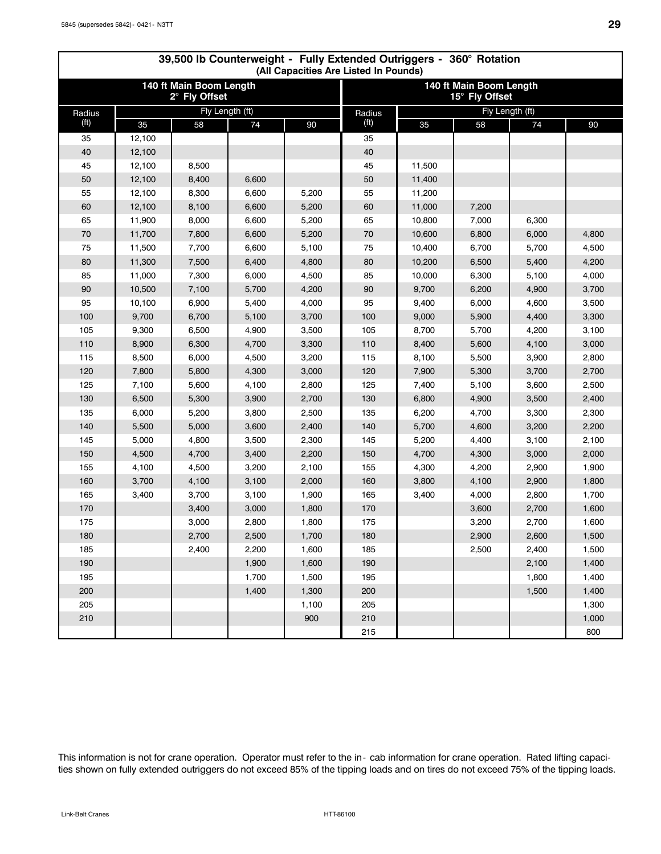|                   | 39,500 lb Counterweight - Fully Extended Outriggers - 360° Rotation<br>(All Capacities Are Listed In Pounds) |                                          |       |       |                   |        |                                           |       |       |  |  |  |  |  |
|-------------------|--------------------------------------------------------------------------------------------------------------|------------------------------------------|-------|-------|-------------------|--------|-------------------------------------------|-------|-------|--|--|--|--|--|
|                   |                                                                                                              | 140 ft Main Boom Length<br>2° Fly Offset |       |       |                   |        | 140 ft Main Boom Length<br>15° Fly Offset |       |       |  |  |  |  |  |
| Radius            |                                                                                                              | Fly Length (ft)                          |       |       | Radius            |        | Fly Length (ft)                           |       |       |  |  |  |  |  |
| (f <sup>t</sup> ) | 35                                                                                                           | 58                                       | 74    | 90    | (f <sup>t</sup> ) | 35     | 58                                        | 74    | 90    |  |  |  |  |  |
| 35                | 12,100                                                                                                       |                                          |       |       | 35                |        |                                           |       |       |  |  |  |  |  |
| 40                | 12,100                                                                                                       |                                          |       |       | 40                |        |                                           |       |       |  |  |  |  |  |
| 45                | 12,100                                                                                                       | 8,500                                    |       |       | 45                | 11,500 |                                           |       |       |  |  |  |  |  |
| 50                | 12,100                                                                                                       | 8,400                                    | 6,600 |       | 50                | 11,400 |                                           |       |       |  |  |  |  |  |
| 55                | 12,100                                                                                                       | 8,300                                    | 6,600 | 5,200 | 55                | 11,200 |                                           |       |       |  |  |  |  |  |
| 60                | 12,100                                                                                                       | 8,100                                    | 6,600 | 5,200 | 60                | 11,000 | 7,200                                     |       |       |  |  |  |  |  |
| 65                | 11,900                                                                                                       | 8,000                                    | 6,600 | 5,200 | 65                | 10,800 | 7,000                                     | 6,300 |       |  |  |  |  |  |
| 70                | 11,700                                                                                                       | 7,800                                    | 6,600 | 5,200 | 70                | 10,600 | 6,800                                     | 6,000 | 4,800 |  |  |  |  |  |
| 75                | 11,500                                                                                                       | 7,700                                    | 6,600 | 5,100 | 75                | 10,400 | 6,700                                     | 5,700 | 4,500 |  |  |  |  |  |
| 80                | 11,300                                                                                                       | 7,500                                    | 6,400 | 4,800 | 80                | 10,200 | 6,500                                     | 5,400 | 4,200 |  |  |  |  |  |
| 85                | 11,000                                                                                                       | 7,300                                    | 6,000 | 4,500 | 85                | 10,000 | 6,300                                     | 5,100 | 4,000 |  |  |  |  |  |
| 90                | 10,500                                                                                                       | 7,100                                    | 5,700 | 4,200 | 90                | 9,700  | 6,200                                     | 4,900 | 3,700 |  |  |  |  |  |
| 95                | 10,100                                                                                                       | 6,900                                    | 5,400 | 4,000 | 95                | 9,400  | 6,000                                     | 4,600 | 3,500 |  |  |  |  |  |
| 100               | 9,700                                                                                                        | 6,700                                    | 5,100 | 3,700 | 100               | 9,000  | 5,900                                     | 4,400 | 3,300 |  |  |  |  |  |
| 105               | 9,300                                                                                                        | 6,500                                    | 4,900 | 3,500 | 105               | 8,700  | 5,700                                     | 4,200 | 3,100 |  |  |  |  |  |
| 110               | 8,900                                                                                                        | 6,300                                    | 4,700 | 3,300 | 110               | 8,400  | 5,600                                     | 4,100 | 3,000 |  |  |  |  |  |
| 115               | 8,500                                                                                                        | 6,000                                    | 4,500 | 3,200 | 115               | 8,100  | 5,500                                     | 3,900 | 2,800 |  |  |  |  |  |
| 120               | 7,800                                                                                                        | 5,800                                    | 4,300 | 3,000 | 120               | 7,900  | 5,300                                     | 3,700 | 2,700 |  |  |  |  |  |
| 125               | 7,100                                                                                                        | 5,600                                    | 4,100 | 2,800 | 125               | 7,400  | 5,100                                     | 3,600 | 2,500 |  |  |  |  |  |
| 130               | 6,500                                                                                                        | 5,300                                    | 3,900 | 2,700 | 130               | 6,800  | 4,900                                     | 3,500 | 2,400 |  |  |  |  |  |
| 135               | 6,000                                                                                                        | 5,200                                    | 3,800 | 2,500 | 135               | 6,200  | 4,700                                     | 3,300 | 2,300 |  |  |  |  |  |
| 140               | 5,500                                                                                                        | 5,000                                    | 3,600 | 2,400 | 140               | 5,700  | 4,600                                     | 3,200 | 2,200 |  |  |  |  |  |
| 145               | 5,000                                                                                                        | 4,800                                    | 3,500 | 2,300 | 145               | 5,200  | 4,400                                     | 3,100 | 2,100 |  |  |  |  |  |
| 150               | 4,500                                                                                                        | 4,700                                    | 3,400 | 2,200 | 150               | 4,700  | 4,300                                     | 3,000 | 2,000 |  |  |  |  |  |
| 155               | 4,100                                                                                                        | 4,500                                    | 3,200 | 2,100 | 155               | 4,300  | 4,200                                     | 2,900 | 1,900 |  |  |  |  |  |
| 160               | 3,700                                                                                                        | 4,100                                    | 3,100 | 2,000 | 160               | 3,800  | 4,100                                     | 2,900 | 1,800 |  |  |  |  |  |
| 165               | 3,400                                                                                                        | 3,700                                    | 3,100 | 1,900 | 165               | 3,400  | 4,000                                     | 2,800 | 1,700 |  |  |  |  |  |
| 170               |                                                                                                              | 3,400                                    | 3,000 | 1,800 | 170               |        | 3,600                                     | 2,700 | 1,600 |  |  |  |  |  |
| 175               |                                                                                                              | 3,000                                    | 2,800 | 1,800 | 175               |        | 3,200                                     | 2,700 | 1,600 |  |  |  |  |  |
| 180               |                                                                                                              | 2,700                                    | 2,500 | 1,700 | 180               |        | 2,900                                     | 2,600 | 1,500 |  |  |  |  |  |
| 185               |                                                                                                              | 2,400                                    | 2,200 | 1,600 | 185               |        | 2,500                                     | 2,400 | 1,500 |  |  |  |  |  |
| 190               |                                                                                                              |                                          | 1,900 | 1,600 | 190               |        |                                           | 2,100 | 1,400 |  |  |  |  |  |
| 195               |                                                                                                              |                                          | 1,700 | 1,500 | 195               |        |                                           | 1,800 | 1,400 |  |  |  |  |  |
| 200               |                                                                                                              |                                          | 1,400 | 1,300 | 200               |        |                                           | 1,500 | 1,400 |  |  |  |  |  |
| 205               |                                                                                                              |                                          |       | 1,100 | 205               |        |                                           |       | 1,300 |  |  |  |  |  |
| 210               |                                                                                                              |                                          |       | 900   | 210               |        |                                           |       | 1,000 |  |  |  |  |  |
|                   |                                                                                                              |                                          |       |       | 215               |        |                                           |       | 800   |  |  |  |  |  |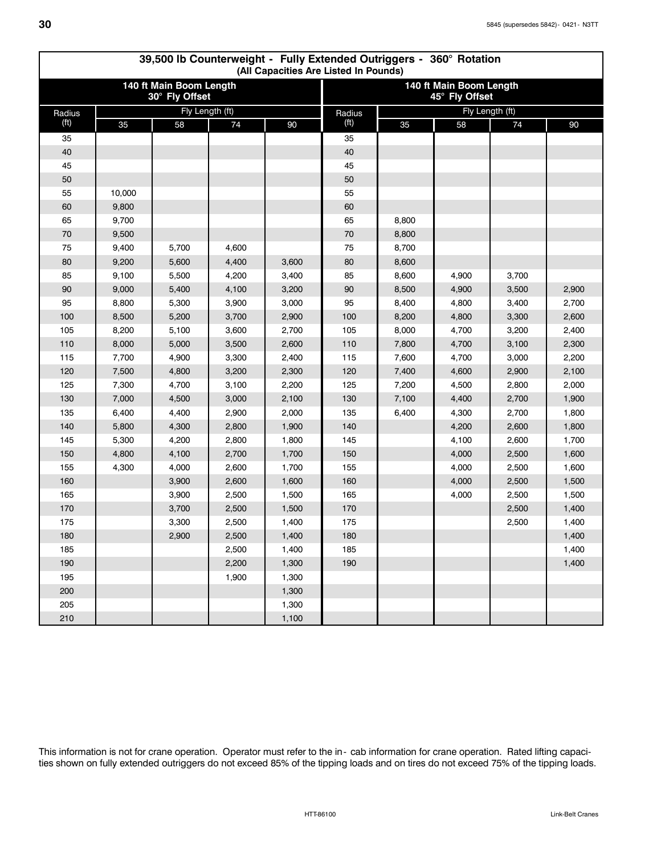|                   | 39,500 lb Counterweight - Fully Extended Outriggers - 360° Rotation<br>(All Capacities Are Listed In Pounds) |                                           |                 |       |                   |       |                                           |                 |       |  |  |  |  |  |
|-------------------|--------------------------------------------------------------------------------------------------------------|-------------------------------------------|-----------------|-------|-------------------|-------|-------------------------------------------|-----------------|-------|--|--|--|--|--|
|                   |                                                                                                              | 140 ft Main Boom Length<br>30° Fly Offset |                 |       |                   |       | 140 ft Main Boom Length<br>45° Fly Offset |                 |       |  |  |  |  |  |
| Radius            |                                                                                                              |                                           | Fly Length (ft) |       | Radius            |       |                                           | Fly Length (ft) |       |  |  |  |  |  |
| (f <sup>t</sup> ) | 35                                                                                                           | 58                                        | 74              | 90    | (f <sup>t</sup> ) | 35    | 58                                        | 74              | 90    |  |  |  |  |  |
| 35                |                                                                                                              |                                           |                 |       | 35                |       |                                           |                 |       |  |  |  |  |  |
| 40                |                                                                                                              |                                           |                 |       | 40                |       |                                           |                 |       |  |  |  |  |  |
| 45                |                                                                                                              |                                           |                 |       | 45                |       |                                           |                 |       |  |  |  |  |  |
| 50                |                                                                                                              |                                           |                 |       | 50                |       |                                           |                 |       |  |  |  |  |  |
| 55                | 10,000                                                                                                       |                                           |                 |       | 55                |       |                                           |                 |       |  |  |  |  |  |
| 60                | 9,800                                                                                                        |                                           |                 |       | 60                |       |                                           |                 |       |  |  |  |  |  |
| 65                | 9,700                                                                                                        |                                           |                 |       | 65                | 8,800 |                                           |                 |       |  |  |  |  |  |
| 70                | 9,500                                                                                                        |                                           |                 |       | 70                | 8,800 |                                           |                 |       |  |  |  |  |  |
| 75                | 9,400                                                                                                        | 5,700                                     | 4,600           |       | 75                | 8,700 |                                           |                 |       |  |  |  |  |  |
| 80                | 9,200                                                                                                        | 5,600                                     | 4,400           | 3,600 | 80                | 8,600 |                                           |                 |       |  |  |  |  |  |
| 85                | 9,100                                                                                                        | 5,500                                     | 4,200           | 3,400 | 85                | 8,600 | 4,900                                     | 3,700           |       |  |  |  |  |  |
| 90                | 9,000                                                                                                        | 5,400                                     | 4,100           | 3,200 | 90                | 8,500 | 4,900                                     | 3,500           | 2,900 |  |  |  |  |  |
| 95                | 8,800                                                                                                        | 5,300                                     | 3,900           | 3,000 | 95                | 8,400 | 4,800                                     | 3,400           | 2,700 |  |  |  |  |  |
| 100               | 8,500                                                                                                        | 5,200                                     | 3,700           | 2,900 | 100               | 8,200 | 4,800                                     | 3,300           | 2,600 |  |  |  |  |  |
| 105               | 8,200                                                                                                        | 5,100                                     | 3,600           | 2,700 | 105               | 8,000 | 4,700                                     | 3,200           | 2,400 |  |  |  |  |  |
| 110               | 8,000                                                                                                        | 5,000                                     | 3,500           | 2,600 | 110               | 7,800 | 4,700                                     | 3,100           | 2,300 |  |  |  |  |  |
| 115               | 7,700                                                                                                        | 4,900                                     | 3,300           | 2,400 | 115               | 7,600 | 4,700                                     | 3,000           | 2,200 |  |  |  |  |  |
| 120               | 7,500                                                                                                        | 4,800                                     | 3,200           | 2,300 | 120               | 7,400 | 4,600                                     | 2,900           | 2,100 |  |  |  |  |  |
| 125               | 7,300                                                                                                        | 4,700                                     | 3,100           | 2,200 | 125               | 7,200 | 4,500                                     | 2,800           | 2,000 |  |  |  |  |  |
| 130               | 7,000                                                                                                        | 4,500                                     | 3,000           | 2,100 | 130               | 7,100 | 4,400                                     | 2,700           | 1,900 |  |  |  |  |  |
| 135               | 6,400                                                                                                        | 4,400                                     | 2,900           | 2,000 | 135               | 6,400 | 4,300                                     | 2,700           | 1,800 |  |  |  |  |  |
| 140               | 5,800                                                                                                        | 4,300                                     | 2,800           | 1,900 | 140               |       | 4,200                                     | 2,600           | 1,800 |  |  |  |  |  |
| 145               | 5,300                                                                                                        | 4,200                                     | 2,800           | 1,800 | 145               |       | 4,100                                     | 2,600           | 1,700 |  |  |  |  |  |
| 150               | 4,800                                                                                                        | 4,100                                     | 2,700           | 1,700 | 150               |       | 4,000                                     | 2,500           | 1,600 |  |  |  |  |  |
| 155               | 4,300                                                                                                        | 4,000                                     | 2,600           | 1,700 | 155               |       | 4,000                                     | 2,500           | 1,600 |  |  |  |  |  |
| 160               |                                                                                                              | 3,900                                     | 2,600           | 1,600 | 160               |       | 4,000                                     | 2,500           | 1,500 |  |  |  |  |  |
| 165               |                                                                                                              | 3,900                                     | 2,500           | 1,500 | 165               |       | 4,000                                     | 2,500           | 1,500 |  |  |  |  |  |
| 170               |                                                                                                              | 3,700                                     | 2,500           | 1,500 | 170               |       |                                           | 2,500           | 1,400 |  |  |  |  |  |
| 175               |                                                                                                              | 3,300                                     | 2,500           | 1,400 | 175               |       |                                           | 2,500           | 1,400 |  |  |  |  |  |
| 180               |                                                                                                              | 2,900                                     | 2,500           | 1,400 | 180               |       |                                           |                 | 1,400 |  |  |  |  |  |
| 185               |                                                                                                              |                                           | 2,500           | 1,400 | 185               |       |                                           |                 | 1,400 |  |  |  |  |  |
| 190               |                                                                                                              |                                           | 2,200           | 1,300 | 190               |       |                                           |                 | 1,400 |  |  |  |  |  |
| 195               |                                                                                                              |                                           | 1,900           | 1,300 |                   |       |                                           |                 |       |  |  |  |  |  |
| 200               |                                                                                                              |                                           |                 | 1,300 |                   |       |                                           |                 |       |  |  |  |  |  |
| 205               |                                                                                                              |                                           |                 | 1,300 |                   |       |                                           |                 |       |  |  |  |  |  |
| 210               |                                                                                                              |                                           |                 | 1,100 |                   |       |                                           |                 |       |  |  |  |  |  |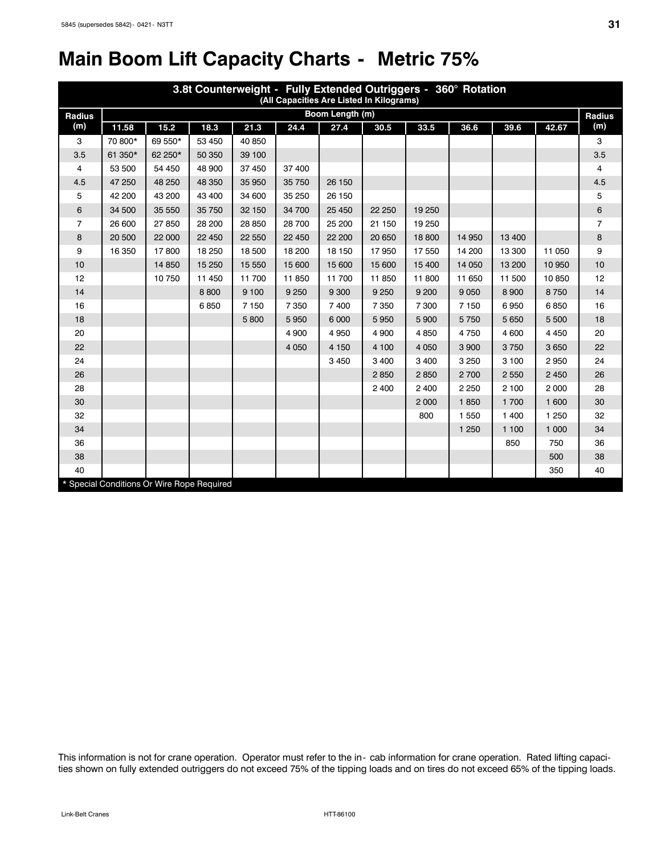# **Main Boom Lift Capacity Charts - Metric 75%**

|                | 3.8t Counterweight - Fully Extended Outriggers - 360° Rotation<br>(All Capacities Are Listed In Kilograms) |         |        |         |         |                 |         |         |         |         |         |                |  |  |
|----------------|------------------------------------------------------------------------------------------------------------|---------|--------|---------|---------|-----------------|---------|---------|---------|---------|---------|----------------|--|--|
| Radius         |                                                                                                            |         |        |         |         | Boom Length (m) |         |         |         |         |         | <b>Radius</b>  |  |  |
| (m)            | 11.58                                                                                                      | 15.2    | 18.3   | 21.3    | 24.4    | 27.4            | 30.5    | 33.5    | 36.6    | 39.6    | 42.67   | (m)            |  |  |
| 3              | 70 800*                                                                                                    | 69 550* | 53 450 | 40 850  |         |                 |         |         |         |         |         | 3              |  |  |
| 3.5            | 61 350*                                                                                                    | 62 250* | 50 350 | 39 100  |         |                 |         |         |         |         |         | 3.5            |  |  |
| 4              | 53 500                                                                                                     | 54 450  | 48 900 | 37 450  | 37 400  |                 |         |         |         |         |         | 4              |  |  |
| 4.5            | 47 250                                                                                                     | 48 250  | 48 350 | 35 950  | 35 750  | 26 150          |         |         |         |         |         | 4.5            |  |  |
| 5              | 42 200                                                                                                     | 43 200  | 43 400 | 34 600  | 35 250  | 26 150          |         |         |         |         |         | 5              |  |  |
| 6              | 34 500                                                                                                     | 35 550  | 35 750 | 32 150  | 34 700  | 25 450          | 22 250  | 19 250  |         |         |         | 6              |  |  |
| $\overline{7}$ | 26 600                                                                                                     | 27 850  | 28 200 | 28 850  | 28 700  | 25 200          | 21 150  | 19 250  |         |         |         | $\overline{7}$ |  |  |
| 8              | 20 500                                                                                                     | 22 000  | 22 450 | 22 550  | 22 450  | 22 200          | 20 650  | 18 800  | 14 950  | 13 400  |         | 8              |  |  |
| 9              | 16 350                                                                                                     | 17800   | 18 250 | 18 500  | 18 200  | 18 150          | 17950   | 17 550  | 14 200  | 13 300  | 11 050  | 9              |  |  |
| 10             |                                                                                                            | 14 850  | 15 250 | 15 550  | 15 600  | 15 600          | 15 600  | 15 400  | 14 050  | 13 200  | 10 950  | 10             |  |  |
| 12             |                                                                                                            | 10750   | 11 450 | 11 700  | 11 850  | 11 700          | 11 850  | 11 800  | 11 650  | 11 500  | 10850   | 12             |  |  |
| 14             |                                                                                                            |         | 8800   | 9 1 0 0 | 9 2 5 0 | 9 3 0 0         | 9 2 5 0 | 9 200   | 9 0 5 0 | 8 9 0 0 | 8750    | 14             |  |  |
| 16             |                                                                                                            |         | 6850   | 7150    | 7 3 5 0 | 7 400           | 7 3 5 0 | 7 300   | 7 150   | 6950    | 6850    | 16             |  |  |
| 18             |                                                                                                            |         |        | 5800    | 5950    | 6 0 0 0         | 5950    | 5 9 0 0 | 5750    | 5 6 5 0 | 5 500   | 18             |  |  |
| 20             |                                                                                                            |         |        |         | 4 9 0 0 | 4 9 5 0         | 4 9 0 0 | 4 8 5 0 | 4750    | 4 600   | 4 4 5 0 | 20             |  |  |
| 22             |                                                                                                            |         |        |         | 4 0 5 0 | 4 1 5 0         | 4 100   | 4 0 5 0 | 3 9 0 0 | 3750    | 3 6 5 0 | 22             |  |  |
| 24             |                                                                                                            |         |        |         |         | 3 4 5 0         | 3 4 0 0 | 3 4 0 0 | 3 2 5 0 | 3 100   | 2950    | 24             |  |  |
| 26             |                                                                                                            |         |        |         |         |                 | 2850    | 2850    | 2700    | 2 5 5 0 | 2 4 5 0 | 26             |  |  |
| 28             |                                                                                                            |         |        |         |         |                 | 2 4 0 0 | 2 400   | 2 2 5 0 | 2 100   | 2 0 0 0 | 28             |  |  |
| 30             |                                                                                                            |         |        |         |         |                 |         | 2 0 0 0 | 1850    | 1 700   | 1 600   | 30             |  |  |
| 32             |                                                                                                            |         |        |         |         |                 |         | 800     | 1 5 5 0 | 1 400   | 1 2 5 0 | 32             |  |  |
| 34             |                                                                                                            |         |        |         |         |                 |         |         | 1 2 5 0 | 1 100   | 1 0 0 0 | 34             |  |  |
| 36             |                                                                                                            |         |        |         |         |                 |         |         |         | 850     | 750     | 36             |  |  |
| 38             |                                                                                                            |         |        |         |         |                 |         |         |         |         | 500     | 38             |  |  |
| 40             |                                                                                                            |         |        |         |         |                 |         |         |         |         | 350     | 40             |  |  |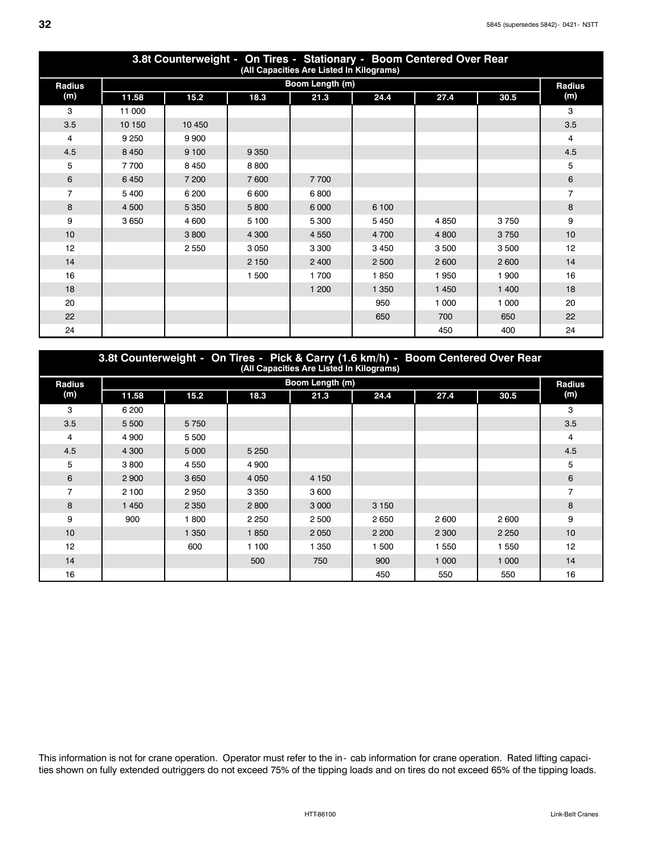| 3.8t Counterweight - On Tires - Stationary - Boom Centered Over Rear<br>(All Capacities Are Listed In Kilograms) |         |         |         |                 |         |         |         |                |  |  |  |  |
|------------------------------------------------------------------------------------------------------------------|---------|---------|---------|-----------------|---------|---------|---------|----------------|--|--|--|--|
| Radius                                                                                                           |         |         |         | Boom Length (m) |         |         |         | Radius         |  |  |  |  |
| (m)                                                                                                              | 11.58   | 15.2    | 18.3    | 21.3            | 24.4    | 27.4    | 30.5    | (m)            |  |  |  |  |
| 3                                                                                                                | 11 000  |         |         |                 |         |         |         | 3              |  |  |  |  |
| 3.5                                                                                                              | 10 150  | 10 450  |         |                 |         |         |         | 3.5            |  |  |  |  |
| 4                                                                                                                | 9 2 5 0 | 9 9 0 0 |         |                 |         |         |         | 4              |  |  |  |  |
| 4.5                                                                                                              | 8 4 5 0 | 9 100   | 9 3 5 0 |                 |         |         |         | 4.5            |  |  |  |  |
| 5                                                                                                                | 7700    | 8 4 5 0 | 8800    |                 |         |         |         | 5              |  |  |  |  |
| 6                                                                                                                | 6450    | 7 200   | 7600    | 7700            |         |         |         | 6              |  |  |  |  |
| $\overline{7}$                                                                                                   | 5 4 0 0 | 6 200   | 6 600   | 6800            |         |         |         | $\overline{7}$ |  |  |  |  |
| 8                                                                                                                | 4 500   | 5 3 5 0 | 5800    | 6 0 0 0         | 6 100   |         |         | 8              |  |  |  |  |
| 9                                                                                                                | 3650    | 4 600   | 5 100   | 5 300           | 5 4 5 0 | 4850    | 3750    | 9              |  |  |  |  |
| 10                                                                                                               |         | 3800    | 4 300   | 4 5 5 0         | 4 700   | 4 800   | 3750    | 10             |  |  |  |  |
| 12                                                                                                               |         | 2 5 5 0 | 3 0 5 0 | 3 3 0 0         | 3 4 5 0 | 3500    | 3500    | 12             |  |  |  |  |
| 14                                                                                                               |         |         | 2 1 5 0 | 2 4 0 0         | 2 500   | 2 600   | 2 600   | 14             |  |  |  |  |
| 16                                                                                                               |         |         | 1 500   | 1700            | 1850    | 1950    | 1 900   | 16             |  |  |  |  |
| 18                                                                                                               |         |         |         | 1 200           | 1 3 5 0 | 1 4 5 0 | 1 400   | 18             |  |  |  |  |
| 20                                                                                                               |         |         |         |                 | 950     | 1 000   | 1 0 0 0 | 20             |  |  |  |  |
| 22                                                                                                               |         |         |         |                 | 650     | 700     | 650     | 22             |  |  |  |  |
| 24                                                                                                               |         |         |         |                 |         | 450     | 400     | 24             |  |  |  |  |

#### **3.8t Counterweight - On Tires - Pick & Carry (1.6 km/h) - Boom Centered Over Rear (All Capacities Are Listed In Kilograms)**

| <b>Radius</b>  |         |         |         | Boom Length (m) |         |         |         | <b>Radius</b>  |
|----------------|---------|---------|---------|-----------------|---------|---------|---------|----------------|
| (m)            | 11.58   | 15.2    | 18.3    | 21.3            | 24.4    | 27.4    | 30.5    | (m)            |
| 3              | 6 200   |         |         |                 |         |         |         | 3              |
| 3.5            | 5 500   | 5750    |         |                 |         |         |         | 3.5            |
| 4              | 4 9 0 0 | 5 500   |         |                 |         |         |         | 4              |
| 4.5            | 4 300   | 5 0 0 0 | 5 2 5 0 |                 |         |         |         | 4.5            |
| 5              | 3800    | 4 5 5 0 | 4 9 0 0 |                 |         |         |         | 5              |
| 6              | 2 9 0 0 | 3 6 5 0 | 4 0 5 0 | 4 1 5 0         |         |         |         | 6              |
| $\overline{7}$ | 2 100   | 2950    | 3 3 5 0 | 3 600           |         |         |         | $\overline{7}$ |
| 8              | 1 4 5 0 | 2 3 5 0 | 2800    | 3 0 0 0         | 3 1 5 0 |         |         | 8              |
| 9              | 900     | 1800    | 2 2 5 0 | 2 500           | 2650    | 2 600   | 2 600   | 9              |
| 10             |         | 1 350   | 1850    | 2 0 5 0         | 2 2 0 0 | 2 3 0 0 | 2 2 5 0 | 10             |
| 12             |         | 600     | 1 100   | 1 350           | 500     | 1 550   | 1 550   | 12             |
| 14             |         |         | 500     | 750             | 900     | 1 000   | 1 000   | 14             |
| 16             |         |         |         |                 | 450     | 550     | 550     | 16             |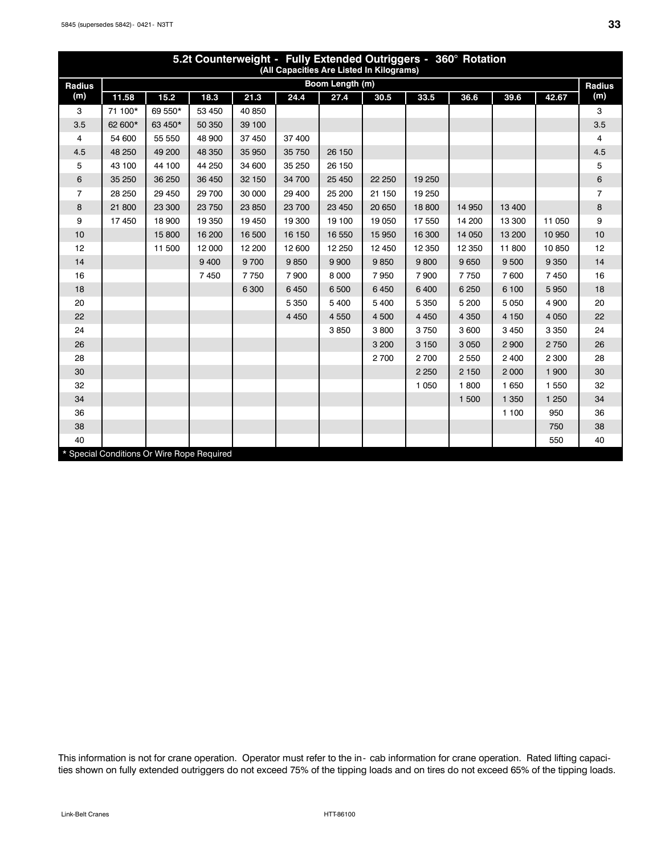| 5.2t Counterweight - Fully Extended Outriggers - 360° Rotation<br>(All Capacities Are Listed In Kilograms) |         |                                            |         |         |         |                 |         |         |         |         |         |                |
|------------------------------------------------------------------------------------------------------------|---------|--------------------------------------------|---------|---------|---------|-----------------|---------|---------|---------|---------|---------|----------------|
| Radius                                                                                                     |         |                                            |         |         |         | Boom Length (m) |         |         |         |         |         | Radius         |
| (m)                                                                                                        | 11.58   | 15.2                                       | 18.3    | 21.3    | 24.4    | 27.4            | 30.5    | 33.5    | 36.6    | 39.6    | 42.67   | (m)            |
| 3                                                                                                          | 71 100* | 69 550*                                    | 53 450  | 40 850  |         |                 |         |         |         |         |         | 3              |
| 3.5                                                                                                        | 62 600* | 63 450*                                    | 50 350  | 39 100  |         |                 |         |         |         |         |         | 3.5            |
| 4                                                                                                          | 54 600  | 55 550                                     | 48 900  | 37 450  | 37 400  |                 |         |         |         |         |         | 4              |
| 4.5                                                                                                        | 48 250  | 49 200                                     | 48 350  | 35 950  | 35 750  | 26 150          |         |         |         |         |         | 4.5            |
| 5                                                                                                          | 43 100  | 44 100                                     | 44 250  | 34 600  | 35 250  | 26 150          |         |         |         |         |         | 5              |
| 6                                                                                                          | 35 250  | 36 250                                     | 36 450  | 32 150  | 34 700  | 25 450          | 22 250  | 19 250  |         |         |         | 6              |
| 7                                                                                                          | 28 250  | 29 450                                     | 29 700  | 30 000  | 29 400  | 25 200          | 21 150  | 19 250  |         |         |         | $\overline{7}$ |
| 8                                                                                                          | 21 800  | 23 300                                     | 23 750  | 23 850  | 23 700  | 23 450          | 20 650  | 18 800  | 14 950  | 13 400  |         | 8              |
| 9                                                                                                          | 17 450  | 18 900                                     | 19 350  | 19 450  | 19 300  | 19 100          | 19 050  | 17 550  | 14 200  | 13 300  | 11 050  | 9              |
| 10                                                                                                         |         | 15 800                                     | 16 200  | 16 500  | 16 150  | 16 550          | 15 950  | 16 300  | 14 050  | 13 200  | 10 950  | 10             |
| 12                                                                                                         |         | 11 500                                     | 12 000  | 12 200  | 12 600  | 12 250          | 12 450  | 12 3 50 | 12 3 50 | 11 800  | 10850   | 12             |
| 14                                                                                                         |         |                                            | 9 4 0 0 | 9700    | 9850    | 9 9 0 0         | 9850    | 9800    | 9650    | 9 500   | 9 3 5 0 | 14             |
| 16                                                                                                         |         |                                            | 7450    | 7750    | 7900    | 8 0 0 0         | 7950    | 7 9 0 0 | 7750    | 7 600   | 7450    | 16             |
| 18                                                                                                         |         |                                            |         | 6 3 0 0 | 6450    | 6 500           | 6450    | 6 400   | 6 2 5 0 | 6 100   | 5950    | 18             |
| 20                                                                                                         |         |                                            |         |         | 5 3 5 0 | 5 4 0 0         | 5 4 0 0 | 5 3 5 0 | 5 200   | 5 0 5 0 | 4 9 0 0 | 20             |
| 22                                                                                                         |         |                                            |         |         | 4 4 5 0 | 4 5 5 0         | 4 500   | 4 4 5 0 | 4 3 5 0 | 4 1 5 0 | 4 0 5 0 | 22             |
| 24                                                                                                         |         |                                            |         |         |         | 3850            | 3800    | 3750    | 3 600   | 3 4 5 0 | 3 3 5 0 | 24             |
| 26                                                                                                         |         |                                            |         |         |         |                 | 3 200   | 3 1 5 0 | 3 0 5 0 | 2 9 0 0 | 2750    | 26             |
| 28                                                                                                         |         |                                            |         |         |         |                 | 2700    | 2700    | 2 5 5 0 | 2 4 0 0 | 2 3 0 0 | 28             |
| 30                                                                                                         |         |                                            |         |         |         |                 |         | 2 2 5 0 | 2 1 5 0 | 2 0 0 0 | 1 900   | 30             |
| 32                                                                                                         |         |                                            |         |         |         |                 |         | 1 0 5 0 | 1800    | 1 6 5 0 | 1 550   | 32             |
| 34                                                                                                         |         |                                            |         |         |         |                 |         |         | 1 500   | 1 3 5 0 | 1 2 5 0 | 34             |
| 36                                                                                                         |         |                                            |         |         |         |                 |         |         |         | 1 100   | 950     | 36             |
| 38                                                                                                         |         |                                            |         |         |         |                 |         |         |         |         | 750     | 38             |
| 40                                                                                                         |         |                                            |         |         |         |                 |         |         |         |         | 550     | 40             |
|                                                                                                            |         | * Special Conditions Or Wire Rope Required |         |         |         |                 |         |         |         |         |         |                |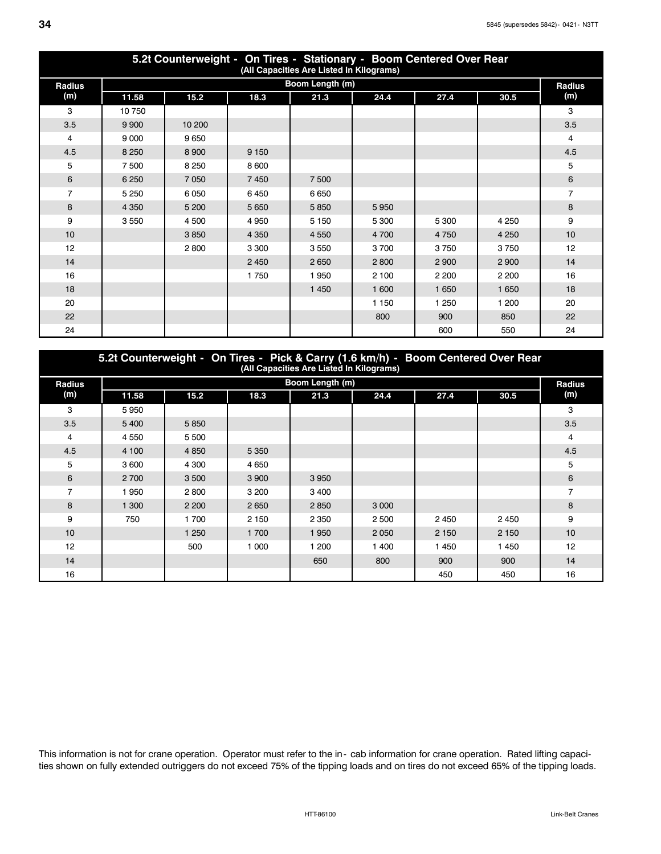| 5.2t Counterweight - On Tires - Stationary - Boom Centered Over Rear<br>(All Capacities Are Listed In Kilograms) |         |         |         |                 |         |         |         |                |  |  |  |  |
|------------------------------------------------------------------------------------------------------------------|---------|---------|---------|-----------------|---------|---------|---------|----------------|--|--|--|--|
| Radius                                                                                                           |         |         |         | Boom Length (m) |         |         |         | Radius         |  |  |  |  |
| (m)                                                                                                              | 11.58   | 15.2    | 18.3    | 21.3            | 24.4    | 27.4    | 30.5    | (m)            |  |  |  |  |
| 3                                                                                                                | 10750   |         |         |                 |         |         |         | 3              |  |  |  |  |
| 3.5                                                                                                              | 9 9 0 0 | 10 200  |         |                 |         |         |         | 3.5            |  |  |  |  |
| 4                                                                                                                | 9 0 0 0 | 9650    |         |                 |         |         |         | 4              |  |  |  |  |
| 4.5                                                                                                              | 8 2 5 0 | 8 9 0 0 | 9 1 5 0 |                 |         |         |         | 4.5            |  |  |  |  |
| 5                                                                                                                | 7500    | 8 2 5 0 | 8 600   |                 |         |         |         | 5              |  |  |  |  |
| 6                                                                                                                | 6 2 5 0 | 7 0 5 0 | 7 4 5 0 | 7500            |         |         |         | 6              |  |  |  |  |
| $\overline{7}$                                                                                                   | 5 2 5 0 | 6050    | 6450    | 6650            |         |         |         | $\overline{7}$ |  |  |  |  |
| 8                                                                                                                | 4 3 5 0 | 5 200   | 5 6 5 0 | 5850            | 5950    |         |         | 8              |  |  |  |  |
| 9                                                                                                                | 3550    | 4 500   | 4950    | 5 1 5 0         | 5 300   | 5 300   | 4 2 5 0 | 9              |  |  |  |  |
| 10                                                                                                               |         | 3850    | 4 3 5 0 | 4 5 5 0         | 4700    | 4750    | 4 2 5 0 | 10             |  |  |  |  |
| 12 <sup>2</sup>                                                                                                  |         | 2800    | 3 3 0 0 | 3550            | 3700    | 3750    | 3750    | 12             |  |  |  |  |
| 14                                                                                                               |         |         | 2 4 5 0 | 2650            | 2800    | 2 9 0 0 | 2 9 0 0 | 14             |  |  |  |  |
| 16                                                                                                               |         |         | 1750    | 1950            | 2 100   | 2 2 0 0 | 2 2 0 0 | 16             |  |  |  |  |
| 18                                                                                                               |         |         |         | 1 4 5 0         | 1 600   | 1 6 5 0 | 1 6 5 0 | 18             |  |  |  |  |
| 20                                                                                                               |         |         |         |                 | 1 1 5 0 | 1 250   | 1 200   | 20             |  |  |  |  |
| 22                                                                                                               |         |         |         |                 | 800     | 900     | 850     | 22             |  |  |  |  |
| 24                                                                                                               |         |         |         |                 |         | 600     | 550     | 24             |  |  |  |  |

#### **5.2t Counterweight - On Tires - Pick & Carry (1.6 km/h) - Boom Centered Over Rear (All Capacities Are Listed In Kilograms) Radius (m) Boom Length (m)**<br> **Boom Length (m)**<br> **Boom Length (m)**<br> **Radius**<br> **Radius**<br> **Radius 11.58 15.2 18.3 21.3 24.4 27.4 30.5 (m)** 3 5 950 July 2001 12:00 12:00 12:00 12:00 12:00 12:00 12:00 12:00 12:00 12:00 12:00 12:00 12:00 12:00 12:00 12 3.5 **6 5 400 5 850 3.5 5 3.5 5 400 5 850** 4 4 550 5 500 4

| 4              | 4 5 5 0 | 5 500   |         |         |         |         |         | 4   |
|----------------|---------|---------|---------|---------|---------|---------|---------|-----|
| 4.5            | 4 100   | 4 8 5 0 | 5 3 5 0 |         |         |         |         | 4.5 |
| 5              | 3 600   | 4 300   | 4 6 5 0 |         |         |         |         | 5   |
| 6              | 2 700   | 3 500   | 3 9 0 0 | 3 9 5 0 |         |         |         | 6   |
| $\overline{7}$ | 1950    | 2800    | 3 200   | 3 4 0 0 |         |         |         |     |
| 8              | 1 300   | 2 2 0 0 | 2 6 5 0 | 2850    | 3 0 0 0 |         |         | 8   |
| 9              | 750     | 1700    | 2 1 5 0 | 2 3 5 0 | 2 500   | 2 4 5 0 | 2 4 5 0 | 9   |
| 10             |         | 1 250   | 1 700   | 1950    | 2 0 5 0 | 2 1 5 0 | 2 1 5 0 | 10  |
| 12             |         | 500     | 1 0 0 0 | 1 200   | 400     | 1450    | 1 4 5 0 | 12  |
| 14             |         |         |         | 650     | 800     | 900     | 900     | 14  |
| 16             |         |         |         |         |         | 450     | 450     | 16  |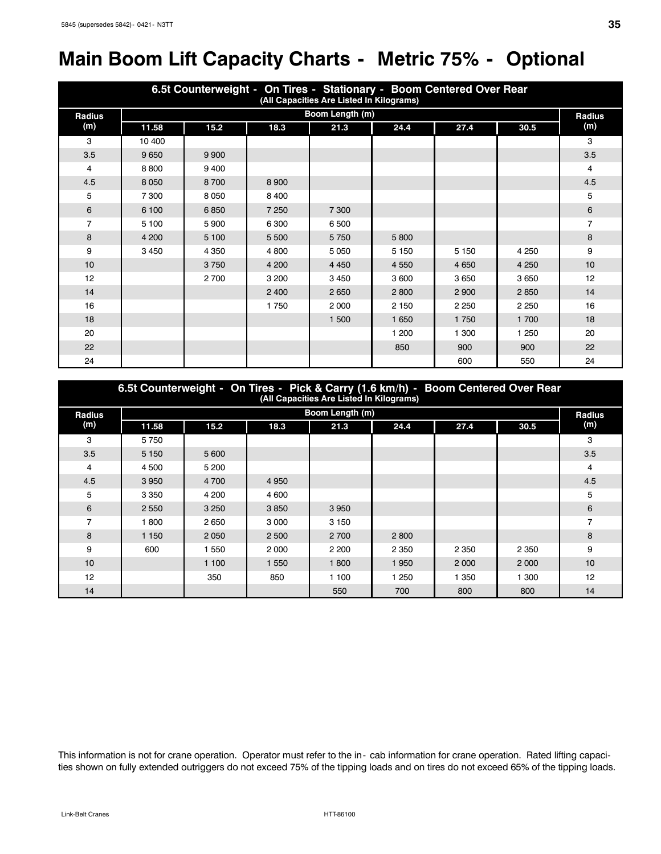# **Main Boom Lift Capacity Charts - Metric 75% - Optional**

| 6.5t Counterweight - On Tires - Stationary - Boom Centered Over Rear<br>(All Capacities Are Listed In Kilograms) |         |         |         |                 |         |         |         |               |  |  |  |
|------------------------------------------------------------------------------------------------------------------|---------|---------|---------|-----------------|---------|---------|---------|---------------|--|--|--|
| <b>Radius</b>                                                                                                    |         |         |         | Boom Length (m) |         |         |         | <b>Radius</b> |  |  |  |
| (m)                                                                                                              | 11.58   | 15.2    | 18.3    | 21.3            | 24.4    | 27.4    | 30.5    | (m)           |  |  |  |
| 3                                                                                                                | 10 400  |         |         |                 |         |         |         | 3             |  |  |  |
| 3.5                                                                                                              | 9 6 5 0 | 9 9 0 0 |         |                 |         |         |         | 3.5           |  |  |  |
| 4                                                                                                                | 8800    | 9400    |         |                 |         |         |         | 4             |  |  |  |
| 4.5                                                                                                              | 8 0 5 0 | 8700    | 8 9 0 0 |                 |         |         |         | 4.5           |  |  |  |
| 5                                                                                                                | 7 300   | 8 0 5 0 | 8 4 0 0 |                 |         |         |         | 5             |  |  |  |
| 6                                                                                                                | 6 100   | 6850    | 7 2 5 0 | 7 300           |         |         |         | 6             |  |  |  |
| 7                                                                                                                | 5 100   | 5900    | 6 300   | 6 500           |         |         |         | 7             |  |  |  |
| 8                                                                                                                | 4 200   | 5 100   | 5 500   | 5750            | 5800    |         |         | 8             |  |  |  |
| 9                                                                                                                | 3 4 5 0 | 4 3 5 0 | 4 800   | 5 0 5 0         | 5 1 5 0 | 5 1 5 0 | 4 2 5 0 | 9             |  |  |  |
| 10                                                                                                               |         | 3750    | 4 200   | 4 4 5 0         | 4 5 5 0 | 4 6 5 0 | 4 2 5 0 | 10            |  |  |  |
| 12                                                                                                               |         | 2700    | 3 200   | 3 4 5 0         | 3 600   | 3650    | 3 6 5 0 | 12            |  |  |  |
| 14                                                                                                               |         |         | 2 4 0 0 | 2650            | 2800    | 2 9 0 0 | 2850    | 14            |  |  |  |
| 16                                                                                                               |         |         | 1750    | 2 0 0 0         | 2 1 5 0 | 2 2 5 0 | 2 2 5 0 | 16            |  |  |  |
| 18                                                                                                               |         |         |         | 1 500           | 1 650   | 1750    | 1 700   | 18            |  |  |  |
| 20                                                                                                               |         |         |         |                 | 1 200   | 1 300   | 1 250   | 20            |  |  |  |
| 22                                                                                                               |         |         |         |                 | 850     | 900     | 900     | 22            |  |  |  |
| 24                                                                                                               |         |         |         |                 |         | 600     | 550     | 24            |  |  |  |

| 6.5t Counterweight - On Tires - Pick & Carry (1.6 km/h) - Boom Centered Over Rear<br>(All Capacities Are Listed In Kilograms) |         |         |         |                 |         |         |         |                |  |  |  |  |
|-------------------------------------------------------------------------------------------------------------------------------|---------|---------|---------|-----------------|---------|---------|---------|----------------|--|--|--|--|
| <b>Radius</b>                                                                                                                 |         |         |         | Boom Length (m) |         |         |         | <b>Radius</b>  |  |  |  |  |
| (m)                                                                                                                           | 11.58   | 15.2    | 18.3    | 21.3            | 24.4    | 27.4    | 30.5    | (m)            |  |  |  |  |
| 3                                                                                                                             | 5750    |         |         |                 |         |         |         | 3              |  |  |  |  |
| 3.5                                                                                                                           | 5 1 5 0 | 5 600   |         |                 |         |         |         | 3.5            |  |  |  |  |
| 4                                                                                                                             | 4 500   | 5 200   |         |                 |         |         |         | 4              |  |  |  |  |
| 4.5                                                                                                                           | 3 9 5 0 | 4 700   | 4 9 5 0 |                 |         |         |         | 4.5            |  |  |  |  |
| 5                                                                                                                             | 3 3 5 0 | 4 200   | 4 600   |                 |         |         |         | 5              |  |  |  |  |
| 6                                                                                                                             | 2 5 5 0 | 3 2 5 0 | 3850    | 3 9 5 0         |         |         |         | 6              |  |  |  |  |
| $\overline{7}$                                                                                                                | 1800    | 2650    | 3 0 0 0 | 3 1 5 0         |         |         |         | $\overline{7}$ |  |  |  |  |
| 8                                                                                                                             | 1 1 5 0 | 2 0 5 0 | 2 500   | 2 700           | 2800    |         |         | 8              |  |  |  |  |
| 9                                                                                                                             | 600     | 1 550   | 2 0 0 0 | 2 2 0 0         | 2 3 5 0 | 2 3 5 0 | 2 3 5 0 | 9              |  |  |  |  |
| 10                                                                                                                            |         | 1 100   | 1 5 5 0 | 1 800           | 1950    | 2 0 0 0 | 2 0 0 0 | 10             |  |  |  |  |
| 12                                                                                                                            |         | 350     | 850     | 1 100           | 1 2 5 0 | 350     | 1 300   | 12             |  |  |  |  |
| 14                                                                                                                            |         |         |         | 550             | 700     | 800     | 800     | 14             |  |  |  |  |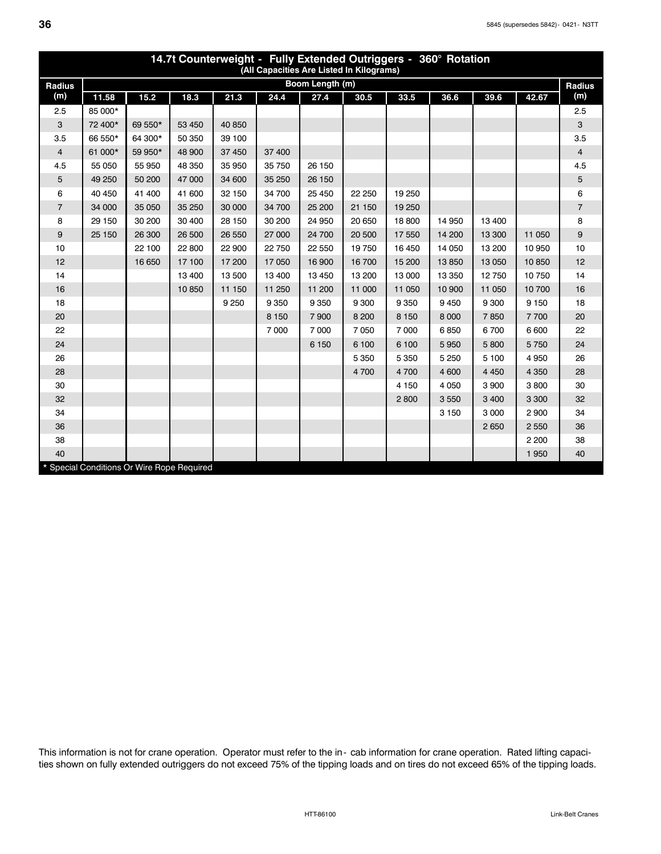| 14.7t Counterweight - Fully Extended Outriggers - 360° Rotation<br>(All Capacities Are Listed In Kilograms) |         |         |        |         |         |                 |         |         |         |         |         |                |  |
|-------------------------------------------------------------------------------------------------------------|---------|---------|--------|---------|---------|-----------------|---------|---------|---------|---------|---------|----------------|--|
| Radius                                                                                                      |         |         |        |         |         | Boom Length (m) |         |         |         |         |         | Radius         |  |
| (m)                                                                                                         | 11.58   | 15.2    | 18.3   | 21.3    | 24.4    | 27.4            | 30.5    | 33.5    | 36.6    | 39.6    | 42.67   | (m)            |  |
| 2.5                                                                                                         | 85 000* |         |        |         |         |                 |         |         |         |         |         | 2.5            |  |
| 3                                                                                                           | 72 400* | 69 550* | 53 450 | 40 850  |         |                 |         |         |         |         |         | 3              |  |
| 3.5                                                                                                         | 66 550* | 64 300* | 50 350 | 39 100  |         |                 |         |         |         |         |         | 3.5            |  |
| $\overline{4}$                                                                                              | 61 000* | 59 950* | 48 900 | 37 450  | 37 400  |                 |         |         |         |         |         | $\overline{4}$ |  |
| 4.5                                                                                                         | 55 050  | 55 950  | 48 350 | 35 950  | 35 750  | 26 150          |         |         |         |         |         | 4.5            |  |
| 5                                                                                                           | 49 250  | 50 200  | 47 000 | 34 600  | 35 250  | 26 150          |         |         |         |         |         | 5              |  |
| 6                                                                                                           | 40 450  | 41 400  | 41 600 | 32 150  | 34 700  | 25 450          | 22 250  | 19 250  |         |         |         | 6              |  |
| $\overline{7}$                                                                                              | 34 000  | 35 050  | 35 250 | 30 000  | 34 700  | 25 200          | 21 150  | 19 250  |         |         |         | $\overline{7}$ |  |
| 8                                                                                                           | 29 150  | 30 200  | 30 400 | 28 150  | 30 200  | 24 950          | 20 650  | 18 800  | 14 950  | 13 400  |         | 8              |  |
| 9                                                                                                           | 25 150  | 26 300  | 26 500 | 26 550  | 27 000  | 24 700          | 20 500  | 17 550  | 14 200  | 13 300  | 11 050  | 9              |  |
| 10                                                                                                          |         | 22 100  | 22 800 | 22 900  | 22 750  | 22 550          | 19750   | 16 450  | 14 050  | 13 200  | 10 950  | 10             |  |
| 12                                                                                                          |         | 16 650  | 17 100 | 17 200  | 17 050  | 16 900          | 16 700  | 15 200  | 13850   | 13 0 50 | 10 850  | 12             |  |
| 14                                                                                                          |         |         | 13 400 | 13 500  | 13 400  | 13 450          | 13 200  | 13 000  | 13 350  | 12750   | 10750   | 14             |  |
| 16                                                                                                          |         |         | 10850  | 11 150  | 11 250  | 11 200          | 11 000  | 11 050  | 10 900  | 11 050  | 10 700  | 16             |  |
| 18                                                                                                          |         |         |        | 9 2 5 0 | 9 3 5 0 | 9 3 5 0         | 9 3 0 0 | 9 3 5 0 | 9450    | 9 3 0 0 | 9 1 5 0 | 18             |  |
| 20                                                                                                          |         |         |        |         | 8 1 5 0 | 7900            | 8 200   | 8 1 5 0 | 8 0 0 0 | 7850    | 7700    | 20             |  |
| 22                                                                                                          |         |         |        |         | 7 0 0 0 | 7 0 0 0         | 7 0 5 0 | 7 000   | 6850    | 6700    | 6 600   | 22             |  |
| 24                                                                                                          |         |         |        |         |         | 6 150           | 6 100   | 6 100   | 5 9 5 0 | 5 800   | 5750    | 24             |  |
| 26                                                                                                          |         |         |        |         |         |                 | 5 3 5 0 | 5 3 5 0 | 5 2 5 0 | 5 100   | 4 9 5 0 | 26             |  |
| 28                                                                                                          |         |         |        |         |         |                 | 4 700   | 4700    | 4 600   | 4 4 5 0 | 4 3 5 0 | 28             |  |
| 30                                                                                                          |         |         |        |         |         |                 |         | 4 1 5 0 | 4 0 5 0 | 3 9 0 0 | 3800    | 30             |  |
| 32                                                                                                          |         |         |        |         |         |                 |         | 2800    | 3550    | 3 4 0 0 | 3 3 0 0 | 32             |  |
| 34                                                                                                          |         |         |        |         |         |                 |         |         | 3 1 5 0 | 3 0 0 0 | 2 9 0 0 | 34             |  |
| 36                                                                                                          |         |         |        |         |         |                 |         |         |         | 2 6 5 0 | 2 5 5 0 | 36             |  |
| 38                                                                                                          |         |         |        |         |         |                 |         |         |         |         | 2 2 0 0 | 38             |  |
| 40                                                                                                          |         |         |        |         |         |                 |         |         |         |         | 1 9 5 0 | 40             |  |
| * Special Conditions Or Wire Rope Required                                                                  |         |         |        |         |         |                 |         |         |         |         |         |                |  |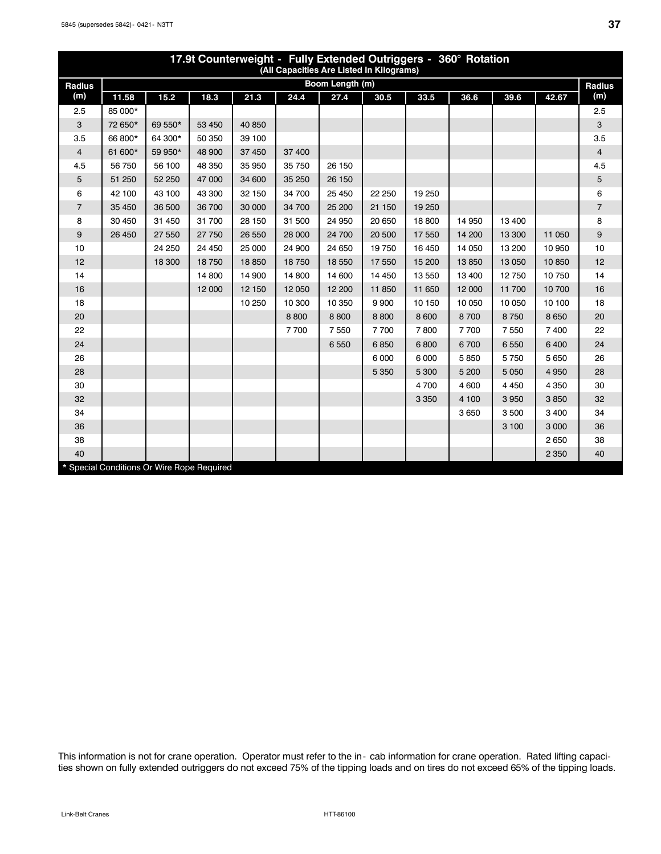| 17.9t Counterweight - Fully Extended Outriggers - 360° Rotation<br>(All Capacities Are Listed In Kilograms) |         |                                            |        |        |         |                 |         |         |         |         |         |                |  |
|-------------------------------------------------------------------------------------------------------------|---------|--------------------------------------------|--------|--------|---------|-----------------|---------|---------|---------|---------|---------|----------------|--|
| Radius                                                                                                      |         |                                            |        |        |         | Boom Length (m) |         |         |         |         |         | <b>Radius</b>  |  |
| (m)                                                                                                         | 11.58   | 15.2                                       | 18.3   | 21.3   | 24.4    | 27.4            | 30.5    | 33.5    | 36.6    | 39.6    | 42.67   | (m)            |  |
| 2.5                                                                                                         | 85 000* |                                            |        |        |         |                 |         |         |         |         |         | 2.5            |  |
| 3                                                                                                           | 72 650* | 69 550*                                    | 53 450 | 40 850 |         |                 |         |         |         |         |         | 3              |  |
| 3.5                                                                                                         | 66 800* | 64 300*                                    | 50 350 | 39 100 |         |                 |         |         |         |         |         | 3.5            |  |
| $\overline{4}$                                                                                              | 61 600* | 59 950*                                    | 48 900 | 37 450 | 37 400  |                 |         |         |         |         |         | $\overline{4}$ |  |
| 4.5                                                                                                         | 56 750  | 56 100                                     | 48 350 | 35 950 | 35 750  | 26 150          |         |         |         |         |         | 4.5            |  |
| 5                                                                                                           | 51 250  | 52 250                                     | 47 000 | 34 600 | 35 250  | 26 150          |         |         |         |         |         | 5              |  |
| 6                                                                                                           | 42 100  | 43 100                                     | 43 300 | 32 150 | 34 700  | 25 450          | 22 250  | 19 250  |         |         |         | 6              |  |
| $\overline{7}$                                                                                              | 35 450  | 36 500                                     | 36 700 | 30 000 | 34 700  | 25 200          | 21 150  | 19 250  |         |         |         | $\overline{7}$ |  |
| 8                                                                                                           | 30 450  | 31 450                                     | 31 700 | 28 150 | 31 500  | 24 950          | 20 650  | 18 800  | 14 950  | 13 400  |         | 8              |  |
| 9                                                                                                           | 26 450  | 27 550                                     | 27 750 | 26 550 | 28 000  | 24 700          | 20 500  | 17 550  | 14 200  | 13 300  | 11 050  | 9              |  |
| 10                                                                                                          |         | 24 250                                     | 24 450 | 25 000 | 24 900  | 24 650          | 19750   | 16 450  | 14 050  | 13 200  | 10 950  | 10             |  |
| 12                                                                                                          |         | 18 300                                     | 18750  | 18850  | 18750   | 18 550          | 17 550  | 15 200  | 13 850  | 13 0 50 | 10 850  | 12             |  |
| 14                                                                                                          |         |                                            | 14 800 | 14 900 | 14 800  | 14 600          | 14 450  | 13 550  | 13 400  | 12750   | 10750   | 14             |  |
| 16                                                                                                          |         |                                            | 12 000 | 12 150 | 12 050  | 12 200          | 11 850  | 11 650  | 12 000  | 11700   | 10 700  | 16             |  |
| 18                                                                                                          |         |                                            |        | 10 250 | 10 300  | 10 350          | 9 9 0 0 | 10 150  | 10 050  | 10 050  | 10 100  | 18             |  |
| 20                                                                                                          |         |                                            |        |        | 8 8 0 0 | 8800            | 8 8 0 0 | 8 600   | 8700    | 8750    | 8 6 5 0 | 20             |  |
| 22                                                                                                          |         |                                            |        |        | 7700    | 7550            | 7700    | 7800    | 7700    | 7550    | 7 400   | 22             |  |
| 24                                                                                                          |         |                                            |        |        |         | 6550            | 6850    | 6800    | 6700    | 6550    | 6 4 0 0 | 24             |  |
| 26                                                                                                          |         |                                            |        |        |         |                 | 6 0 0 0 | 6 0 0 0 | 5850    | 5750    | 5 6 5 0 | 26             |  |
| 28                                                                                                          |         |                                            |        |        |         |                 | 5 3 5 0 | 5 300   | 5 200   | 5 0 5 0 | 4 9 5 0 | 28             |  |
| 30                                                                                                          |         |                                            |        |        |         |                 |         | 4700    | 4 600   | 4 4 5 0 | 4 3 5 0 | 30             |  |
| 32                                                                                                          |         |                                            |        |        |         |                 |         | 3 3 5 0 | 4 100   | 3 9 5 0 | 3850    | 32             |  |
| 34                                                                                                          |         |                                            |        |        |         |                 |         |         | 3 6 5 0 | 3500    | 3 4 0 0 | 34             |  |
| 36                                                                                                          |         |                                            |        |        |         |                 |         |         |         | 3 100   | 3 0 0 0 | 36             |  |
| 38                                                                                                          |         |                                            |        |        |         |                 |         |         |         |         | 2 6 5 0 | 38             |  |
| 40                                                                                                          |         |                                            |        |        |         |                 |         |         |         |         | 2 3 5 0 | 40             |  |
|                                                                                                             |         | * Special Conditions Or Wire Rope Required |        |        |         |                 |         |         |         |         |         |                |  |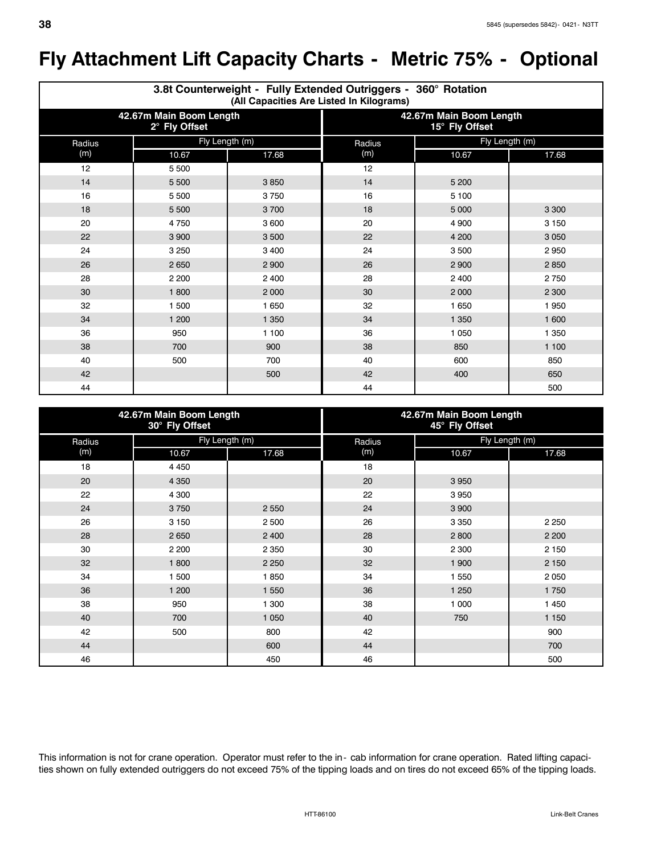# **Fly Attachment Lift Capacity Charts - Metric 75% - Optional**

|        | 3.8t Counterweight - Fully Extended Outriggers - 360° Rotation<br>(All Capacities Are Listed In Kilograms) |         |                                           |                |         |  |  |  |  |  |  |  |  |
|--------|------------------------------------------------------------------------------------------------------------|---------|-------------------------------------------|----------------|---------|--|--|--|--|--|--|--|--|
|        | 42.67m Main Boom Length<br>2° Fly Offset                                                                   |         | 42.67m Main Boom Length<br>15° Fly Offset |                |         |  |  |  |  |  |  |  |  |
| Radius | Fly Length (m)                                                                                             |         | Radius                                    | Fly Length (m) |         |  |  |  |  |  |  |  |  |
| (m)    | 10.67                                                                                                      | 17.68   | (m)                                       | 10.67          | 17.68   |  |  |  |  |  |  |  |  |
| 12     | 5 500                                                                                                      |         | 12                                        |                |         |  |  |  |  |  |  |  |  |
| 14     | 5 500                                                                                                      | 3850    | 14                                        | 5 200          |         |  |  |  |  |  |  |  |  |
| 16     | 5 500                                                                                                      | 3750    | 16                                        | 5 100          |         |  |  |  |  |  |  |  |  |
| 18     | 5 500                                                                                                      | 3700    | 18                                        | 5 0 0 0        | 3 3 0 0 |  |  |  |  |  |  |  |  |
| 20     | 4750                                                                                                       | 3 600   | 20                                        | 4 9 0 0        | 3 1 5 0 |  |  |  |  |  |  |  |  |
| 22     | 3 9 0 0                                                                                                    | 3 500   | 22                                        | 4 200          | 3 0 5 0 |  |  |  |  |  |  |  |  |
| 24     | 3 2 5 0                                                                                                    | 3 400   | 24                                        | 3500           | 2950    |  |  |  |  |  |  |  |  |
| 26     | 2 6 5 0                                                                                                    | 2 900   | 26                                        | 2 9 0 0        | 2850    |  |  |  |  |  |  |  |  |
| 28     | 2 2 0 0                                                                                                    | 2 400   | 28                                        | 2 4 0 0        | 2750    |  |  |  |  |  |  |  |  |
| 30     | 1800                                                                                                       | 2 0 0 0 | 30                                        | 2 0 0 0        | 2 3 0 0 |  |  |  |  |  |  |  |  |
| 32     | 1 500                                                                                                      | 1 650   | 32                                        | 1 650          | 1950    |  |  |  |  |  |  |  |  |
| 34     | 1 200                                                                                                      | 1 3 5 0 | 34                                        | 1 3 5 0        | 1 600   |  |  |  |  |  |  |  |  |
| 36     | 950                                                                                                        | 1 100   | 36                                        | 1 0 5 0        | 1 3 5 0 |  |  |  |  |  |  |  |  |
| 38     | 700                                                                                                        | 900     | 38                                        | 850            | 1 100   |  |  |  |  |  |  |  |  |
| 40     | 500                                                                                                        | 700     | 40                                        | 600            | 850     |  |  |  |  |  |  |  |  |
| 42     |                                                                                                            | 500     | 42                                        | 400            | 650     |  |  |  |  |  |  |  |  |
| 44     |                                                                                                            |         | 44                                        |                | 500     |  |  |  |  |  |  |  |  |

|        | 42.67m Main Boom Length<br>30° Fly Offset |         | 42.67m Main Boom Length<br>45° Fly Offset |                |         |  |  |
|--------|-------------------------------------------|---------|-------------------------------------------|----------------|---------|--|--|
| Radius | Fly Length (m)                            |         | Radius                                    | Fly Length (m) |         |  |  |
| (m)    | 10.67                                     | 17.68   | (m)                                       | 10.67          | 17.68   |  |  |
| 18     | 4 4 5 0                                   |         | 18                                        |                |         |  |  |
| 20     | 4 3 5 0                                   |         | 20                                        | 3 9 5 0        |         |  |  |
| 22     | 4 300                                     |         | 22                                        | 3950           |         |  |  |
| 24     | 3750                                      | 2 5 5 0 | 24                                        | 3 9 0 0        |         |  |  |
| 26     | 3 1 5 0                                   | 2 500   | 26                                        | 3 3 5 0        | 2 2 5 0 |  |  |
| 28     | 2 6 5 0                                   | 2 4 0 0 | 28                                        | 2800           | 2 2 0 0 |  |  |
| 30     | 2 2 0 0                                   | 2 3 5 0 | 30                                        | 2 3 0 0        | 2 1 5 0 |  |  |
| 32     | 1 800                                     | 2 2 5 0 | 32                                        | 1 900          | 2 1 5 0 |  |  |
| 34     | 1 500                                     | 1850    | 34                                        | 1 550          | 2 0 5 0 |  |  |
| 36     | 1 200                                     | 1 550   | 36                                        | 1 2 5 0        | 1750    |  |  |
| 38     | 950                                       | 1 300   | 38                                        | 1 000          | 1 4 5 0 |  |  |
| 40     | 700                                       | 1 0 5 0 | 40                                        | 750            | 1 1 5 0 |  |  |
| 42     | 500                                       | 800     | 42                                        |                | 900     |  |  |
| 44     |                                           | 600     | 44                                        |                | 700     |  |  |
| 46     |                                           | 450     | 46                                        |                | 500     |  |  |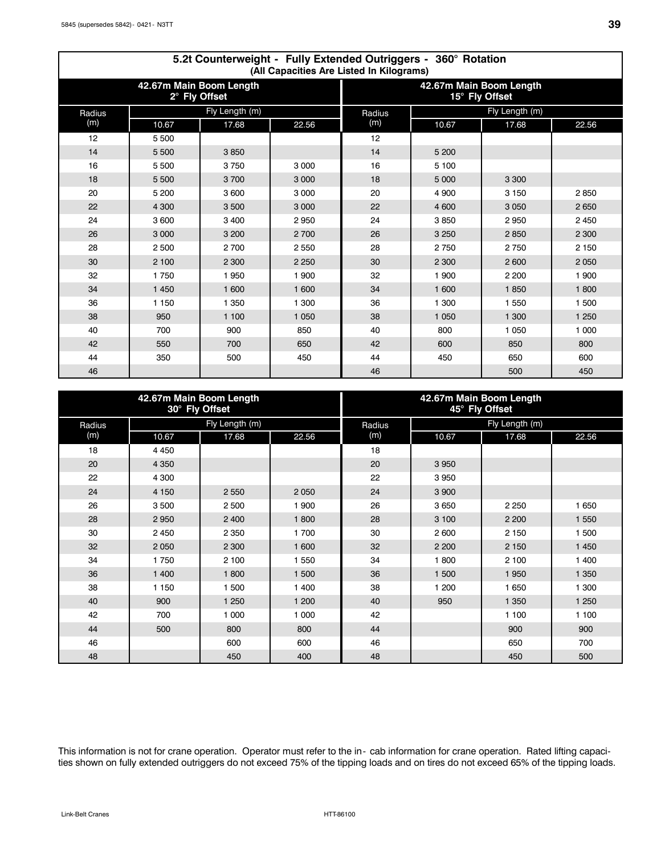Г

|        | 5.2t Counterweight - Fully Extended Outriggers - 360° Rotation<br>(All Capacities Are Listed In Kilograms) |                |         |                                           |                |         |         |  |  |  |  |  |  |  |
|--------|------------------------------------------------------------------------------------------------------------|----------------|---------|-------------------------------------------|----------------|---------|---------|--|--|--|--|--|--|--|
|        | 42.67m Main Boom Length<br>2° Fly Offset                                                                   |                |         | 42.67m Main Boom Length<br>15° Fly Offset |                |         |         |  |  |  |  |  |  |  |
| Radius |                                                                                                            | Fly Length (m) |         | Radius                                    | Fly Length (m) |         |         |  |  |  |  |  |  |  |
| (m)    | 10.67                                                                                                      | 17.68          | 22.56   | (m)                                       | 10.67          | 17.68   | 22.56   |  |  |  |  |  |  |  |
| 12     | 5 500                                                                                                      |                |         | 12                                        |                |         |         |  |  |  |  |  |  |  |
| 14     | 5 500                                                                                                      | 3850           |         | 14                                        | 5 200          |         |         |  |  |  |  |  |  |  |
| 16     | 5 500                                                                                                      | 3750           | 3 0 0 0 | 16                                        | 5 100          |         |         |  |  |  |  |  |  |  |
| 18     | 5 500                                                                                                      | 3700           | 3 0 0 0 | 18                                        | 5 0 0 0        | 3 3 0 0 |         |  |  |  |  |  |  |  |
| 20     | 5 200                                                                                                      | 3 600          | 3 0 0 0 | 20                                        | 4 900          | 3 1 5 0 | 2850    |  |  |  |  |  |  |  |
| 22     | 4 300                                                                                                      | 3500           | 3 0 0 0 | 22                                        | 4 600          | 3 0 5 0 | 2650    |  |  |  |  |  |  |  |
| 24     | 3 600                                                                                                      | 3 4 0 0        | 2950    | 24                                        | 3850           | 2950    | 2 4 5 0 |  |  |  |  |  |  |  |
| 26     | 3 0 0 0                                                                                                    | 3 200          | 2 700   | 26                                        | 3 2 5 0        | 2850    | 2 3 0 0 |  |  |  |  |  |  |  |
| 28     | 2500                                                                                                       | 2700           | 2 5 5 0 | 28                                        | 2750           | 2750    | 2 1 5 0 |  |  |  |  |  |  |  |
| 30     | 2 100                                                                                                      | 2 3 0 0        | 2 2 5 0 | 30                                        | 2 3 0 0        | 2600    | 2 0 5 0 |  |  |  |  |  |  |  |
| 32     | 1750                                                                                                       | 1950           | 1 900   | 32                                        | 1 900          | 2 2 0 0 | 1 900   |  |  |  |  |  |  |  |
| 34     | 1 4 5 0                                                                                                    | 1 600          | 1 600   | 34                                        | 1 600          | 1850    | 1800    |  |  |  |  |  |  |  |
| 36     | 1 150                                                                                                      | 1 3 5 0        | 1 300   | 36                                        | 1 300          | 1 550   | 1 500   |  |  |  |  |  |  |  |
| 38     | 950                                                                                                        | 1 100          | 1 0 5 0 | 38                                        | 1 0 5 0        | 1 300   | 1 2 5 0 |  |  |  |  |  |  |  |
| 40     | 700                                                                                                        | 900            | 850     | 40                                        | 800            | 1 0 5 0 | 1 000   |  |  |  |  |  |  |  |
| 42     | 550                                                                                                        | 700            | 650     | 42                                        | 600            | 850     | 800     |  |  |  |  |  |  |  |
| 44     | 350                                                                                                        | 500            | 450     | 44                                        | 450            | 650     | 600     |  |  |  |  |  |  |  |
| 46     |                                                                                                            |                |         | 46                                        |                | 500     | 450     |  |  |  |  |  |  |  |

|        | 42.67m Main Boom Length | 30° Fly Offset |         | 42.67m Main Boom Length<br>45° Fly Offset |                |         |         |  |  |
|--------|-------------------------|----------------|---------|-------------------------------------------|----------------|---------|---------|--|--|
| Radius |                         | Fly Length (m) |         | Radius                                    | Fly Length (m) |         |         |  |  |
| (m)    | 10.67                   | 17.68          | 22.56   | (m)                                       | 10.67          | 17.68   | 22.56   |  |  |
| 18     | 4 4 5 0                 |                |         | 18                                        |                |         |         |  |  |
| 20     | 4 3 5 0                 |                |         | 20                                        | 3 9 5 0        |         |         |  |  |
| 22     | 4 300                   |                |         | 22                                        | 3950           |         |         |  |  |
| 24     | 4 1 5 0                 | 2 5 5 0        | 2 0 5 0 | 24                                        | 3 9 0 0        |         |         |  |  |
| 26     | 3500                    | 2 500          | 1 900   | 26                                        | 3 6 5 0        | 2 2 5 0 | 1 650   |  |  |
| 28     | 2950                    | 2 4 0 0        | 1800    | 28                                        | 3 100          | 2 2 0 0 | 1 5 5 0 |  |  |
| 30     | 2 4 5 0                 | 2 3 5 0        | 1700    | 30                                        | 2 600          | 2 1 5 0 | 1 500   |  |  |
| 32     | 2 0 5 0                 | 2 3 0 0        | 1 600   | 32                                        | 2 2 0 0        | 2 1 5 0 | 1 4 5 0 |  |  |
| 34     | 1750                    | 2 100          | 1 550   | 34                                        | 1800           | 2 100   | 1 400   |  |  |
| 36     | 1 400                   | 1800           | 1 500   | 36                                        | 1 500          | 1950    | 1 3 5 0 |  |  |
| 38     | 1 150                   | 1 500          | 1 400   | 38                                        | 1 200          | 1 650   | 1 300   |  |  |
| 40     | 900                     | 1 2 5 0        | 1 200   | 40                                        | 950            | 1 3 5 0 | 1 2 5 0 |  |  |
| 42     | 700                     | 1 000          | 1 0 0 0 | 42                                        |                | 1 100   | 1 100   |  |  |
| 44     | 500                     | 800            | 800     | 44                                        |                | 900     | 900     |  |  |
| 46     |                         | 600            | 600     | 46                                        |                | 650     | 700     |  |  |
| 48     |                         | 450            | 400     | 48                                        |                | 450     | 500     |  |  |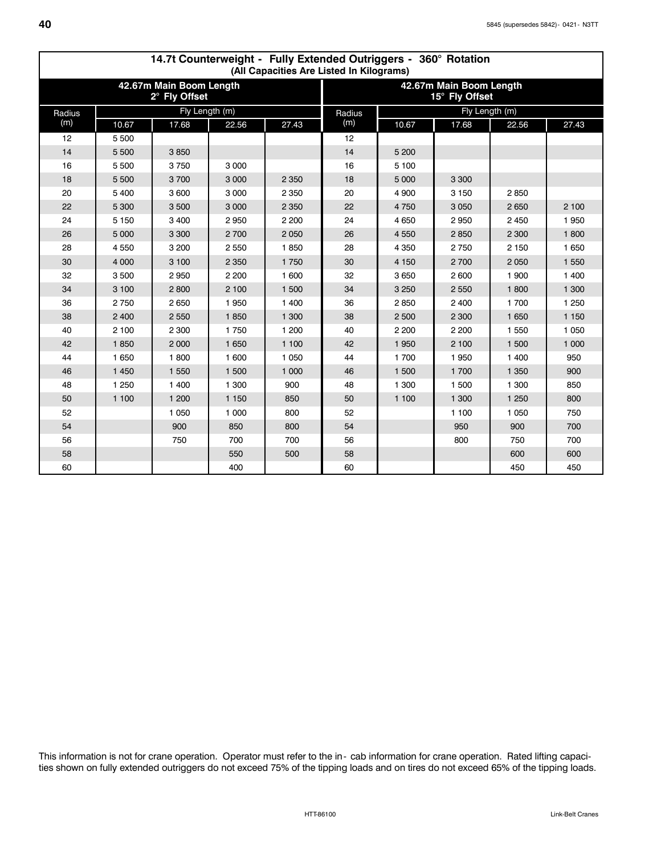|        |         | 17.7 Counterweight - Tuny Extended Odinggers - 000 Trotation<br>(All Capacities Are Listed In Kilograms) |         |         |                                           |         |                |         |         |  |  |  |  |  |  |
|--------|---------|----------------------------------------------------------------------------------------------------------|---------|---------|-------------------------------------------|---------|----------------|---------|---------|--|--|--|--|--|--|
|        |         | 42.67m Main Boom Length<br>2° Fly Offset                                                                 |         |         | 42.67m Main Boom Length<br>15° Fly Offset |         |                |         |         |  |  |  |  |  |  |
| Radius |         | Fly Length (m)                                                                                           |         |         | Radius                                    |         | Fly Length (m) |         |         |  |  |  |  |  |  |
| (m)    | 10.67   | 17.68                                                                                                    | 22.56   | 27.43   | (m)                                       | 10.67   | 17.68          | 22.56   | 27.43   |  |  |  |  |  |  |
| 12     | 5 5 0 0 |                                                                                                          |         |         | 12                                        |         |                |         |         |  |  |  |  |  |  |
| 14     | 5 500   | 3850                                                                                                     |         |         | 14                                        | 5 200   |                |         |         |  |  |  |  |  |  |
| 16     | 5 500   | 3750                                                                                                     | 3 0 0 0 |         | 16                                        | 5 100   |                |         |         |  |  |  |  |  |  |
| 18     | 5 500   | 3700                                                                                                     | 3 0 0 0 | 2 3 5 0 | 18                                        | 5 0 0 0 | 3 3 0 0        |         |         |  |  |  |  |  |  |
| 20     | 5400    | 3 600                                                                                                    | 3 0 0 0 | 2 3 5 0 | 20                                        | 4 9 0 0 | 3 1 5 0        | 2850    |         |  |  |  |  |  |  |
| 22     | 5 3 0 0 | 3500                                                                                                     | 3 0 0 0 | 2 3 5 0 | 22                                        | 4750    | 3 0 5 0        | 2 6 5 0 | 2 100   |  |  |  |  |  |  |
| 24     | 5 1 5 0 | 3 4 0 0                                                                                                  | 2950    | 2 2 0 0 | 24                                        | 4 6 5 0 | 2950           | 2 4 5 0 | 1950    |  |  |  |  |  |  |
| 26     | 5 0 0 0 | 3 3 0 0                                                                                                  | 2700    | 2 0 5 0 | 26                                        | 4 5 5 0 | 2850           | 2 3 0 0 | 1800    |  |  |  |  |  |  |
| 28     | 4550    | 3 200                                                                                                    | 2 5 5 0 | 1850    | 28                                        | 4 3 5 0 | 2750           | 2 150   | 1 6 5 0 |  |  |  |  |  |  |
| 30     | 4 0 0 0 | 3 100                                                                                                    | 2 3 5 0 | 1750    | 30                                        | 4 1 5 0 | 2700           | 2 0 5 0 | 1 5 5 0 |  |  |  |  |  |  |
| 32     | 3500    | 2950                                                                                                     | 2 2 0 0 | 1 600   | 32                                        | 3 6 5 0 | 2 600          | 1 900   | 1 400   |  |  |  |  |  |  |
| 34     | 3 100   | 2800                                                                                                     | 2 100   | 1 500   | 34                                        | 3 2 5 0 | 2 5 5 0        | 1800    | 1 300   |  |  |  |  |  |  |
| 36     | 2750    | 2 6 5 0                                                                                                  | 1950    | 1 400   | 36                                        | 2850    | 2 4 0 0        | 1 700   | 1 2 5 0 |  |  |  |  |  |  |
| 38     | 2 4 0 0 | 2 5 5 0                                                                                                  | 1850    | 1 300   | 38                                        | 2 500   | 2 3 0 0        | 1 650   | 1 1 5 0 |  |  |  |  |  |  |
| 40     | 2 100   | 2 3 0 0                                                                                                  | 1750    | 1 200   | 40                                        | 2 2 0 0 | 2 2 0 0        | 1 5 5 0 | 1 0 5 0 |  |  |  |  |  |  |
| 42     | 1850    | 2 0 0 0                                                                                                  | 1 650   | 1 100   | 42                                        | 1950    | 2 100          | 1 500   | 1 000   |  |  |  |  |  |  |
| 44     | 1 6 5 0 | 1800                                                                                                     | 1 600   | 1 0 5 0 | 44                                        | 1700    | 1950           | 1 400   | 950     |  |  |  |  |  |  |
| 46     | 1 4 5 0 | 1 550                                                                                                    | 1 500   | 1 000   | 46                                        | 1 500   | 1 700          | 1 3 5 0 | 900     |  |  |  |  |  |  |
| 48     | 1 2 5 0 | 1 400                                                                                                    | 1 300   | 900     | 48                                        | 1 300   | 1 500          | 1 300   | 850     |  |  |  |  |  |  |
| 50     | 1 100   | 1 200                                                                                                    | 1 1 5 0 | 850     | 50                                        | 1 100   | 1 300          | 1 2 5 0 | 800     |  |  |  |  |  |  |
| 52     |         | 1 0 5 0                                                                                                  | 1 0 0 0 | 800     | 52                                        |         | 1 100          | 1 0 5 0 | 750     |  |  |  |  |  |  |
| 54     |         | 900                                                                                                      | 850     | 800     | 54                                        |         | 950            | 900     | 700     |  |  |  |  |  |  |
| 56     |         | 750                                                                                                      | 700     | 700     | 56                                        |         | 800            | 750     | 700     |  |  |  |  |  |  |
| 58     |         |                                                                                                          | 550     | 500     | 58                                        |         |                | 600     | 600     |  |  |  |  |  |  |
| 60     |         |                                                                                                          | 400     |         | 60                                        |         |                | 450     | 450     |  |  |  |  |  |  |

# **14.7t Counterweight - Fully Extended Outriggers - 360° Rotation**

This information is not for crane operation. Operator must refer to the in-cab information for crane operation. Rated lifting capacities shown on fully extended outriggers do not exceed 75% of the tipping loads and on tires do not exceed 65% of the tipping loads.

 $\Gamma$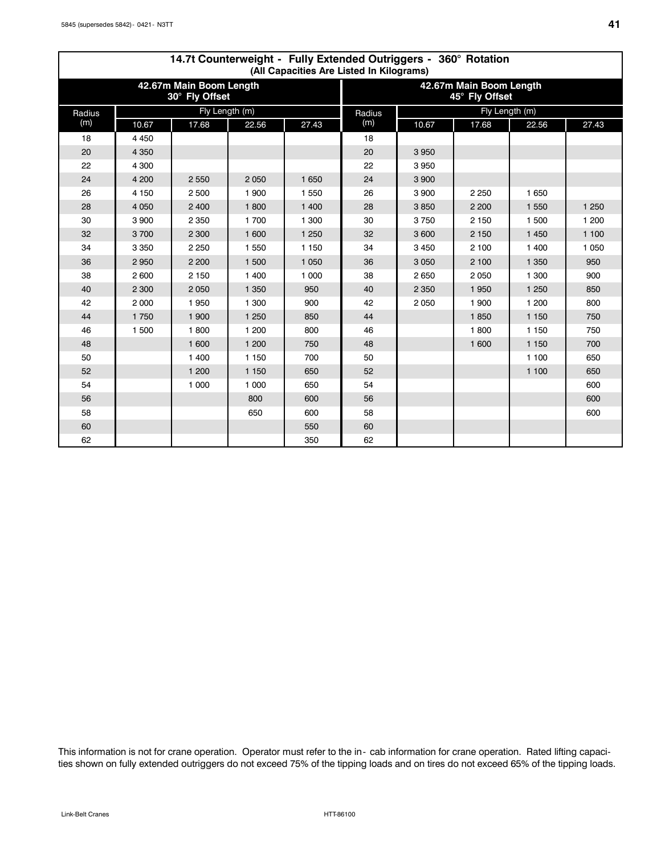|        | 14.7t Counterweight - Fully Extended Outriggers - 360° Rotation<br>(All Capacities Are Listed In Kilograms) |                                           |         |         |                                           |         |                |         |         |  |  |  |  |  |
|--------|-------------------------------------------------------------------------------------------------------------|-------------------------------------------|---------|---------|-------------------------------------------|---------|----------------|---------|---------|--|--|--|--|--|
|        |                                                                                                             | 42.67m Main Boom Length<br>30° Fly Offset |         |         | 42.67m Main Boom Length<br>45° Fly Offset |         |                |         |         |  |  |  |  |  |
| Radius |                                                                                                             | Fly Length (m)                            |         |         | Radius                                    |         | Fly Length (m) |         |         |  |  |  |  |  |
| (m)    | 10.67                                                                                                       | 17.68                                     | 22.56   | 27.43   | (m)                                       | 10.67   | 17.68          | 22.56   | 27.43   |  |  |  |  |  |
| 18     | 4 4 5 0                                                                                                     |                                           |         |         | 18                                        |         |                |         |         |  |  |  |  |  |
| 20     | 4 3 5 0                                                                                                     |                                           |         |         | 20                                        | 3 9 5 0 |                |         |         |  |  |  |  |  |
| 22     | 4 3 0 0                                                                                                     |                                           |         |         | 22                                        | 3 9 5 0 |                |         |         |  |  |  |  |  |
| 24     | 4 200                                                                                                       | 2 5 5 0                                   | 2 0 5 0 | 1 6 5 0 | 24                                        | 3 9 0 0 |                |         |         |  |  |  |  |  |
| 26     | 4 1 5 0                                                                                                     | 2 500                                     | 1 900   | 1 550   | 26                                        | 3 9 0 0 | 2 2 5 0        | 1 650   |         |  |  |  |  |  |
| 28     | 4 0 5 0                                                                                                     | 2 400                                     | 1800    | 1 400   | 28                                        | 3850    | 2 2 0 0        | 1 5 5 0 | 1 2 5 0 |  |  |  |  |  |
| 30     | 3900                                                                                                        | 2 3 5 0                                   | 1700    | 1 300   | 30                                        | 3750    | 2 1 5 0        | 1 500   | 1 200   |  |  |  |  |  |
| 32     | 3700                                                                                                        | 2 3 0 0                                   | 1 600   | 1 2 5 0 | 32                                        | 3 600   | 2 1 5 0        | 1 4 5 0 | 1 100   |  |  |  |  |  |
| 34     | 3 3 5 0                                                                                                     | 2 2 5 0                                   | 1 550   | 1 1 5 0 | 34                                        | 3 4 5 0 | 2 100          | 1 400   | 1 0 5 0 |  |  |  |  |  |
| 36     | 2950                                                                                                        | 2 2 0 0                                   | 1 500   | 1 0 5 0 | 36                                        | 3 0 5 0 | 2 100          | 1 3 5 0 | 950     |  |  |  |  |  |
| 38     | 2600                                                                                                        | 2 1 5 0                                   | 1 400   | 1 000   | 38                                        | 2650    | 2 0 5 0        | 1 300   | 900     |  |  |  |  |  |
| 40     | 2 3 0 0                                                                                                     | 2 0 5 0                                   | 1 3 5 0 | 950     | 40                                        | 2 3 5 0 | 1 9 5 0        | 1 2 5 0 | 850     |  |  |  |  |  |
| 42     | 2000                                                                                                        | 1950                                      | 1 300   | 900     | 42                                        | 2 0 5 0 | 1 900          | 1 200   | 800     |  |  |  |  |  |
| 44     | 1750                                                                                                        | 1 900                                     | 1 2 5 0 | 850     | 44                                        |         | 1850           | 1 1 5 0 | 750     |  |  |  |  |  |
| 46     | 1 500                                                                                                       | 1800                                      | 1 200   | 800     | 46                                        |         | 1800           | 1 150   | 750     |  |  |  |  |  |
| 48     |                                                                                                             | 1 600                                     | 1 200   | 750     | 48                                        |         | 1 600          | 1 1 5 0 | 700     |  |  |  |  |  |
| 50     |                                                                                                             | 1 400                                     | 1 1 5 0 | 700     | 50                                        |         |                | 1 100   | 650     |  |  |  |  |  |
| 52     |                                                                                                             | 1 200                                     | 1 1 5 0 | 650     | 52                                        |         |                | 1 100   | 650     |  |  |  |  |  |
| 54     |                                                                                                             | 1 000                                     | 1 000   | 650     | 54                                        |         |                |         | 600     |  |  |  |  |  |
| 56     |                                                                                                             |                                           | 800     | 600     | 56                                        |         |                |         | 600     |  |  |  |  |  |
| 58     |                                                                                                             |                                           | 650     | 600     | 58                                        |         |                |         | 600     |  |  |  |  |  |
| 60     |                                                                                                             |                                           |         | 550     | 60                                        |         |                |         |         |  |  |  |  |  |
| 62     |                                                                                                             |                                           |         | 350     | 62                                        |         |                |         |         |  |  |  |  |  |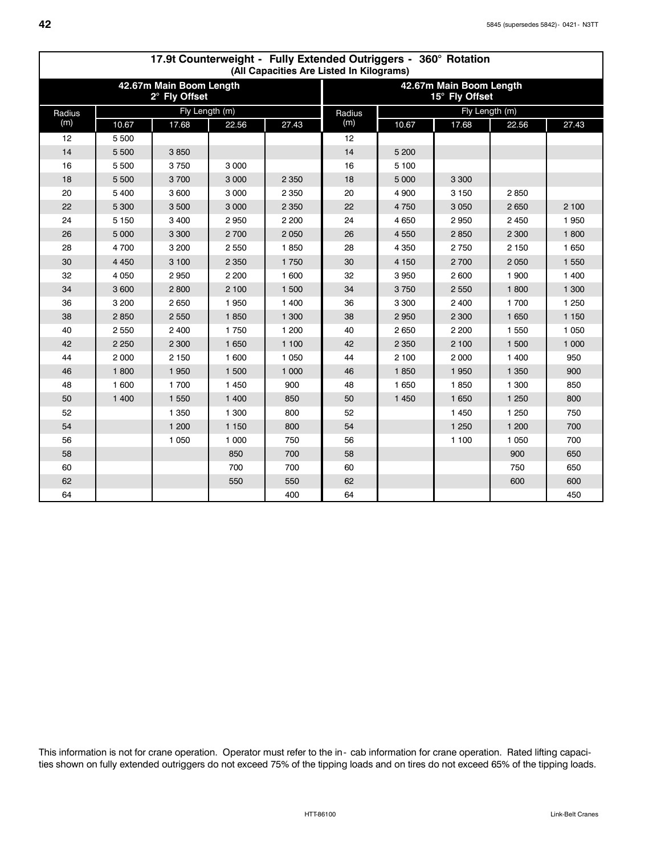|        |         |                                          |         | (All Capacities Are Listed In Kilograms) |                                           | 17.9t Counterweight - Funy Extended Outriggers - 360 Aotation |         |                |         |  |
|--------|---------|------------------------------------------|---------|------------------------------------------|-------------------------------------------|---------------------------------------------------------------|---------|----------------|---------|--|
|        |         | 42.67m Main Boom Length<br>2° Fly Offset |         |                                          | 42.67m Main Boom Length<br>15° Fly Offset |                                                               |         |                |         |  |
| Radius |         | Fly Length (m)                           |         |                                          | Radius                                    |                                                               |         | Fly Length (m) |         |  |
| (m)    | 10.67   | 17.68                                    | 22.56   | 27.43                                    | (m)                                       | 10.67                                                         | 17.68   | 22.56          | 27.43   |  |
| 12     | 5 5 0 0 |                                          |         |                                          | 12                                        |                                                               |         |                |         |  |
| 14     | 5 500   | 3850                                     |         |                                          | 14                                        | 5 200                                                         |         |                |         |  |
| 16     | 5500    | 3750                                     | 3 0 0 0 |                                          | 16                                        | 5 100                                                         |         |                |         |  |
| 18     | 5 5 0 0 | 3700                                     | 3 0 0 0 | 2 3 5 0                                  | 18                                        | 5 0 0 0                                                       | 3 3 0 0 |                |         |  |
| 20     | 5400    | 3 600                                    | 3 0 0 0 | 2 3 5 0                                  | 20                                        | 4 9 0 0                                                       | 3 1 5 0 | 2850           |         |  |
| 22     | 5 3 0 0 | 3 500                                    | 3 0 0 0 | 2 3 5 0                                  | 22                                        | 4750                                                          | 3 0 5 0 | 2 6 5 0        | 2 100   |  |
| 24     | 5 1 5 0 | 3 4 0 0                                  | 2950    | 2 2 0 0                                  | 24                                        | 4 6 5 0                                                       | 2950    | 2 4 5 0        | 1950    |  |
| 26     | 5 0 0 0 | 3 3 0 0                                  | 2700    | 2 0 5 0                                  | 26                                        | 4 5 5 0                                                       | 2850    | 2 3 0 0        | 1800    |  |
| 28     | 4700    | 3 200                                    | 2 5 5 0 | 1850                                     | 28                                        | 4 3 5 0                                                       | 2750    | 2 150          | 1 650   |  |
| 30     | 4 4 5 0 | 3 100                                    | 2 3 5 0 | 1750                                     | 30                                        | 4 1 5 0                                                       | 2700    | 2 0 5 0        | 1 550   |  |
| 32     | 4 0 5 0 | 2950                                     | 2 2 0 0 | 1 600                                    | 32                                        | 3 9 5 0                                                       | 2 600   | 1 900          | 1 400   |  |
| 34     | 3 600   | 2800                                     | 2 100   | 1 500                                    | 34                                        | 3750                                                          | 2 5 5 0 | 1800           | 1 300   |  |
| 36     | 3 2 0 0 | 2650                                     | 1950    | 1 400                                    | 36                                        | 3 3 0 0                                                       | 2 4 0 0 | 1 700          | 1 2 5 0 |  |
| 38     | 2850    | 2 5 5 0                                  | 1850    | 1 300                                    | 38                                        | 2950                                                          | 2 3 0 0 | 1 650          | 1 1 5 0 |  |
| 40     | 2550    | 2 4 0 0                                  | 1750    | 1 200                                    | 40                                        | 2 6 5 0                                                       | 2 2 0 0 | 1 550          | 1 0 5 0 |  |
| 42     | 2 2 5 0 | 2 3 0 0                                  | 1 650   | 1 100                                    | 42                                        | 2 3 5 0                                                       | 2 100   | 1 500          | 1 000   |  |
| 44     | 2000    | 2 1 5 0                                  | 1 600   | 1 0 5 0                                  | 44                                        | 2 100                                                         | 2 0 0 0 | 1 400          | 950     |  |
| 46     | 1800    | 1950                                     | 1 500   | 1 0 0 0                                  | 46                                        | 1850                                                          | 1950    | 1 3 5 0        | 900     |  |
| 48     | 1 600   | 1700                                     | 1 4 5 0 | 900                                      | 48                                        | 1 650                                                         | 1850    | 1 300          | 850     |  |
| 50     | 1 400   | 1 5 5 0                                  | 1 400   | 850                                      | 50                                        | 1 4 5 0                                                       | 1 650   | 1 2 5 0        | 800     |  |
| 52     |         | 1 3 5 0                                  | 1 300   | 800                                      | 52                                        |                                                               | 1 4 5 0 | 1 250          | 750     |  |
| 54     |         | 1 200                                    | 1 1 5 0 | 800                                      | 54                                        |                                                               | 1 2 5 0 | 1 200          | 700     |  |
| 56     |         | 1 0 5 0                                  | 1 0 0 0 | 750                                      | 56                                        |                                                               | 1 100   | 1 0 5 0        | 700     |  |
| 58     |         |                                          | 850     | 700                                      | 58                                        |                                                               |         | 900            | 650     |  |
| 60     |         |                                          | 700     | 700                                      | 60                                        |                                                               |         | 750            | 650     |  |
| 62     |         |                                          | 550     | 550                                      | 62                                        |                                                               |         | 600            | 600     |  |
| 64     |         |                                          |         | 400                                      | 64                                        |                                                               |         |                | 450     |  |

# **17.9t Counterweight - Fully Extended Outriggers - 360° Rotation**

This information is not for crane operation. Operator must refer to the in- cab information for crane operation. Rated lifting capacities shown on fully extended outriggers do not exceed 75% of the tipping loads and on tires do not exceed 65% of the tipping loads.

 $\mathsf{r}$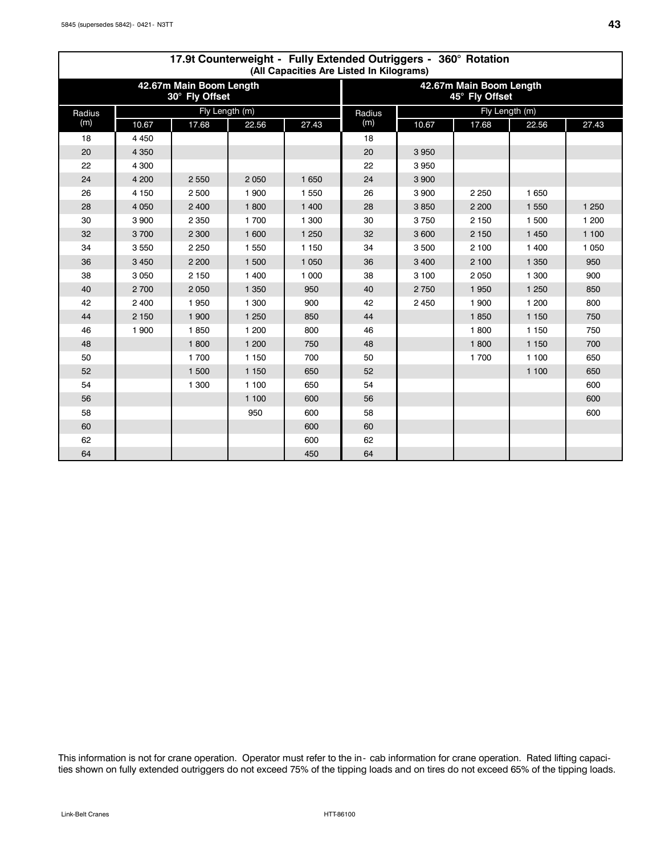|        |         |                                           |         | (All Capacities Are Listed In Kilograms) |                                           | 17.9t Counterweight - Fully Extended Outriggers - 360° Rotation |                |         |         |  |  |
|--------|---------|-------------------------------------------|---------|------------------------------------------|-------------------------------------------|-----------------------------------------------------------------|----------------|---------|---------|--|--|
|        |         | 42.67m Main Boom Length<br>30° Fly Offset |         |                                          | 42.67m Main Boom Length<br>45° Fly Offset |                                                                 |                |         |         |  |  |
| Radius |         | Fly Length (m)                            |         |                                          | Radius                                    |                                                                 | Fly Length (m) |         |         |  |  |
| (m)    | 10.67   | 17.68                                     | 22.56   | 27.43                                    | (m)                                       | 10.67                                                           | 17.68          | 22.56   | 27.43   |  |  |
| 18     | 4 4 5 0 |                                           |         |                                          | 18                                        |                                                                 |                |         |         |  |  |
| 20     | 4 3 5 0 |                                           |         |                                          | 20                                        | 3 9 5 0                                                         |                |         |         |  |  |
| 22     | 4 300   |                                           |         |                                          | 22                                        | 3950                                                            |                |         |         |  |  |
| 24     | 4 200   | 2 5 5 0                                   | 2 0 5 0 | 1 650                                    | 24                                        | 3 9 0 0                                                         |                |         |         |  |  |
| 26     | 4 1 5 0 | 2500                                      | 1 900   | 1 5 5 0                                  | 26                                        | 3 9 0 0                                                         | 2 2 5 0        | 1 650   |         |  |  |
| 28     | 4 0 5 0 | 2 400                                     | 1800    | 1 400                                    | 28                                        | 3850                                                            | 2 2 0 0        | 1 5 5 0 | 1 2 5 0 |  |  |
| 30     | 3900    | 2 3 5 0                                   | 1700    | 1 300                                    | 30                                        | 3750                                                            | 2 1 5 0        | 1 500   | 1 200   |  |  |
| 32     | 3700    | 2 3 0 0                                   | 1 600   | 1 2 5 0                                  | 32                                        | 3 600                                                           | 2 1 5 0        | 1 4 5 0 | 1 100   |  |  |
| 34     | 3550    | 2 2 5 0                                   | 1 550   | 1 150                                    | 34                                        | 3 500                                                           | 2 100          | 1 400   | 1 0 5 0 |  |  |
| 36     | 3 4 5 0 | 2 2 0 0                                   | 1 500   | 1 0 5 0                                  | 36                                        | 3 4 0 0                                                         | 2 100          | 1 3 5 0 | 950     |  |  |
| 38     | 3050    | 2 150                                     | 1 400   | 1 000                                    | 38                                        | 3 100                                                           | 2 0 5 0        | 1 300   | 900     |  |  |
| 40     | 2700    | 2 0 5 0                                   | 1 3 5 0 | 950                                      | 40                                        | 2750                                                            | 1 9 5 0        | 1 2 5 0 | 850     |  |  |
| 42     | 2 4 0 0 | 1950                                      | 1 300   | 900                                      | 42                                        | 2 4 5 0                                                         | 1 900          | 1 200   | 800     |  |  |
| 44     | 2 1 5 0 | 1 900                                     | 1 2 5 0 | 850                                      | 44                                        |                                                                 | 1850           | 1 1 5 0 | 750     |  |  |
| 46     | 1 900   | 1850                                      | 1 200   | 800                                      | 46                                        |                                                                 | 1800           | 1 1 5 0 | 750     |  |  |
| 48     |         | 1800                                      | 1 200   | 750                                      | 48                                        |                                                                 | 1800           | 1 1 5 0 | 700     |  |  |
| 50     |         | 1700                                      | 1 150   | 700                                      | 50                                        |                                                                 | 1 700          | 1 100   | 650     |  |  |
| 52     |         | 1 500                                     | 1 150   | 650                                      | 52                                        |                                                                 |                | 1 100   | 650     |  |  |
| 54     |         | 1 300                                     | 1 100   | 650                                      | 54                                        |                                                                 |                |         | 600     |  |  |
| 56     |         |                                           | 1 100   | 600                                      | 56                                        |                                                                 |                |         | 600     |  |  |
| 58     |         |                                           | 950     | 600                                      | 58                                        |                                                                 |                |         | 600     |  |  |
| 60     |         |                                           |         | 600                                      | 60                                        |                                                                 |                |         |         |  |  |
| 62     |         |                                           |         | 600                                      | 62                                        |                                                                 |                |         |         |  |  |
| 64     |         |                                           |         | 450                                      | 64                                        |                                                                 |                |         |         |  |  |